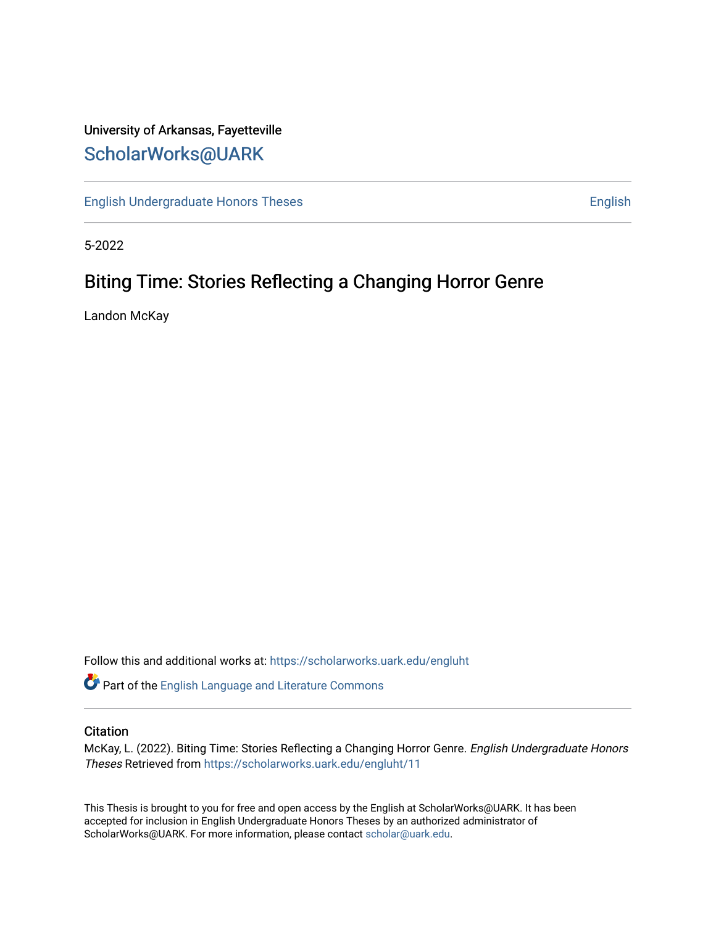## University of Arkansas, Fayetteville [ScholarWorks@UARK](https://scholarworks.uark.edu/)

[English Undergraduate Honors Theses](https://scholarworks.uark.edu/engluht) **English** English

5-2022

## Biting Time: Stories Reflecting a Changing Horror Genre

Landon McKay

Follow this and additional works at: [https://scholarworks.uark.edu/engluht](https://scholarworks.uark.edu/engluht?utm_source=scholarworks.uark.edu%2Fengluht%2F11&utm_medium=PDF&utm_campaign=PDFCoverPages)

Part of the [English Language and Literature Commons](http://network.bepress.com/hgg/discipline/455?utm_source=scholarworks.uark.edu%2Fengluht%2F11&utm_medium=PDF&utm_campaign=PDFCoverPages)

#### **Citation**

McKay, L. (2022). Biting Time: Stories Reflecting a Changing Horror Genre. English Undergraduate Honors Theses Retrieved from [https://scholarworks.uark.edu/engluht/11](https://scholarworks.uark.edu/engluht/11?utm_source=scholarworks.uark.edu%2Fengluht%2F11&utm_medium=PDF&utm_campaign=PDFCoverPages)

This Thesis is brought to you for free and open access by the English at ScholarWorks@UARK. It has been accepted for inclusion in English Undergraduate Honors Theses by an authorized administrator of ScholarWorks@UARK. For more information, please contact [scholar@uark.edu](mailto:scholar@uark.edu).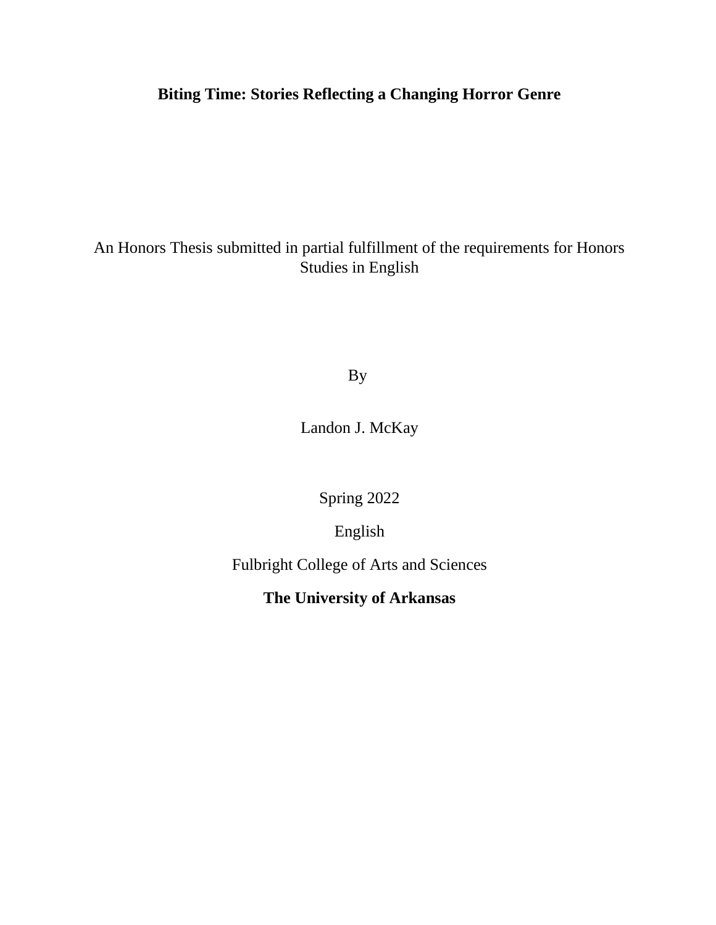# **Biting Time: Stories Reflecting a Changing Horror Genre**

An Honors Thesis submitted in partial fulfillment of the requirements for Honors Studies in English

By

Landon J. McKay

Spring 2022

English

Fulbright College of Arts and Sciences

**The University of Arkansas**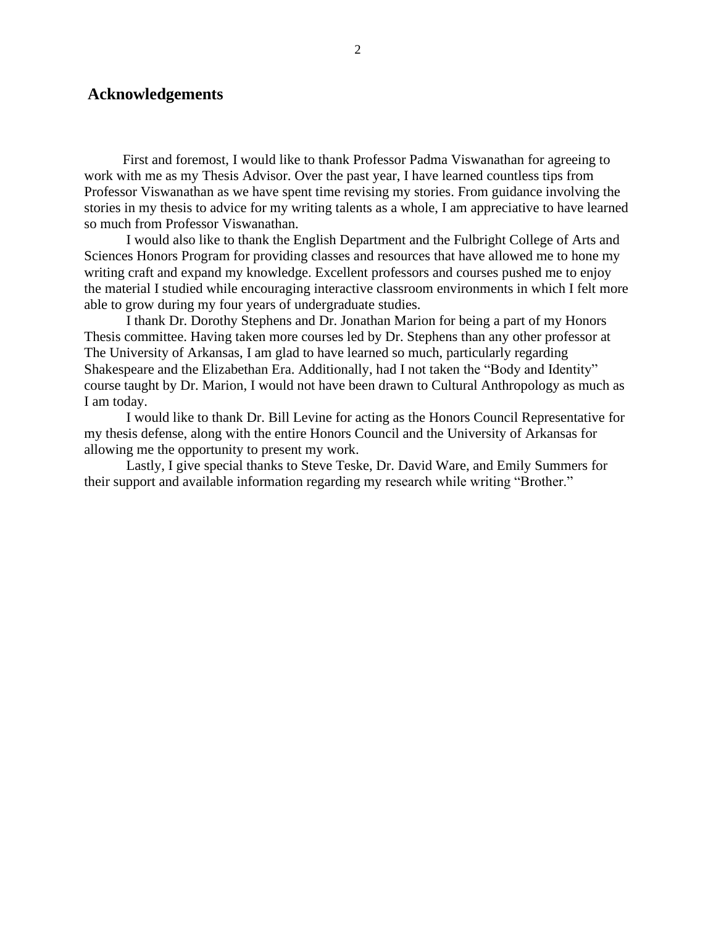#### **Acknowledgements**

First and foremost, I would like to thank Professor Padma Viswanathan for agreeing to work with me as my Thesis Advisor. Over the past year, I have learned countless tips from Professor Viswanathan as we have spent time revising my stories. From guidance involving the stories in my thesis to advice for my writing talents as a whole, I am appreciative to have learned so much from Professor Viswanathan.

I would also like to thank the English Department and the Fulbright College of Arts and Sciences Honors Program for providing classes and resources that have allowed me to hone my writing craft and expand my knowledge. Excellent professors and courses pushed me to enjoy the material I studied while encouraging interactive classroom environments in which I felt more able to grow during my four years of undergraduate studies.

I thank Dr. Dorothy Stephens and Dr. Jonathan Marion for being a part of my Honors Thesis committee. Having taken more courses led by Dr. Stephens than any other professor at The University of Arkansas, I am glad to have learned so much, particularly regarding Shakespeare and the Elizabethan Era. Additionally, had I not taken the "Body and Identity" course taught by Dr. Marion, I would not have been drawn to Cultural Anthropology as much as I am today.

I would like to thank Dr. Bill Levine for acting as the Honors Council Representative for my thesis defense, along with the entire Honors Council and the University of Arkansas for allowing me the opportunity to present my work.

Lastly, I give special thanks to Steve Teske, Dr. David Ware, and Emily Summers for their support and available information regarding my research while writing "Brother."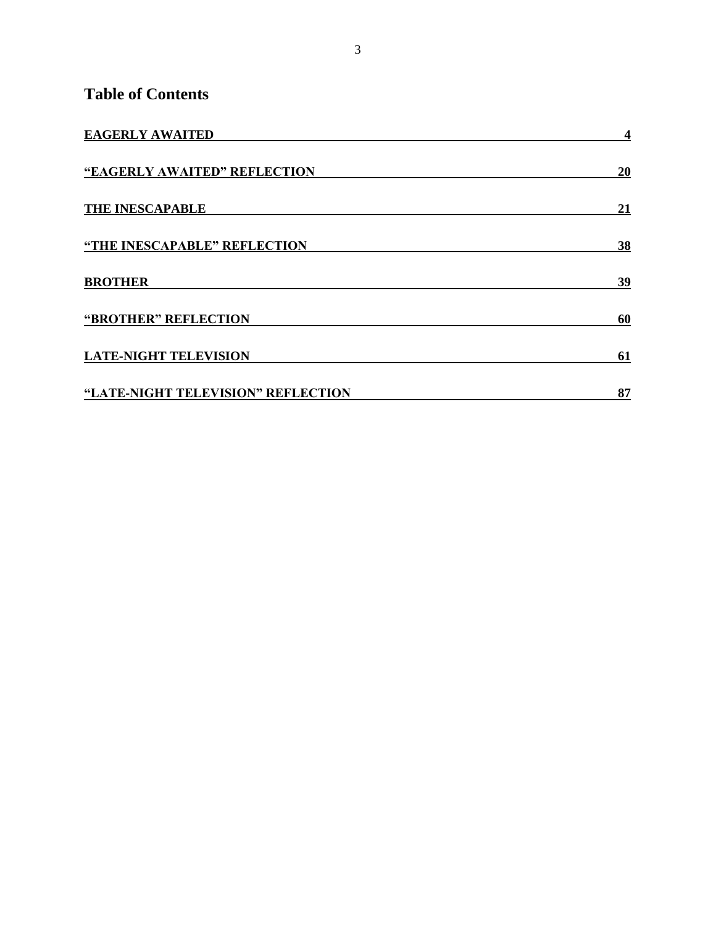### **Table of Contents**

| <b>EAGERLY AWAITED</b>             | 4  |
|------------------------------------|----|
| "EAGERLY AWAITED" REFLECTION       | 20 |
| <b>THE INESCAPABLE</b>             | 21 |
| "THE INESCAPABLE" REFLECTION       | 38 |
| <b>BROTHER</b>                     | 39 |
| "BROTHER" REFLECTION               | 60 |
| <b>LATE-NIGHT TELEVISION</b>       | 61 |
| "LATE-NIGHT TELEVISION" REFLECTION | 87 |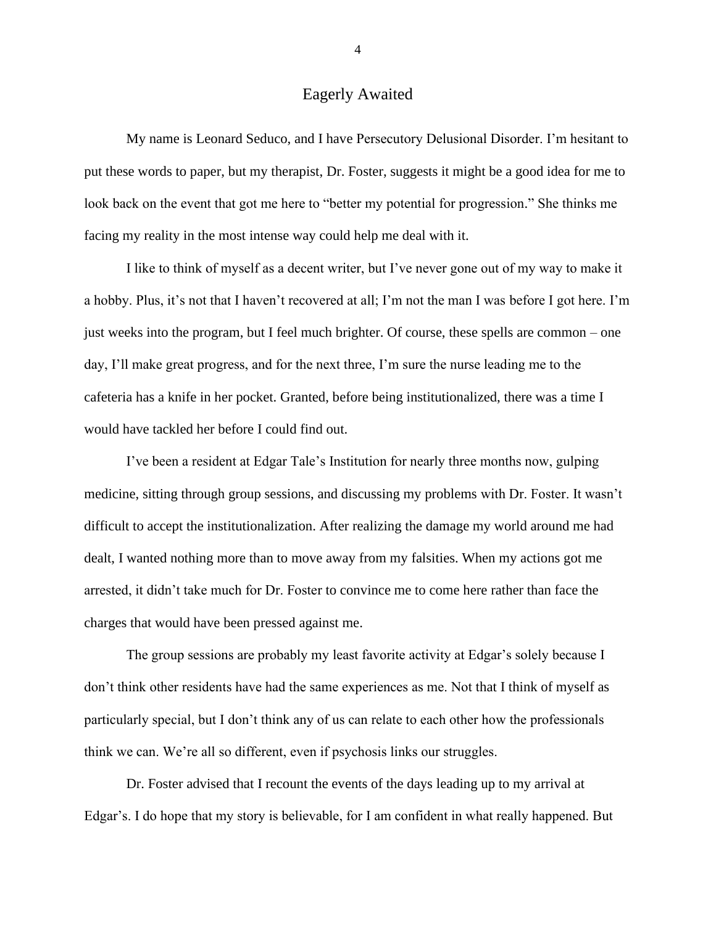### Eagerly Awaited

<span id="page-4-0"></span>My name is Leonard Seduco, and I have Persecutory Delusional Disorder. I'm hesitant to put these words to paper, but my therapist, Dr. Foster, suggests it might be a good idea for me to look back on the event that got me here to "better my potential for progression." She thinks me facing my reality in the most intense way could help me deal with it.

I like to think of myself as a decent writer, but I've never gone out of my way to make it a hobby. Plus, it's not that I haven't recovered at all; I'm not the man I was before I got here. I'm just weeks into the program, but I feel much brighter. Of course, these spells are common – one day, I'll make great progress, and for the next three, I'm sure the nurse leading me to the cafeteria has a knife in her pocket. Granted, before being institutionalized, there was a time I would have tackled her before I could find out.

I've been a resident at Edgar Tale's Institution for nearly three months now, gulping medicine, sitting through group sessions, and discussing my problems with Dr. Foster. It wasn't difficult to accept the institutionalization. After realizing the damage my world around me had dealt, I wanted nothing more than to move away from my falsities. When my actions got me arrested, it didn't take much for Dr. Foster to convince me to come here rather than face the charges that would have been pressed against me.

The group sessions are probably my least favorite activity at Edgar's solely because I don't think other residents have had the same experiences as me. Not that I think of myself as particularly special, but I don't think any of us can relate to each other how the professionals think we can. We're all so different, even if psychosis links our struggles.

Dr. Foster advised that I recount the events of the days leading up to my arrival at Edgar's. I do hope that my story is believable, for I am confident in what really happened. But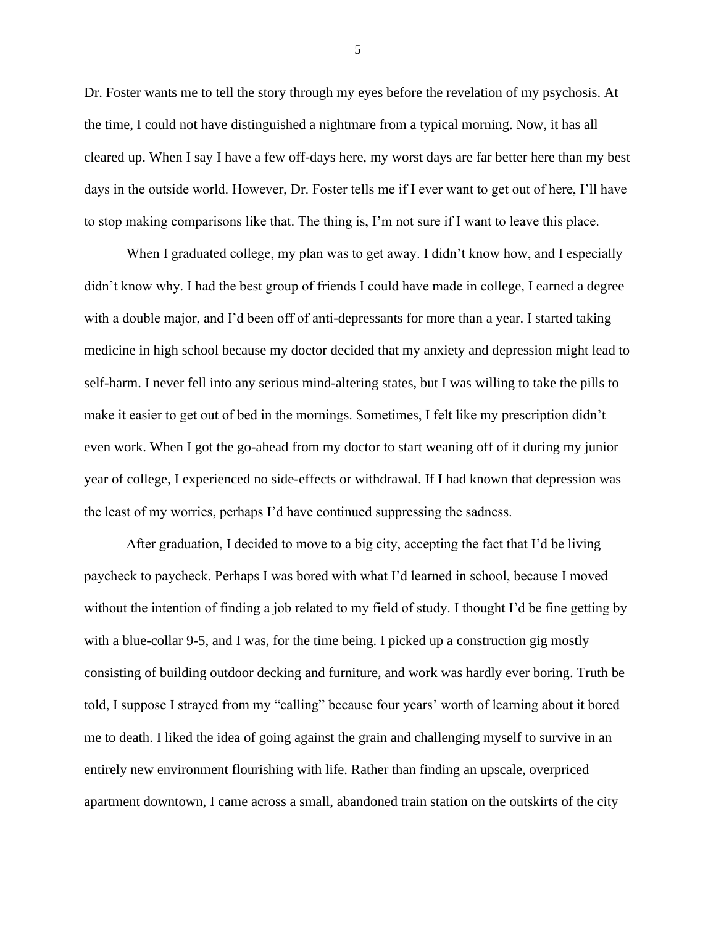Dr. Foster wants me to tell the story through my eyes before the revelation of my psychosis. At the time, I could not have distinguished a nightmare from a typical morning. Now, it has all cleared up. When I say I have a few off-days here, my worst days are far better here than my best days in the outside world. However, Dr. Foster tells me if I ever want to get out of here, I'll have to stop making comparisons like that. The thing is, I'm not sure if I want to leave this place.

When I graduated college, my plan was to get away. I didn't know how, and I especially didn't know why. I had the best group of friends I could have made in college, I earned a degree with a double major, and I'd been off of anti-depressants for more than a year. I started taking medicine in high school because my doctor decided that my anxiety and depression might lead to self-harm. I never fell into any serious mind-altering states, but I was willing to take the pills to make it easier to get out of bed in the mornings. Sometimes, I felt like my prescription didn't even work. When I got the go-ahead from my doctor to start weaning off of it during my junior year of college, I experienced no side-effects or withdrawal. If I had known that depression was the least of my worries, perhaps I'd have continued suppressing the sadness.

After graduation, I decided to move to a big city, accepting the fact that I'd be living paycheck to paycheck. Perhaps I was bored with what I'd learned in school, because I moved without the intention of finding a job related to my field of study. I thought I'd be fine getting by with a blue-collar 9-5, and I was, for the time being. I picked up a construction gig mostly consisting of building outdoor decking and furniture, and work was hardly ever boring. Truth be told, I suppose I strayed from my "calling" because four years' worth of learning about it bored me to death. I liked the idea of going against the grain and challenging myself to survive in an entirely new environment flourishing with life. Rather than finding an upscale, overpriced apartment downtown, I came across a small, abandoned train station on the outskirts of the city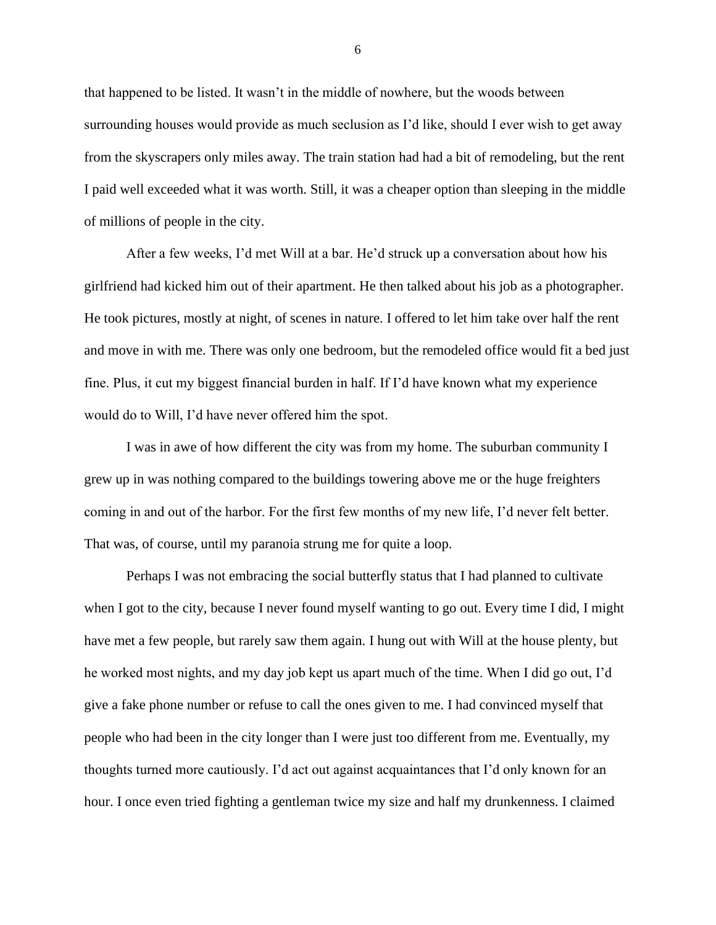that happened to be listed. It wasn't in the middle of nowhere, but the woods between surrounding houses would provide as much seclusion as I'd like, should I ever wish to get away from the skyscrapers only miles away. The train station had had a bit of remodeling, but the rent I paid well exceeded what it was worth. Still, it was a cheaper option than sleeping in the middle of millions of people in the city.

After a few weeks, I'd met Will at a bar. He'd struck up a conversation about how his girlfriend had kicked him out of their apartment. He then talked about his job as a photographer. He took pictures, mostly at night, of scenes in nature. I offered to let him take over half the rent and move in with me. There was only one bedroom, but the remodeled office would fit a bed just fine. Plus, it cut my biggest financial burden in half. If I'd have known what my experience would do to Will, I'd have never offered him the spot.

I was in awe of how different the city was from my home. The suburban community I grew up in was nothing compared to the buildings towering above me or the huge freighters coming in and out of the harbor. For the first few months of my new life, I'd never felt better. That was, of course, until my paranoia strung me for quite a loop.

Perhaps I was not embracing the social butterfly status that I had planned to cultivate when I got to the city, because I never found myself wanting to go out. Every time I did, I might have met a few people, but rarely saw them again. I hung out with Will at the house plenty, but he worked most nights, and my day job kept us apart much of the time. When I did go out, I'd give a fake phone number or refuse to call the ones given to me. I had convinced myself that people who had been in the city longer than I were just too different from me. Eventually, my thoughts turned more cautiously. I'd act out against acquaintances that I'd only known for an hour. I once even tried fighting a gentleman twice my size and half my drunkenness. I claimed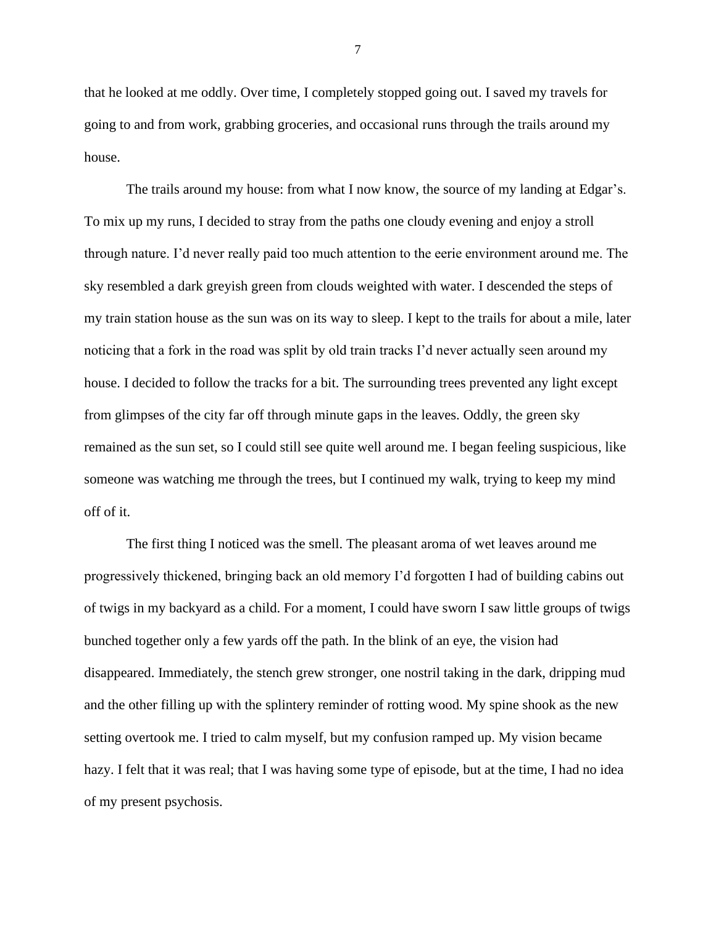that he looked at me oddly. Over time, I completely stopped going out. I saved my travels for going to and from work, grabbing groceries, and occasional runs through the trails around my house.

The trails around my house: from what I now know, the source of my landing at Edgar's. To mix up my runs, I decided to stray from the paths one cloudy evening and enjoy a stroll through nature. I'd never really paid too much attention to the eerie environment around me. The sky resembled a dark greyish green from clouds weighted with water. I descended the steps of my train station house as the sun was on its way to sleep. I kept to the trails for about a mile, later noticing that a fork in the road was split by old train tracks I'd never actually seen around my house. I decided to follow the tracks for a bit. The surrounding trees prevented any light except from glimpses of the city far off through minute gaps in the leaves. Oddly, the green sky remained as the sun set, so I could still see quite well around me. I began feeling suspicious, like someone was watching me through the trees, but I continued my walk, trying to keep my mind off of it.

The first thing I noticed was the smell. The pleasant aroma of wet leaves around me progressively thickened, bringing back an old memory I'd forgotten I had of building cabins out of twigs in my backyard as a child. For a moment, I could have sworn I saw little groups of twigs bunched together only a few yards off the path. In the blink of an eye, the vision had disappeared. Immediately, the stench grew stronger, one nostril taking in the dark, dripping mud and the other filling up with the splintery reminder of rotting wood. My spine shook as the new setting overtook me. I tried to calm myself, but my confusion ramped up. My vision became hazy. I felt that it was real; that I was having some type of episode, but at the time, I had no idea of my present psychosis.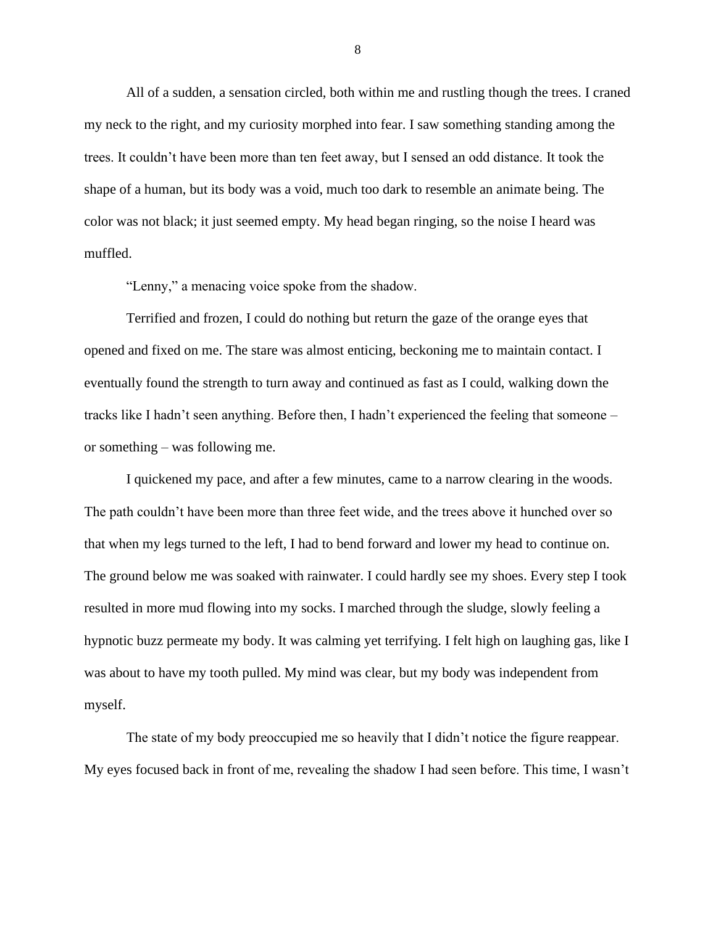All of a sudden, a sensation circled, both within me and rustling though the trees. I craned my neck to the right, and my curiosity morphed into fear. I saw something standing among the trees. It couldn't have been more than ten feet away, but I sensed an odd distance. It took the shape of a human, but its body was a void, much too dark to resemble an animate being. The color was not black; it just seemed empty. My head began ringing, so the noise I heard was muffled.

"Lenny," a menacing voice spoke from the shadow.

Terrified and frozen, I could do nothing but return the gaze of the orange eyes that opened and fixed on me. The stare was almost enticing, beckoning me to maintain contact. I eventually found the strength to turn away and continued as fast as I could, walking down the tracks like I hadn't seen anything. Before then, I hadn't experienced the feeling that someone – or something – was following me.

I quickened my pace, and after a few minutes, came to a narrow clearing in the woods. The path couldn't have been more than three feet wide, and the trees above it hunched over so that when my legs turned to the left, I had to bend forward and lower my head to continue on. The ground below me was soaked with rainwater. I could hardly see my shoes. Every step I took resulted in more mud flowing into my socks. I marched through the sludge, slowly feeling a hypnotic buzz permeate my body. It was calming yet terrifying. I felt high on laughing gas, like I was about to have my tooth pulled. My mind was clear, but my body was independent from myself.

The state of my body preoccupied me so heavily that I didn't notice the figure reappear. My eyes focused back in front of me, revealing the shadow I had seen before. This time, I wasn't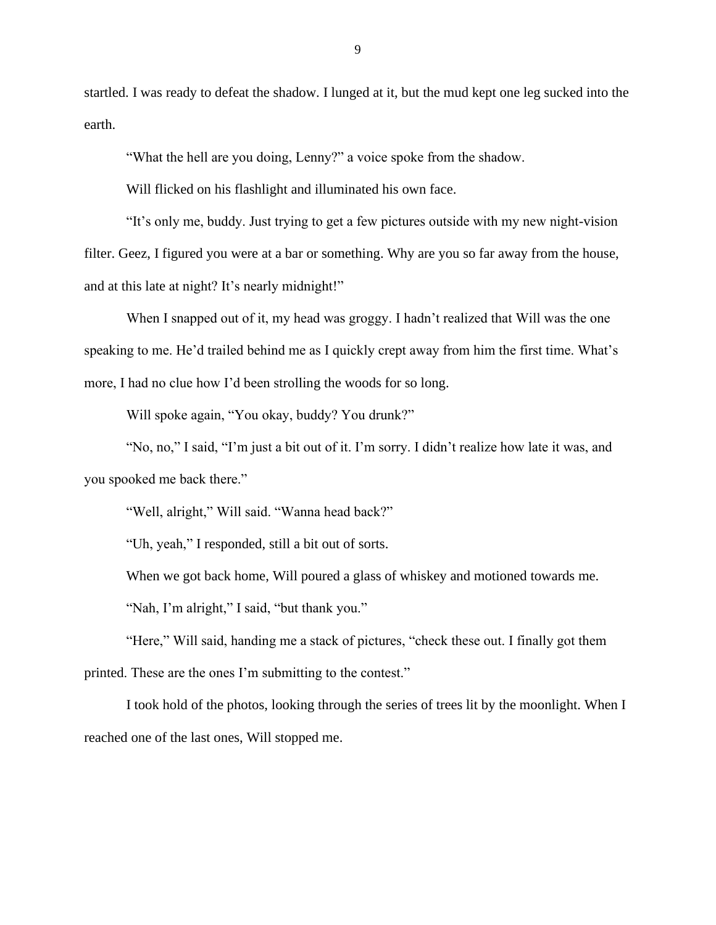startled. I was ready to defeat the shadow. I lunged at it, but the mud kept one leg sucked into the earth.

"What the hell are you doing, Lenny?" a voice spoke from the shadow.

Will flicked on his flashlight and illuminated his own face.

"It's only me, buddy. Just trying to get a few pictures outside with my new night-vision filter. Geez, I figured you were at a bar or something. Why are you so far away from the house, and at this late at night? It's nearly midnight!"

When I snapped out of it, my head was groggy. I hadn't realized that Will was the one speaking to me. He'd trailed behind me as I quickly crept away from him the first time. What's more, I had no clue how I'd been strolling the woods for so long.

Will spoke again, "You okay, buddy? You drunk?"

"No, no," I said, "I'm just a bit out of it. I'm sorry. I didn't realize how late it was, and you spooked me back there."

"Well, alright," Will said. "Wanna head back?"

"Uh, yeah," I responded, still a bit out of sorts.

When we got back home, Will poured a glass of whiskey and motioned towards me.

"Nah, I'm alright," I said, "but thank you."

"Here," Will said, handing me a stack of pictures, "check these out. I finally got them printed. These are the ones I'm submitting to the contest."

I took hold of the photos, looking through the series of trees lit by the moonlight. When I reached one of the last ones, Will stopped me.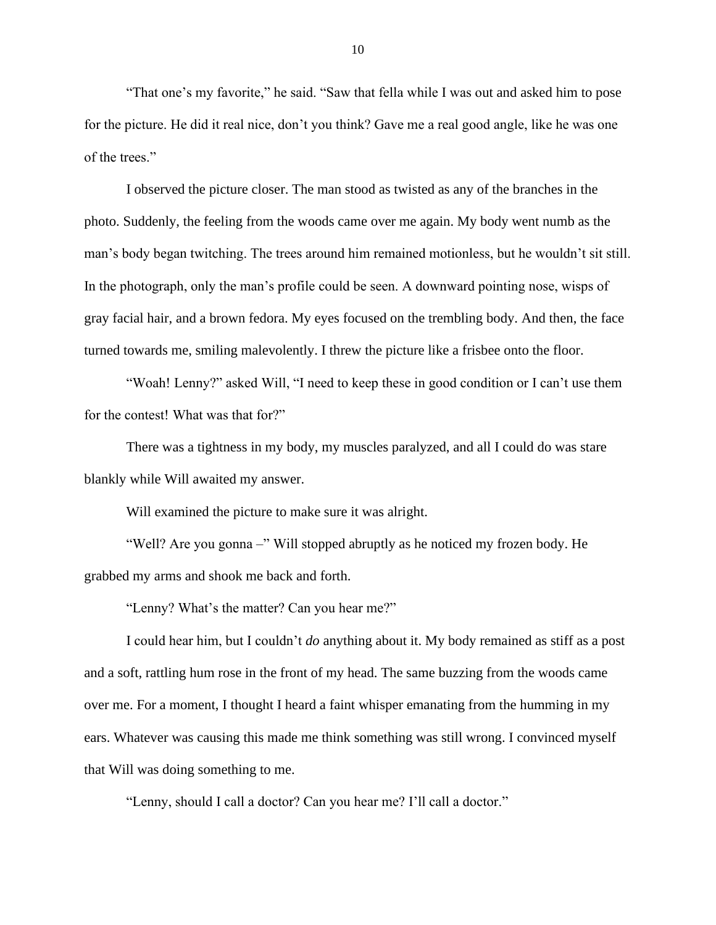"That one's my favorite," he said. "Saw that fella while I was out and asked him to pose for the picture. He did it real nice, don't you think? Gave me a real good angle, like he was one of the trees."

I observed the picture closer. The man stood as twisted as any of the branches in the photo. Suddenly, the feeling from the woods came over me again. My body went numb as the man's body began twitching. The trees around him remained motionless, but he wouldn't sit still. In the photograph, only the man's profile could be seen. A downward pointing nose, wisps of gray facial hair, and a brown fedora. My eyes focused on the trembling body. And then, the face turned towards me, smiling malevolently. I threw the picture like a frisbee onto the floor.

"Woah! Lenny?" asked Will, "I need to keep these in good condition or I can't use them for the contest! What was that for?"

There was a tightness in my body, my muscles paralyzed, and all I could do was stare blankly while Will awaited my answer.

Will examined the picture to make sure it was alright.

"Well? Are you gonna –" Will stopped abruptly as he noticed my frozen body. He grabbed my arms and shook me back and forth.

"Lenny? What's the matter? Can you hear me?"

I could hear him, but I couldn't *do* anything about it. My body remained as stiff as a post and a soft, rattling hum rose in the front of my head. The same buzzing from the woods came over me. For a moment, I thought I heard a faint whisper emanating from the humming in my ears. Whatever was causing this made me think something was still wrong. I convinced myself that Will was doing something to me.

"Lenny, should I call a doctor? Can you hear me? I'll call a doctor."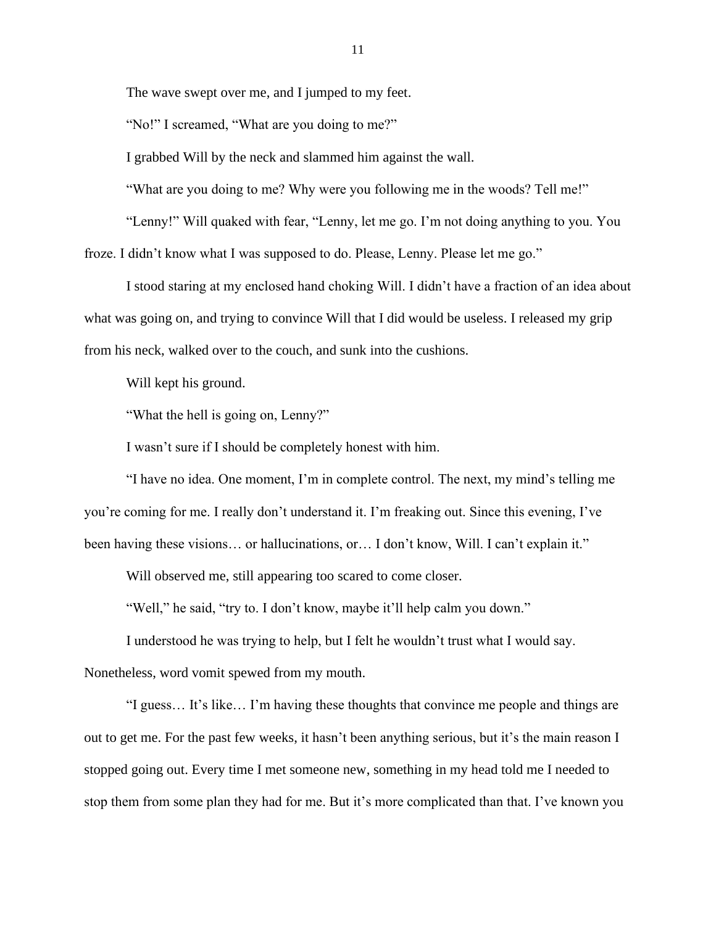The wave swept over me, and I jumped to my feet.

"No!" I screamed, "What are you doing to me?"

I grabbed Will by the neck and slammed him against the wall.

"What are you doing to me? Why were you following me in the woods? Tell me!"

"Lenny!" Will quaked with fear, "Lenny, let me go. I'm not doing anything to you. You froze. I didn't know what I was supposed to do. Please, Lenny. Please let me go."

I stood staring at my enclosed hand choking Will. I didn't have a fraction of an idea about what was going on, and trying to convince Will that I did would be useless. I released my grip from his neck, walked over to the couch, and sunk into the cushions.

Will kept his ground.

"What the hell is going on, Lenny?"

I wasn't sure if I should be completely honest with him.

"I have no idea. One moment, I'm in complete control. The next, my mind's telling me you're coming for me. I really don't understand it. I'm freaking out. Since this evening, I've been having these visions... or hallucinations, or... I don't know, Will. I can't explain it."

Will observed me, still appearing too scared to come closer.

"Well," he said, "try to. I don't know, maybe it'll help calm you down."

I understood he was trying to help, but I felt he wouldn't trust what I would say. Nonetheless, word vomit spewed from my mouth.

"I guess… It's like… I'm having these thoughts that convince me people and things are out to get me. For the past few weeks, it hasn't been anything serious, but it's the main reason I stopped going out. Every time I met someone new, something in my head told me I needed to stop them from some plan they had for me. But it's more complicated than that. I've known you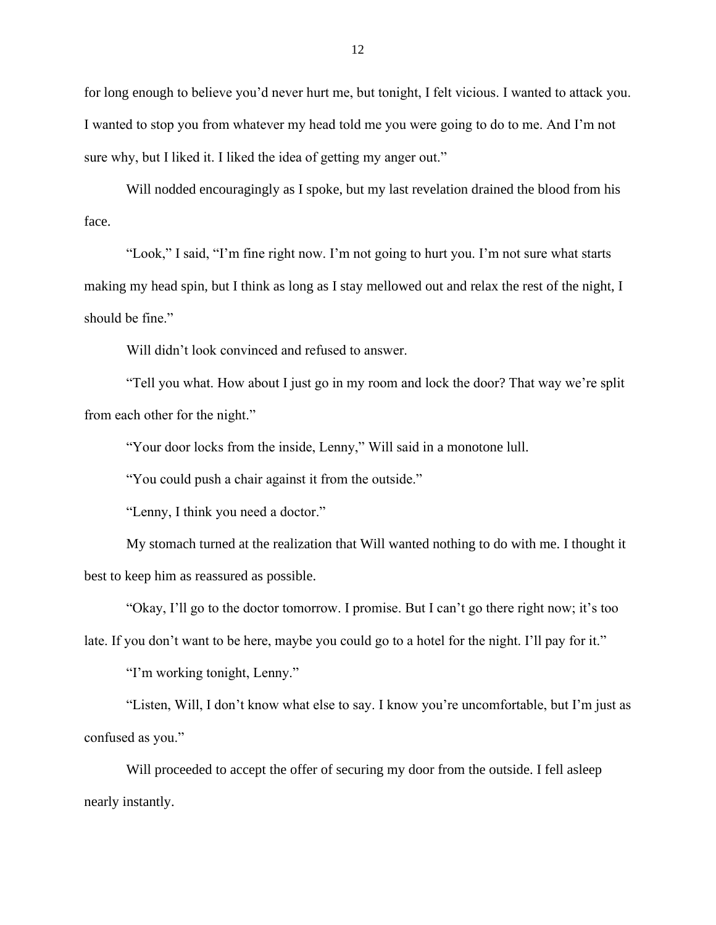for long enough to believe you'd never hurt me, but tonight, I felt vicious. I wanted to attack you. I wanted to stop you from whatever my head told me you were going to do to me. And I'm not sure why, but I liked it. I liked the idea of getting my anger out."

Will nodded encouragingly as I spoke, but my last revelation drained the blood from his face.

"Look," I said, "I'm fine right now. I'm not going to hurt you. I'm not sure what starts making my head spin, but I think as long as I stay mellowed out and relax the rest of the night, I should be fine."

Will didn't look convinced and refused to answer.

"Tell you what. How about I just go in my room and lock the door? That way we're split from each other for the night."

"Your door locks from the inside, Lenny," Will said in a monotone lull.

"You could push a chair against it from the outside."

"Lenny, I think you need a doctor."

My stomach turned at the realization that Will wanted nothing to do with me. I thought it best to keep him as reassured as possible.

"Okay, I'll go to the doctor tomorrow. I promise. But I can't go there right now; it's too

late. If you don't want to be here, maybe you could go to a hotel for the night. I'll pay for it."

"I'm working tonight, Lenny."

"Listen, Will, I don't know what else to say. I know you're uncomfortable, but I'm just as confused as you."

Will proceeded to accept the offer of securing my door from the outside. I fell asleep nearly instantly.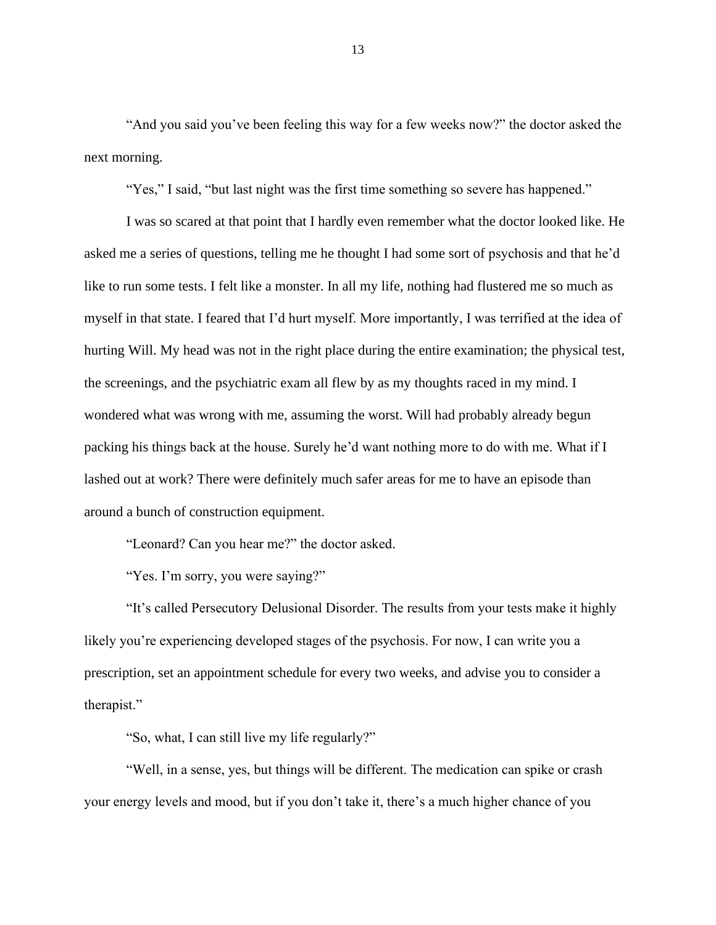"And you said you've been feeling this way for a few weeks now?" the doctor asked the next morning.

"Yes," I said, "but last night was the first time something so severe has happened."

I was so scared at that point that I hardly even remember what the doctor looked like. He asked me a series of questions, telling me he thought I had some sort of psychosis and that he'd like to run some tests. I felt like a monster. In all my life, nothing had flustered me so much as myself in that state. I feared that I'd hurt myself. More importantly, I was terrified at the idea of hurting Will. My head was not in the right place during the entire examination; the physical test, the screenings, and the psychiatric exam all flew by as my thoughts raced in my mind. I wondered what was wrong with me, assuming the worst. Will had probably already begun packing his things back at the house. Surely he'd want nothing more to do with me. What if I lashed out at work? There were definitely much safer areas for me to have an episode than around a bunch of construction equipment.

"Leonard? Can you hear me?" the doctor asked.

"Yes. I'm sorry, you were saying?"

"It's called Persecutory Delusional Disorder. The results from your tests make it highly likely you're experiencing developed stages of the psychosis. For now, I can write you a prescription, set an appointment schedule for every two weeks, and advise you to consider a therapist."

"So, what, I can still live my life regularly?"

"Well, in a sense, yes, but things will be different. The medication can spike or crash your energy levels and mood, but if you don't take it, there's a much higher chance of you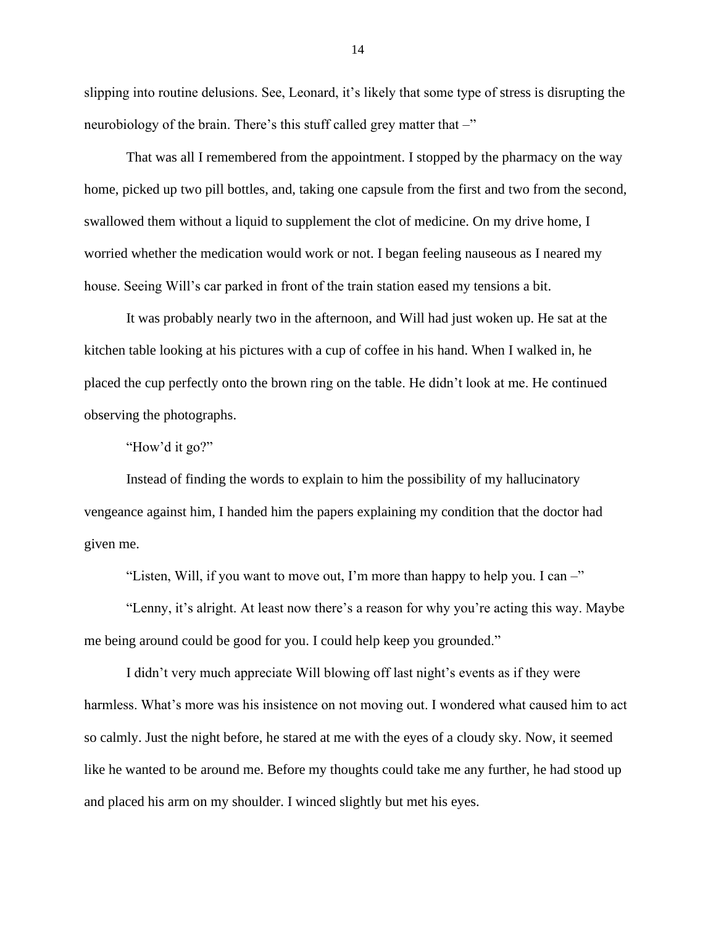slipping into routine delusions. See, Leonard, it's likely that some type of stress is disrupting the neurobiology of the brain. There's this stuff called grey matter that  $-\mathbf{v}$ 

That was all I remembered from the appointment. I stopped by the pharmacy on the way home, picked up two pill bottles, and, taking one capsule from the first and two from the second, swallowed them without a liquid to supplement the clot of medicine. On my drive home, I worried whether the medication would work or not. I began feeling nauseous as I neared my house. Seeing Will's car parked in front of the train station eased my tensions a bit.

It was probably nearly two in the afternoon, and Will had just woken up. He sat at the kitchen table looking at his pictures with a cup of coffee in his hand. When I walked in, he placed the cup perfectly onto the brown ring on the table. He didn't look at me. He continued observing the photographs.

"How'd it go?"

Instead of finding the words to explain to him the possibility of my hallucinatory vengeance against him, I handed him the papers explaining my condition that the doctor had given me.

"Listen, Will, if you want to move out, I'm more than happy to help you. I can –"

"Lenny, it's alright. At least now there's a reason for why you're acting this way. Maybe me being around could be good for you. I could help keep you grounded."

I didn't very much appreciate Will blowing off last night's events as if they were harmless. What's more was his insistence on not moving out. I wondered what caused him to act so calmly. Just the night before, he stared at me with the eyes of a cloudy sky. Now, it seemed like he wanted to be around me. Before my thoughts could take me any further, he had stood up and placed his arm on my shoulder. I winced slightly but met his eyes.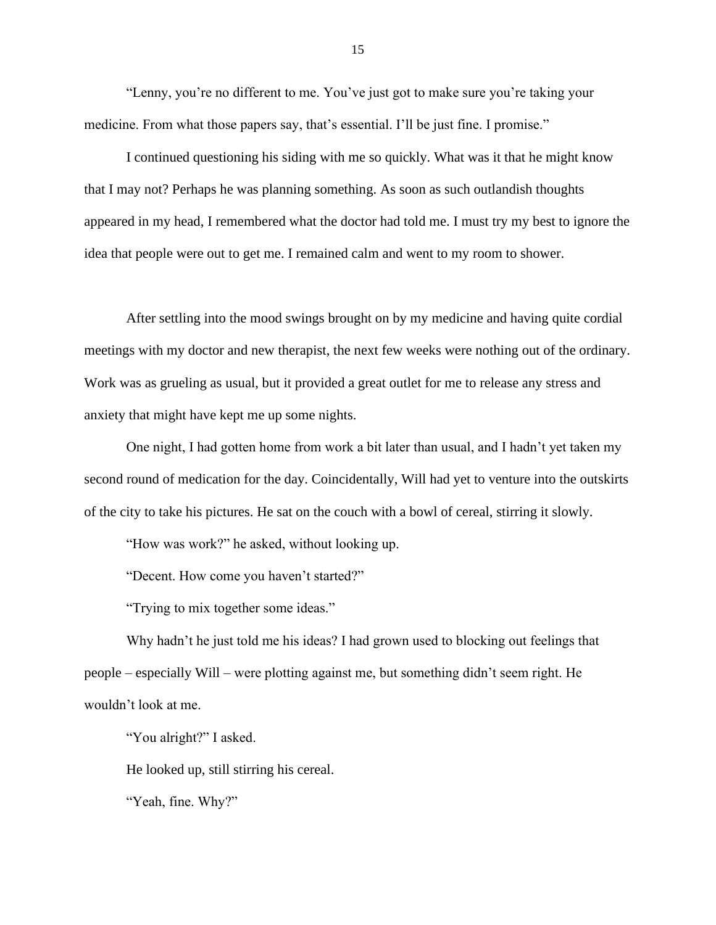"Lenny, you're no different to me. You've just got to make sure you're taking your medicine. From what those papers say, that's essential. I'll be just fine. I promise."

I continued questioning his siding with me so quickly. What was it that he might know that I may not? Perhaps he was planning something. As soon as such outlandish thoughts appeared in my head, I remembered what the doctor had told me. I must try my best to ignore the idea that people were out to get me. I remained calm and went to my room to shower.

After settling into the mood swings brought on by my medicine and having quite cordial meetings with my doctor and new therapist, the next few weeks were nothing out of the ordinary. Work was as grueling as usual, but it provided a great outlet for me to release any stress and anxiety that might have kept me up some nights.

One night, I had gotten home from work a bit later than usual, and I hadn't yet taken my second round of medication for the day. Coincidentally, Will had yet to venture into the outskirts of the city to take his pictures. He sat on the couch with a bowl of cereal, stirring it slowly.

"How was work?" he asked, without looking up.

"Decent. How come you haven't started?"

"Trying to mix together some ideas."

Why hadn't he just told me his ideas? I had grown used to blocking out feelings that people – especially Will – were plotting against me, but something didn't seem right. He wouldn't look at me.

"You alright?" I asked.

He looked up, still stirring his cereal.

"Yeah, fine. Why?"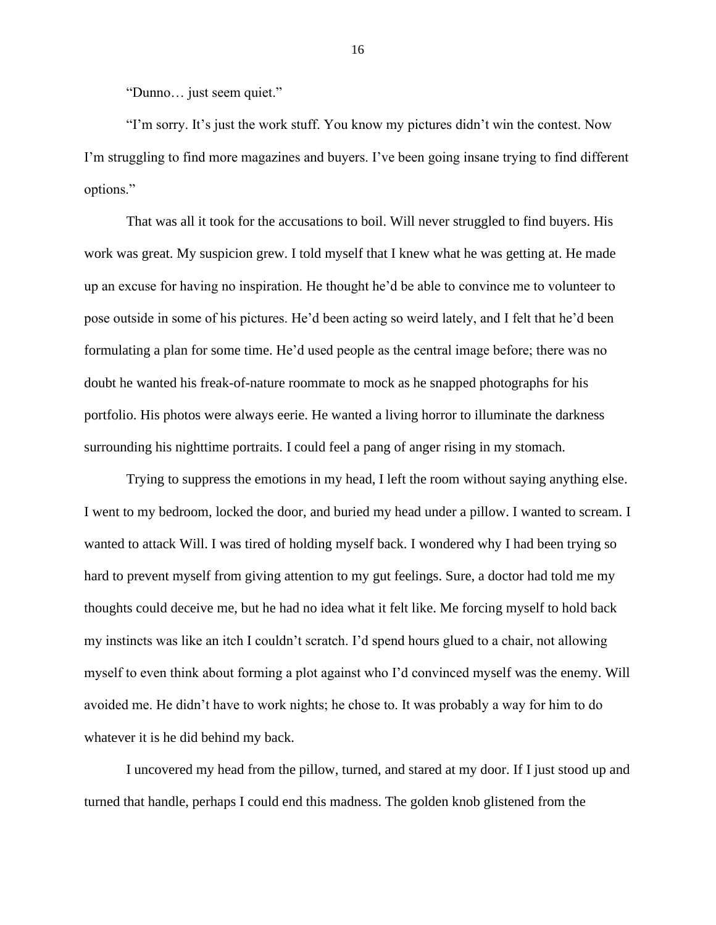"Dunno… just seem quiet."

"I'm sorry. It's just the work stuff. You know my pictures didn't win the contest. Now I'm struggling to find more magazines and buyers. I've been going insane trying to find different options."

That was all it took for the accusations to boil. Will never struggled to find buyers. His work was great. My suspicion grew. I told myself that I knew what he was getting at. He made up an excuse for having no inspiration. He thought he'd be able to convince me to volunteer to pose outside in some of his pictures. He'd been acting so weird lately, and I felt that he'd been formulating a plan for some time. He'd used people as the central image before; there was no doubt he wanted his freak-of-nature roommate to mock as he snapped photographs for his portfolio. His photos were always eerie. He wanted a living horror to illuminate the darkness surrounding his nighttime portraits. I could feel a pang of anger rising in my stomach.

Trying to suppress the emotions in my head, I left the room without saying anything else. I went to my bedroom, locked the door, and buried my head under a pillow. I wanted to scream. I wanted to attack Will. I was tired of holding myself back. I wondered why I had been trying so hard to prevent myself from giving attention to my gut feelings. Sure, a doctor had told me my thoughts could deceive me, but he had no idea what it felt like. Me forcing myself to hold back my instincts was like an itch I couldn't scratch. I'd spend hours glued to a chair, not allowing myself to even think about forming a plot against who I'd convinced myself was the enemy. Will avoided me. He didn't have to work nights; he chose to. It was probably a way for him to do whatever it is he did behind my back.

I uncovered my head from the pillow, turned, and stared at my door. If I just stood up and turned that handle, perhaps I could end this madness. The golden knob glistened from the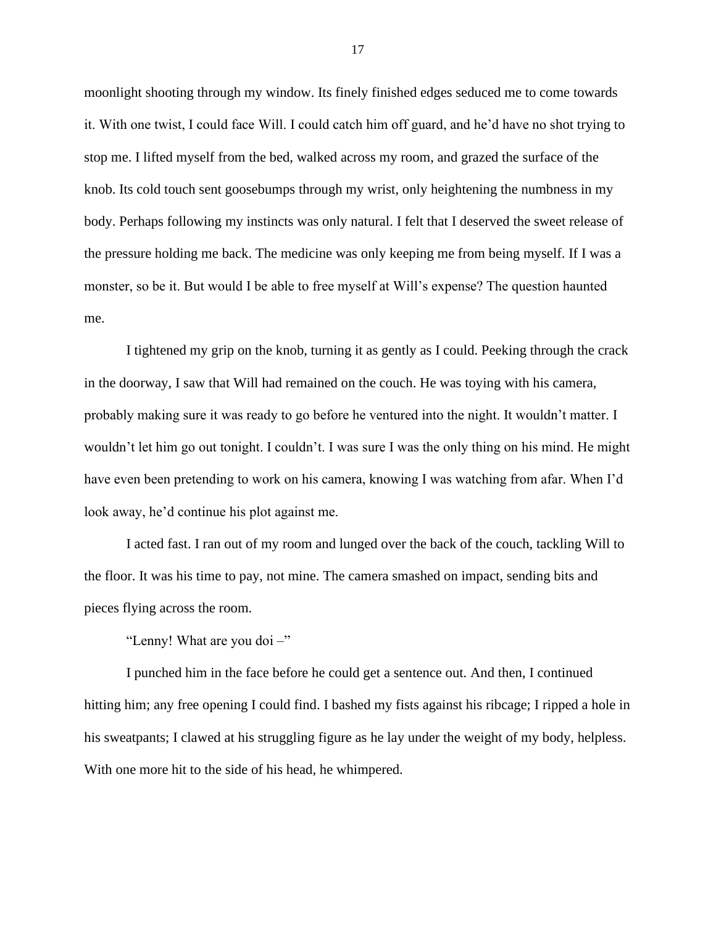moonlight shooting through my window. Its finely finished edges seduced me to come towards it. With one twist, I could face Will. I could catch him off guard, and he'd have no shot trying to stop me. I lifted myself from the bed, walked across my room, and grazed the surface of the knob. Its cold touch sent goosebumps through my wrist, only heightening the numbness in my body. Perhaps following my instincts was only natural. I felt that I deserved the sweet release of the pressure holding me back. The medicine was only keeping me from being myself. If I was a monster, so be it. But would I be able to free myself at Will's expense? The question haunted me.

I tightened my grip on the knob, turning it as gently as I could. Peeking through the crack in the doorway, I saw that Will had remained on the couch. He was toying with his camera, probably making sure it was ready to go before he ventured into the night. It wouldn't matter. I wouldn't let him go out tonight. I couldn't. I was sure I was the only thing on his mind. He might have even been pretending to work on his camera, knowing I was watching from afar. When I'd look away, he'd continue his plot against me.

I acted fast. I ran out of my room and lunged over the back of the couch, tackling Will to the floor. It was his time to pay, not mine. The camera smashed on impact, sending bits and pieces flying across the room.

"Lenny! What are you doi –"

I punched him in the face before he could get a sentence out. And then, I continued hitting him; any free opening I could find. I bashed my fists against his ribcage; I ripped a hole in his sweatpants; I clawed at his struggling figure as he lay under the weight of my body, helpless. With one more hit to the side of his head, he whimpered.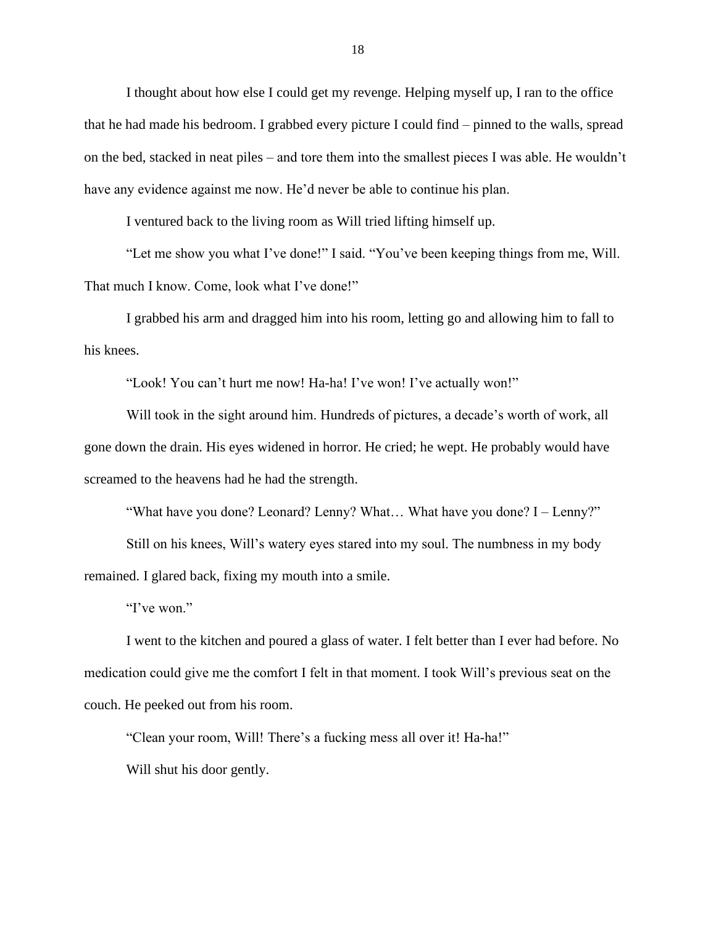I thought about how else I could get my revenge. Helping myself up, I ran to the office that he had made his bedroom. I grabbed every picture I could find – pinned to the walls, spread on the bed, stacked in neat piles – and tore them into the smallest pieces I was able. He wouldn't have any evidence against me now. He'd never be able to continue his plan.

I ventured back to the living room as Will tried lifting himself up.

"Let me show you what I've done!" I said. "You've been keeping things from me, Will. That much I know. Come, look what I've done!"

I grabbed his arm and dragged him into his room, letting go and allowing him to fall to his knees.

"Look! You can't hurt me now! Ha-ha! I've won! I've actually won!"

Will took in the sight around him. Hundreds of pictures, a decade's worth of work, all gone down the drain. His eyes widened in horror. He cried; he wept. He probably would have screamed to the heavens had he had the strength.

"What have you done? Leonard? Lenny? What… What have you done? I – Lenny?"

Still on his knees, Will's watery eyes stared into my soul. The numbness in my body remained. I glared back, fixing my mouth into a smile.

"I've won."

I went to the kitchen and poured a glass of water. I felt better than I ever had before. No medication could give me the comfort I felt in that moment. I took Will's previous seat on the couch. He peeked out from his room.

"Clean your room, Will! There's a fucking mess all over it! Ha-ha!"

Will shut his door gently.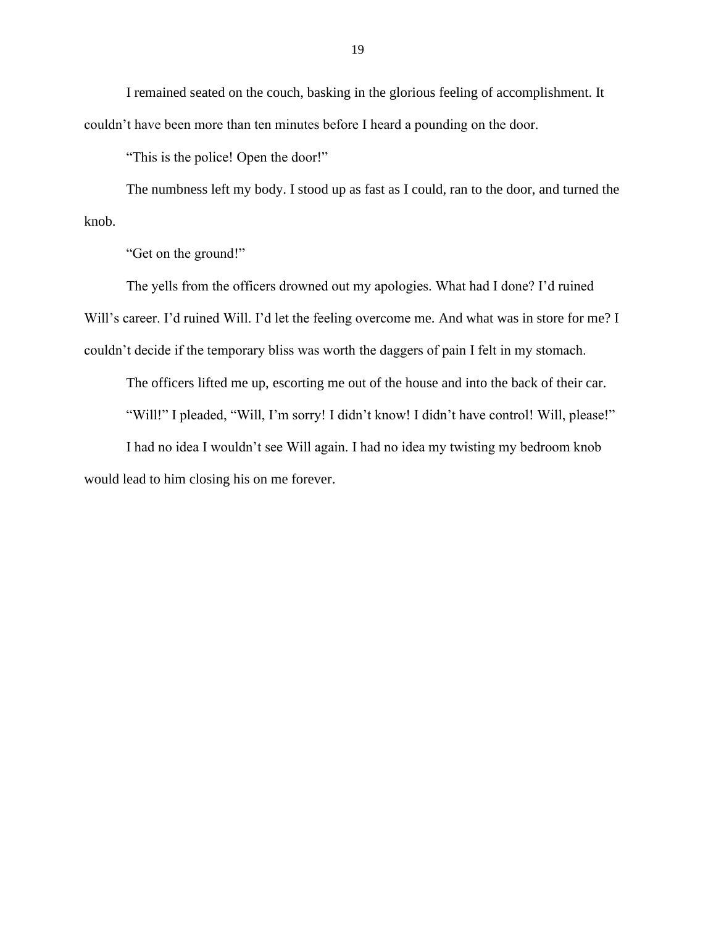I remained seated on the couch, basking in the glorious feeling of accomplishment. It couldn't have been more than ten minutes before I heard a pounding on the door.

"This is the police! Open the door!"

The numbness left my body. I stood up as fast as I could, ran to the door, and turned the knob.

"Get on the ground!"

The yells from the officers drowned out my apologies. What had I done? I'd ruined Will's career. I'd ruined Will. I'd let the feeling overcome me. And what was in store for me? I couldn't decide if the temporary bliss was worth the daggers of pain I felt in my stomach.

The officers lifted me up, escorting me out of the house and into the back of their car. "Will!" I pleaded, "Will, I'm sorry! I didn't know! I didn't have control! Will, please!" I had no idea I wouldn't see Will again. I had no idea my twisting my bedroom knob

would lead to him closing his on me forever.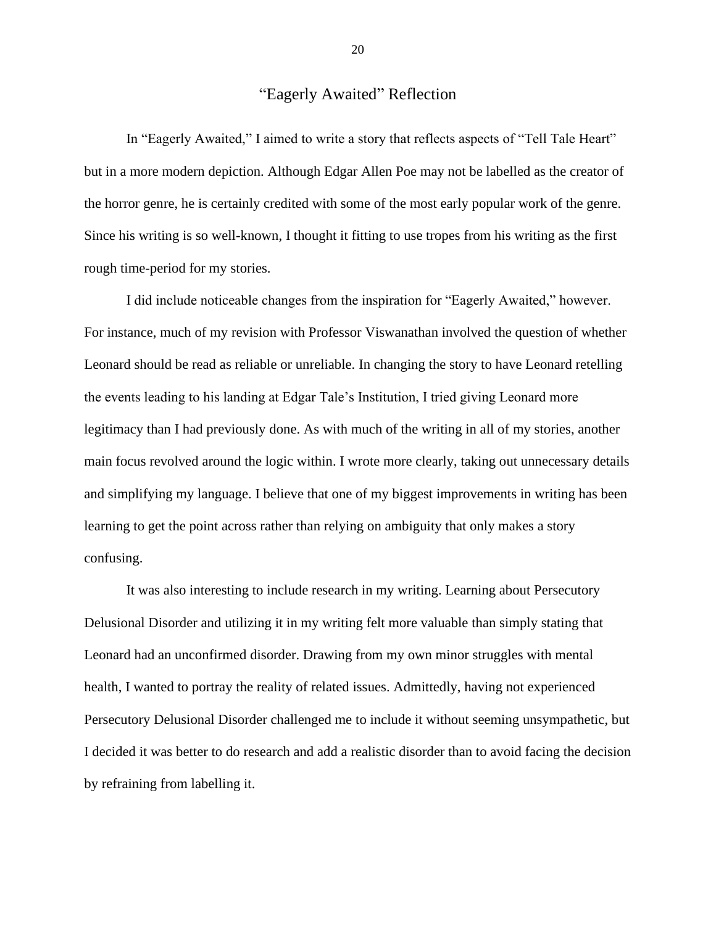### "Eagerly Awaited" Reflection

<span id="page-20-0"></span>In "Eagerly Awaited," I aimed to write a story that reflects aspects of "Tell Tale Heart" but in a more modern depiction. Although Edgar Allen Poe may not be labelled as the creator of the horror genre, he is certainly credited with some of the most early popular work of the genre. Since his writing is so well-known, I thought it fitting to use tropes from his writing as the first rough time-period for my stories.

I did include noticeable changes from the inspiration for "Eagerly Awaited," however. For instance, much of my revision with Professor Viswanathan involved the question of whether Leonard should be read as reliable or unreliable. In changing the story to have Leonard retelling the events leading to his landing at Edgar Tale's Institution, I tried giving Leonard more legitimacy than I had previously done. As with much of the writing in all of my stories, another main focus revolved around the logic within. I wrote more clearly, taking out unnecessary details and simplifying my language. I believe that one of my biggest improvements in writing has been learning to get the point across rather than relying on ambiguity that only makes a story confusing.

It was also interesting to include research in my writing. Learning about Persecutory Delusional Disorder and utilizing it in my writing felt more valuable than simply stating that Leonard had an unconfirmed disorder. Drawing from my own minor struggles with mental health, I wanted to portray the reality of related issues. Admittedly, having not experienced Persecutory Delusional Disorder challenged me to include it without seeming unsympathetic, but I decided it was better to do research and add a realistic disorder than to avoid facing the decision by refraining from labelling it.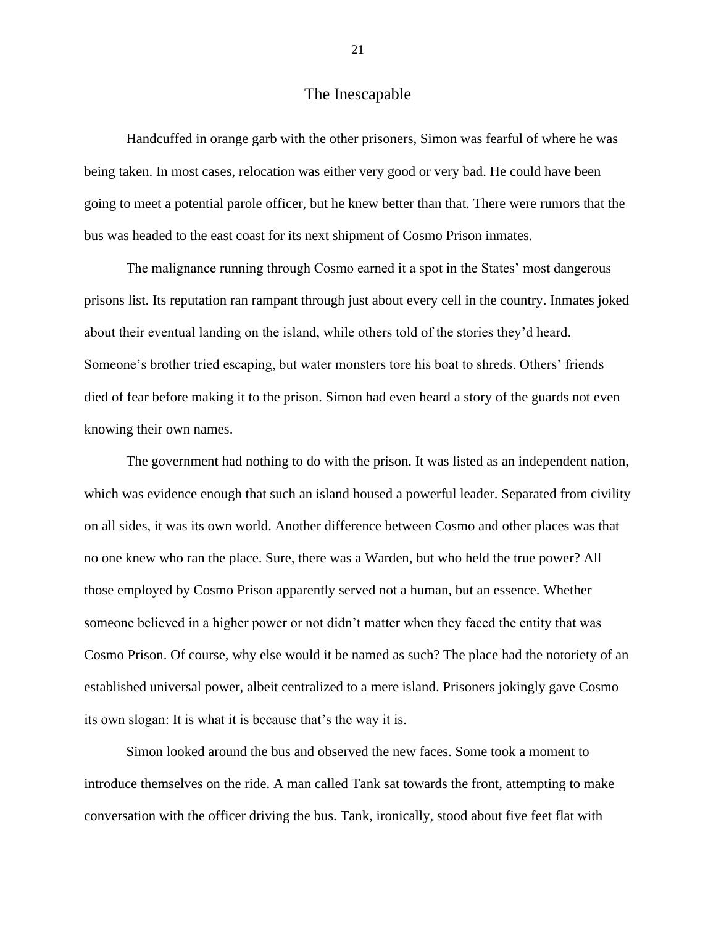#### The Inescapable

<span id="page-21-0"></span>Handcuffed in orange garb with the other prisoners, Simon was fearful of where he was being taken. In most cases, relocation was either very good or very bad. He could have been going to meet a potential parole officer, but he knew better than that. There were rumors that the bus was headed to the east coast for its next shipment of Cosmo Prison inmates.

The malignance running through Cosmo earned it a spot in the States' most dangerous prisons list. Its reputation ran rampant through just about every cell in the country. Inmates joked about their eventual landing on the island, while others told of the stories they'd heard. Someone's brother tried escaping, but water monsters tore his boat to shreds. Others' friends died of fear before making it to the prison. Simon had even heard a story of the guards not even knowing their own names.

The government had nothing to do with the prison. It was listed as an independent nation, which was evidence enough that such an island housed a powerful leader. Separated from civility on all sides, it was its own world. Another difference between Cosmo and other places was that no one knew who ran the place. Sure, there was a Warden, but who held the true power? All those employed by Cosmo Prison apparently served not a human, but an essence. Whether someone believed in a higher power or not didn't matter when they faced the entity that was Cosmo Prison. Of course, why else would it be named as such? The place had the notoriety of an established universal power, albeit centralized to a mere island. Prisoners jokingly gave Cosmo its own slogan: It is what it is because that's the way it is.

Simon looked around the bus and observed the new faces. Some took a moment to introduce themselves on the ride. A man called Tank sat towards the front, attempting to make conversation with the officer driving the bus. Tank, ironically, stood about five feet flat with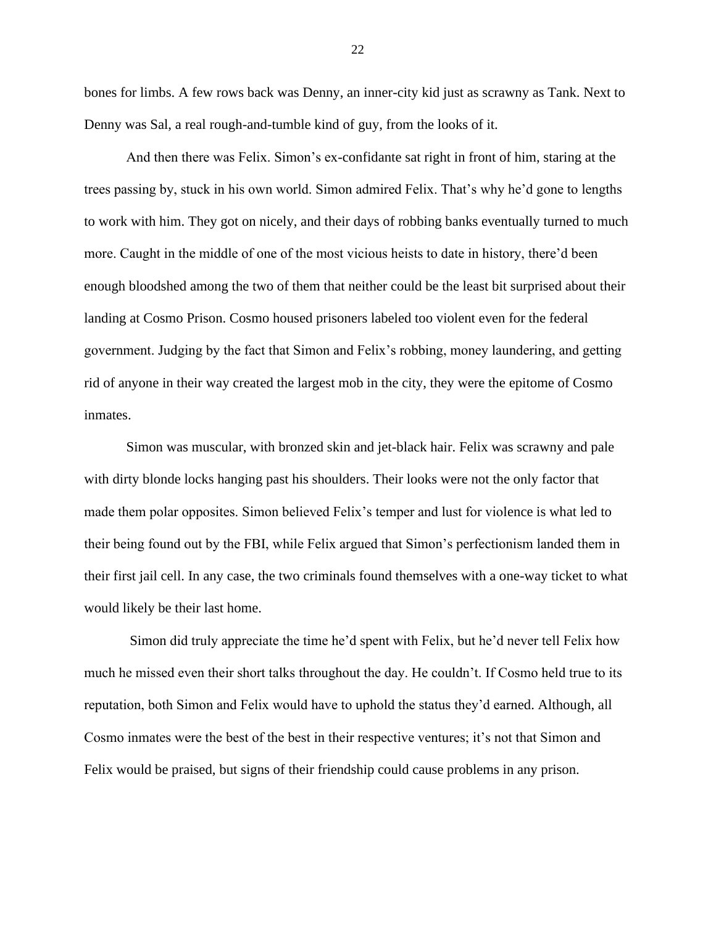bones for limbs. A few rows back was Denny, an inner-city kid just as scrawny as Tank. Next to Denny was Sal, a real rough-and-tumble kind of guy, from the looks of it.

And then there was Felix. Simon's ex-confidante sat right in front of him, staring at the trees passing by, stuck in his own world. Simon admired Felix. That's why he'd gone to lengths to work with him. They got on nicely, and their days of robbing banks eventually turned to much more. Caught in the middle of one of the most vicious heists to date in history, there'd been enough bloodshed among the two of them that neither could be the least bit surprised about their landing at Cosmo Prison. Cosmo housed prisoners labeled too violent even for the federal government. Judging by the fact that Simon and Felix's robbing, money laundering, and getting rid of anyone in their way created the largest mob in the city, they were the epitome of Cosmo inmates.

Simon was muscular, with bronzed skin and jet-black hair. Felix was scrawny and pale with dirty blonde locks hanging past his shoulders. Their looks were not the only factor that made them polar opposites. Simon believed Felix's temper and lust for violence is what led to their being found out by the FBI, while Felix argued that Simon's perfectionism landed them in their first jail cell. In any case, the two criminals found themselves with a one-way ticket to what would likely be their last home.

Simon did truly appreciate the time he'd spent with Felix, but he'd never tell Felix how much he missed even their short talks throughout the day. He couldn't. If Cosmo held true to its reputation, both Simon and Felix would have to uphold the status they'd earned. Although, all Cosmo inmates were the best of the best in their respective ventures; it's not that Simon and Felix would be praised, but signs of their friendship could cause problems in any prison.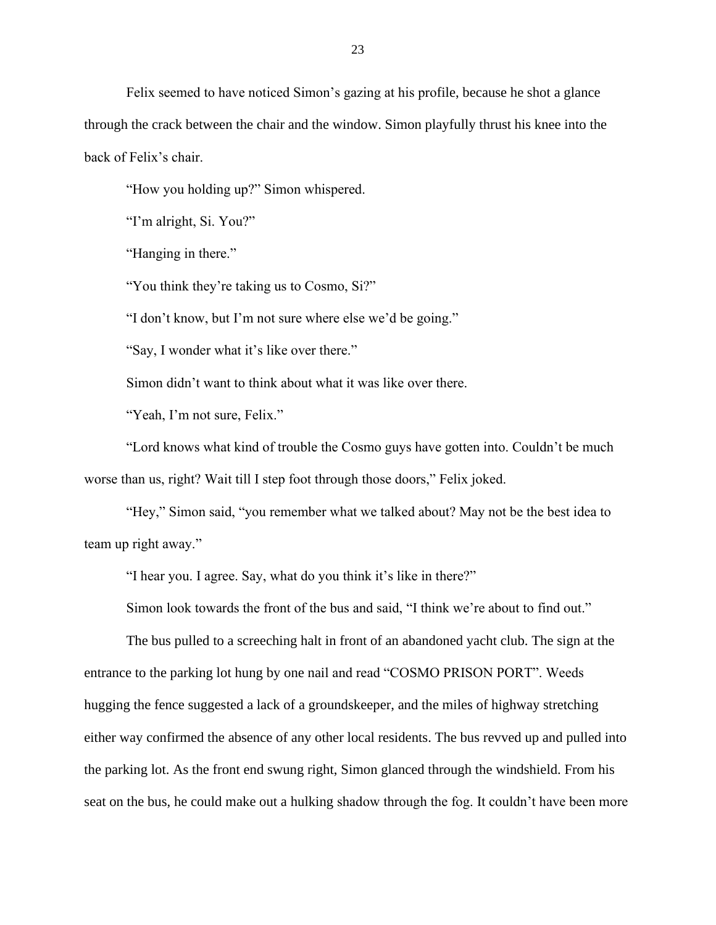Felix seemed to have noticed Simon's gazing at his profile, because he shot a glance through the crack between the chair and the window. Simon playfully thrust his knee into the back of Felix's chair.

"How you holding up?" Simon whispered.

"I'm alright, Si. You?"

"Hanging in there."

"You think they're taking us to Cosmo, Si?"

"I don't know, but I'm not sure where else we'd be going."

"Say, I wonder what it's like over there."

Simon didn't want to think about what it was like over there.

"Yeah, I'm not sure, Felix."

"Lord knows what kind of trouble the Cosmo guys have gotten into. Couldn't be much worse than us, right? Wait till I step foot through those doors," Felix joked.

"Hey," Simon said, "you remember what we talked about? May not be the best idea to team up right away."

"I hear you. I agree. Say, what do you think it's like in there?"

Simon look towards the front of the bus and said, "I think we're about to find out."

The bus pulled to a screeching halt in front of an abandoned yacht club. The sign at the entrance to the parking lot hung by one nail and read "COSMO PRISON PORT". Weeds hugging the fence suggested a lack of a groundskeeper, and the miles of highway stretching either way confirmed the absence of any other local residents. The bus revved up and pulled into the parking lot. As the front end swung right, Simon glanced through the windshield. From his seat on the bus, he could make out a hulking shadow through the fog. It couldn't have been more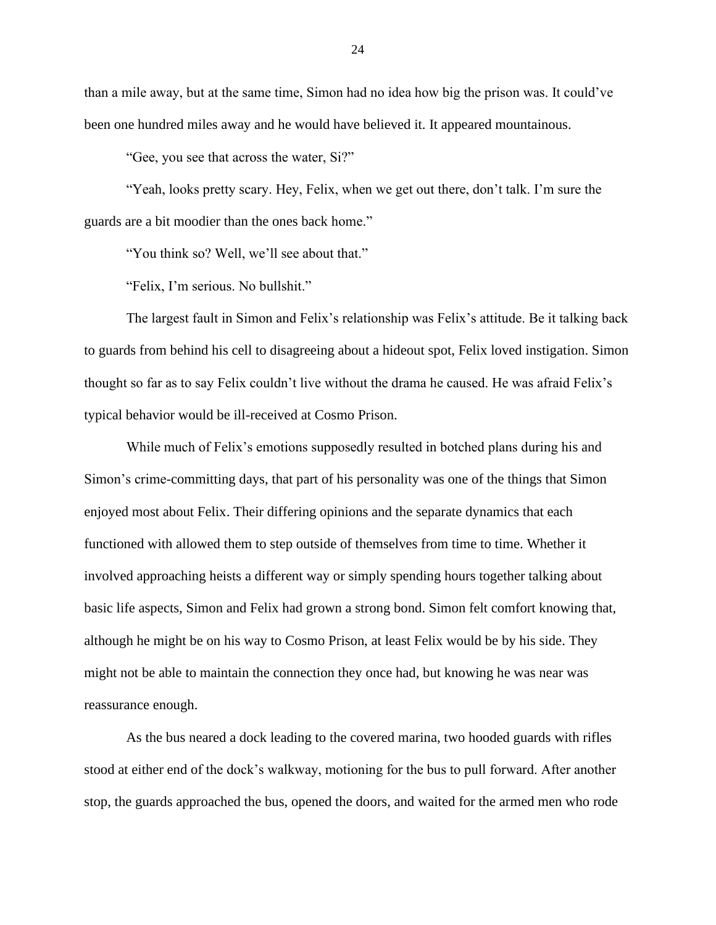than a mile away, but at the same time, Simon had no idea how big the prison was. It could've been one hundred miles away and he would have believed it. It appeared mountainous.

"Gee, you see that across the water, Si?"

"Yeah, looks pretty scary. Hey, Felix, when we get out there, don't talk. I'm sure the guards are a bit moodier than the ones back home."

"You think so? Well, we'll see about that."

"Felix, I'm serious. No bullshit."

The largest fault in Simon and Felix's relationship was Felix's attitude. Be it talking back to guards from behind his cell to disagreeing about a hideout spot, Felix loved instigation. Simon thought so far as to say Felix couldn't live without the drama he caused. He was afraid Felix's typical behavior would be ill-received at Cosmo Prison.

While much of Felix's emotions supposedly resulted in botched plans during his and Simon's crime-committing days, that part of his personality was one of the things that Simon enjoyed most about Felix. Their differing opinions and the separate dynamics that each functioned with allowed them to step outside of themselves from time to time. Whether it involved approaching heists a different way or simply spending hours together talking about basic life aspects, Simon and Felix had grown a strong bond. Simon felt comfort knowing that, although he might be on his way to Cosmo Prison, at least Felix would be by his side. They might not be able to maintain the connection they once had, but knowing he was near was reassurance enough.

As the bus neared a dock leading to the covered marina, two hooded guards with rifles stood at either end of the dock's walkway, motioning for the bus to pull forward. After another stop, the guards approached the bus, opened the doors, and waited for the armed men who rode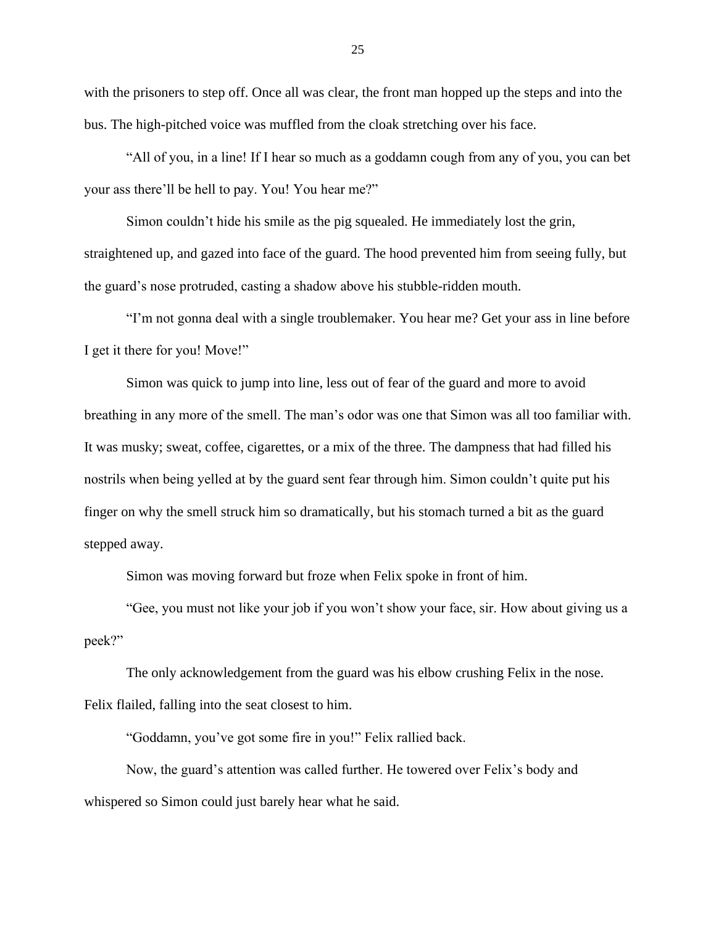with the prisoners to step off. Once all was clear, the front man hopped up the steps and into the bus. The high-pitched voice was muffled from the cloak stretching over his face.

"All of you, in a line! If I hear so much as a goddamn cough from any of you, you can bet your ass there'll be hell to pay. You! You hear me?"

Simon couldn't hide his smile as the pig squealed. He immediately lost the grin, straightened up, and gazed into face of the guard. The hood prevented him from seeing fully, but the guard's nose protruded, casting a shadow above his stubble-ridden mouth.

"I'm not gonna deal with a single troublemaker. You hear me? Get your ass in line before I get it there for you! Move!"

Simon was quick to jump into line, less out of fear of the guard and more to avoid breathing in any more of the smell. The man's odor was one that Simon was all too familiar with. It was musky; sweat, coffee, cigarettes, or a mix of the three. The dampness that had filled his nostrils when being yelled at by the guard sent fear through him. Simon couldn't quite put his finger on why the smell struck him so dramatically, but his stomach turned a bit as the guard stepped away.

Simon was moving forward but froze when Felix spoke in front of him.

"Gee, you must not like your job if you won't show your face, sir. How about giving us a peek?"

The only acknowledgement from the guard was his elbow crushing Felix in the nose. Felix flailed, falling into the seat closest to him.

"Goddamn, you've got some fire in you!" Felix rallied back.

Now, the guard's attention was called further. He towered over Felix's body and whispered so Simon could just barely hear what he said.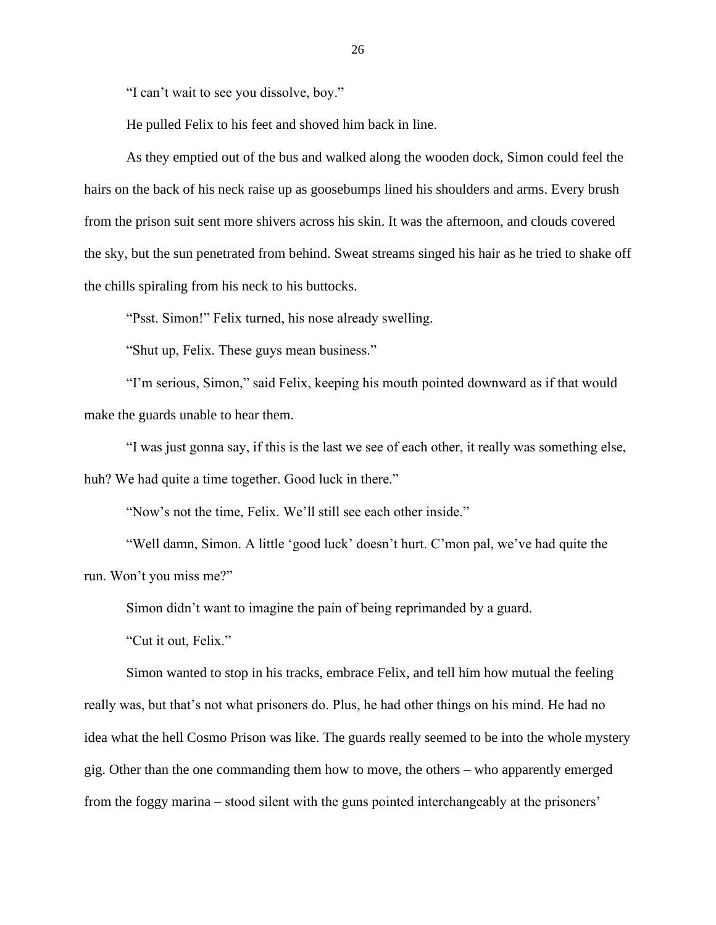"I can't wait to see you dissolve, boy."

He pulled Felix to his feet and shoved him back in line.

As they emptied out of the bus and walked along the wooden dock, Simon could feel the hairs on the back of his neck raise up as goosebumps lined his shoulders and arms. Every brush from the prison suit sent more shivers across his skin. It was the afternoon, and clouds covered the sky, but the sun penetrated from behind. Sweat streams singed his hair as he tried to shake off the chills spiraling from his neck to his buttocks.

"Psst. Simon!" Felix turned, his nose already swelling.

"Shut up, Felix. These guys mean business."

"I'm serious, Simon," said Felix, keeping his mouth pointed downward as if that would make the guards unable to hear them.

"I was just gonna say, if this is the last we see of each other, it really was something else,

huh? We had quite a time together. Good luck in there."

"Now's not the time, Felix. We'll still see each other inside."

"Well damn, Simon. A little 'good luck' doesn't hurt. C'mon pal, we've had quite the run. Won't you miss me?"

Simon didn't want to imagine the pain of being reprimanded by a guard.

"Cut it out, Felix."

Simon wanted to stop in his tracks, embrace Felix, and tell him how mutual the feeling really was, but that's not what prisoners do. Plus, he had other things on his mind. He had no idea what the hell Cosmo Prison was like. The guards really seemed to be into the whole mystery gig. Other than the one commanding them how to move, the others – who apparently emerged from the foggy marina – stood silent with the guns pointed interchangeably at the prisoners'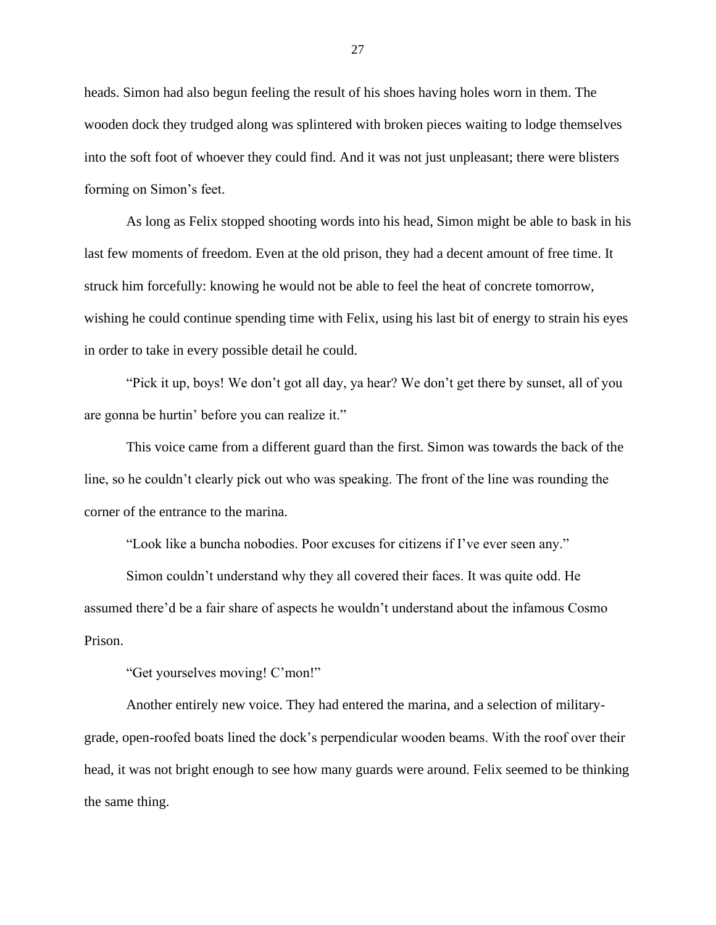heads. Simon had also begun feeling the result of his shoes having holes worn in them. The wooden dock they trudged along was splintered with broken pieces waiting to lodge themselves into the soft foot of whoever they could find. And it was not just unpleasant; there were blisters forming on Simon's feet.

As long as Felix stopped shooting words into his head, Simon might be able to bask in his last few moments of freedom. Even at the old prison, they had a decent amount of free time. It struck him forcefully: knowing he would not be able to feel the heat of concrete tomorrow, wishing he could continue spending time with Felix, using his last bit of energy to strain his eyes in order to take in every possible detail he could.

"Pick it up, boys! We don't got all day, ya hear? We don't get there by sunset, all of you are gonna be hurtin' before you can realize it."

This voice came from a different guard than the first. Simon was towards the back of the line, so he couldn't clearly pick out who was speaking. The front of the line was rounding the corner of the entrance to the marina.

"Look like a buncha nobodies. Poor excuses for citizens if I've ever seen any."

Simon couldn't understand why they all covered their faces. It was quite odd. He assumed there'd be a fair share of aspects he wouldn't understand about the infamous Cosmo Prison.

"Get yourselves moving! C'mon!"

Another entirely new voice. They had entered the marina, and a selection of militarygrade, open-roofed boats lined the dock's perpendicular wooden beams. With the roof over their head, it was not bright enough to see how many guards were around. Felix seemed to be thinking the same thing.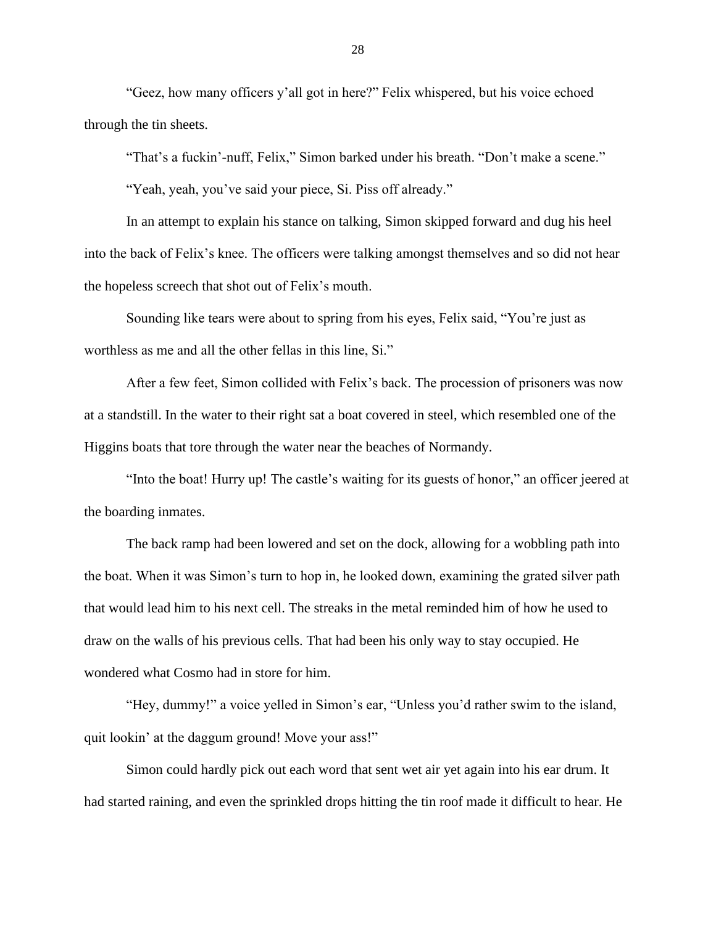"Geez, how many officers y'all got in here?" Felix whispered, but his voice echoed through the tin sheets.

"That's a fuckin'-nuff, Felix," Simon barked under his breath. "Don't make a scene."

"Yeah, yeah, you've said your piece, Si. Piss off already."

In an attempt to explain his stance on talking, Simon skipped forward and dug his heel into the back of Felix's knee. The officers were talking amongst themselves and so did not hear the hopeless screech that shot out of Felix's mouth.

Sounding like tears were about to spring from his eyes, Felix said, "You're just as worthless as me and all the other fellas in this line, Si."

After a few feet, Simon collided with Felix's back. The procession of prisoners was now at a standstill. In the water to their right sat a boat covered in steel, which resembled one of the Higgins boats that tore through the water near the beaches of Normandy.

"Into the boat! Hurry up! The castle's waiting for its guests of honor," an officer jeered at the boarding inmates.

The back ramp had been lowered and set on the dock, allowing for a wobbling path into the boat. When it was Simon's turn to hop in, he looked down, examining the grated silver path that would lead him to his next cell. The streaks in the metal reminded him of how he used to draw on the walls of his previous cells. That had been his only way to stay occupied. He wondered what Cosmo had in store for him.

"Hey, dummy!" a voice yelled in Simon's ear, "Unless you'd rather swim to the island, quit lookin' at the daggum ground! Move your ass!"

Simon could hardly pick out each word that sent wet air yet again into his ear drum. It had started raining, and even the sprinkled drops hitting the tin roof made it difficult to hear. He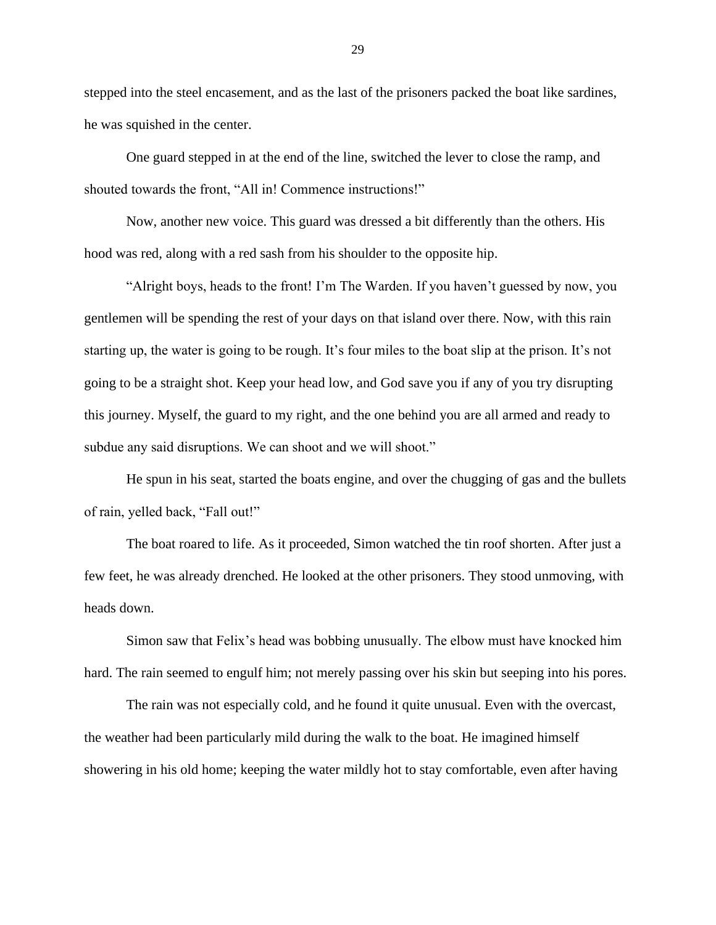stepped into the steel encasement, and as the last of the prisoners packed the boat like sardines, he was squished in the center.

One guard stepped in at the end of the line, switched the lever to close the ramp, and shouted towards the front, "All in! Commence instructions!"

Now, another new voice. This guard was dressed a bit differently than the others. His hood was red, along with a red sash from his shoulder to the opposite hip.

"Alright boys, heads to the front! I'm The Warden. If you haven't guessed by now, you gentlemen will be spending the rest of your days on that island over there. Now, with this rain starting up, the water is going to be rough. It's four miles to the boat slip at the prison. It's not going to be a straight shot. Keep your head low, and God save you if any of you try disrupting this journey. Myself, the guard to my right, and the one behind you are all armed and ready to subdue any said disruptions. We can shoot and we will shoot."

He spun in his seat, started the boats engine, and over the chugging of gas and the bullets of rain, yelled back, "Fall out!"

The boat roared to life. As it proceeded, Simon watched the tin roof shorten. After just a few feet, he was already drenched. He looked at the other prisoners. They stood unmoving, with heads down.

Simon saw that Felix's head was bobbing unusually. The elbow must have knocked him hard. The rain seemed to engulf him; not merely passing over his skin but seeping into his pores.

The rain was not especially cold, and he found it quite unusual. Even with the overcast, the weather had been particularly mild during the walk to the boat. He imagined himself showering in his old home; keeping the water mildly hot to stay comfortable, even after having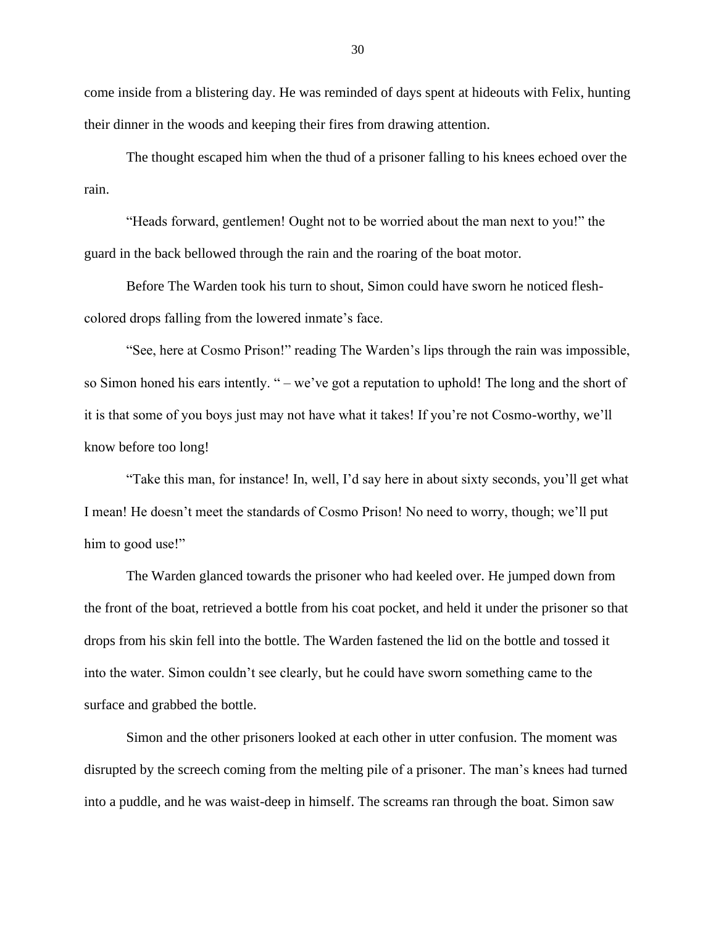come inside from a blistering day. He was reminded of days spent at hideouts with Felix, hunting their dinner in the woods and keeping their fires from drawing attention.

The thought escaped him when the thud of a prisoner falling to his knees echoed over the rain.

"Heads forward, gentlemen! Ought not to be worried about the man next to you!" the guard in the back bellowed through the rain and the roaring of the boat motor.

Before The Warden took his turn to shout, Simon could have sworn he noticed fleshcolored drops falling from the lowered inmate's face.

"See, here at Cosmo Prison!" reading The Warden's lips through the rain was impossible, so Simon honed his ears intently. " – we've got a reputation to uphold! The long and the short of it is that some of you boys just may not have what it takes! If you're not Cosmo-worthy, we'll know before too long!

"Take this man, for instance! In, well, I'd say here in about sixty seconds, you'll get what I mean! He doesn't meet the standards of Cosmo Prison! No need to worry, though; we'll put him to good use!"

The Warden glanced towards the prisoner who had keeled over. He jumped down from the front of the boat, retrieved a bottle from his coat pocket, and held it under the prisoner so that drops from his skin fell into the bottle. The Warden fastened the lid on the bottle and tossed it into the water. Simon couldn't see clearly, but he could have sworn something came to the surface and grabbed the bottle.

Simon and the other prisoners looked at each other in utter confusion. The moment was disrupted by the screech coming from the melting pile of a prisoner. The man's knees had turned into a puddle, and he was waist-deep in himself. The screams ran through the boat. Simon saw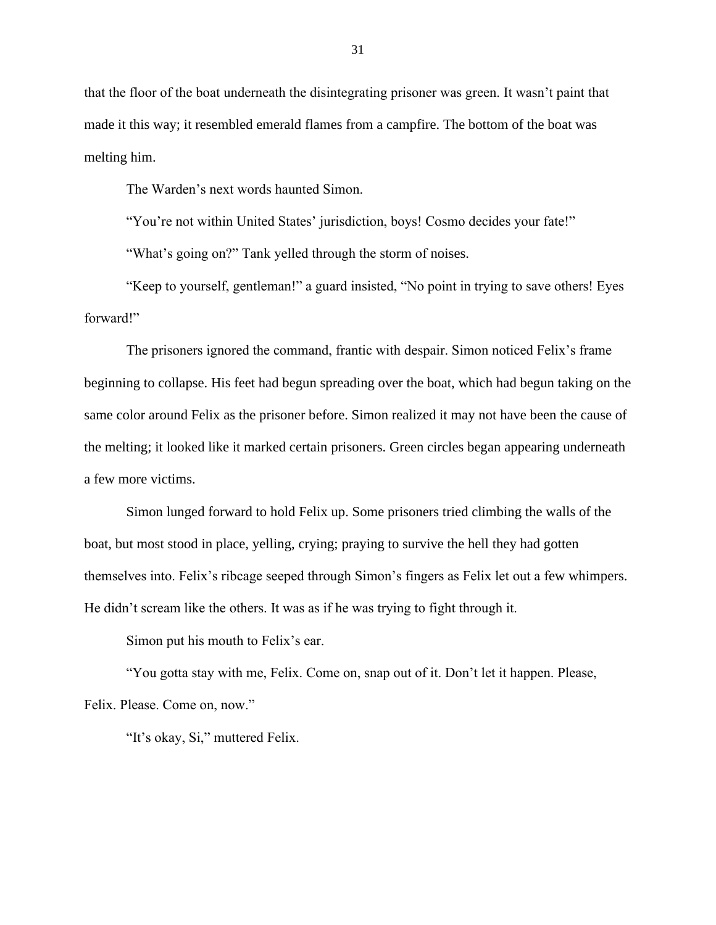that the floor of the boat underneath the disintegrating prisoner was green. It wasn't paint that made it this way; it resembled emerald flames from a campfire. The bottom of the boat was melting him.

The Warden's next words haunted Simon.

"You're not within United States' jurisdiction, boys! Cosmo decides your fate!"

"What's going on?" Tank yelled through the storm of noises.

"Keep to yourself, gentleman!" a guard insisted, "No point in trying to save others! Eyes forward!"

The prisoners ignored the command, frantic with despair. Simon noticed Felix's frame beginning to collapse. His feet had begun spreading over the boat, which had begun taking on the same color around Felix as the prisoner before. Simon realized it may not have been the cause of the melting; it looked like it marked certain prisoners. Green circles began appearing underneath a few more victims.

Simon lunged forward to hold Felix up. Some prisoners tried climbing the walls of the boat, but most stood in place, yelling, crying; praying to survive the hell they had gotten themselves into. Felix's ribcage seeped through Simon's fingers as Felix let out a few whimpers. He didn't scream like the others. It was as if he was trying to fight through it.

Simon put his mouth to Felix's ear.

"You gotta stay with me, Felix. Come on, snap out of it. Don't let it happen. Please, Felix. Please. Come on, now."

"It's okay, Si," muttered Felix.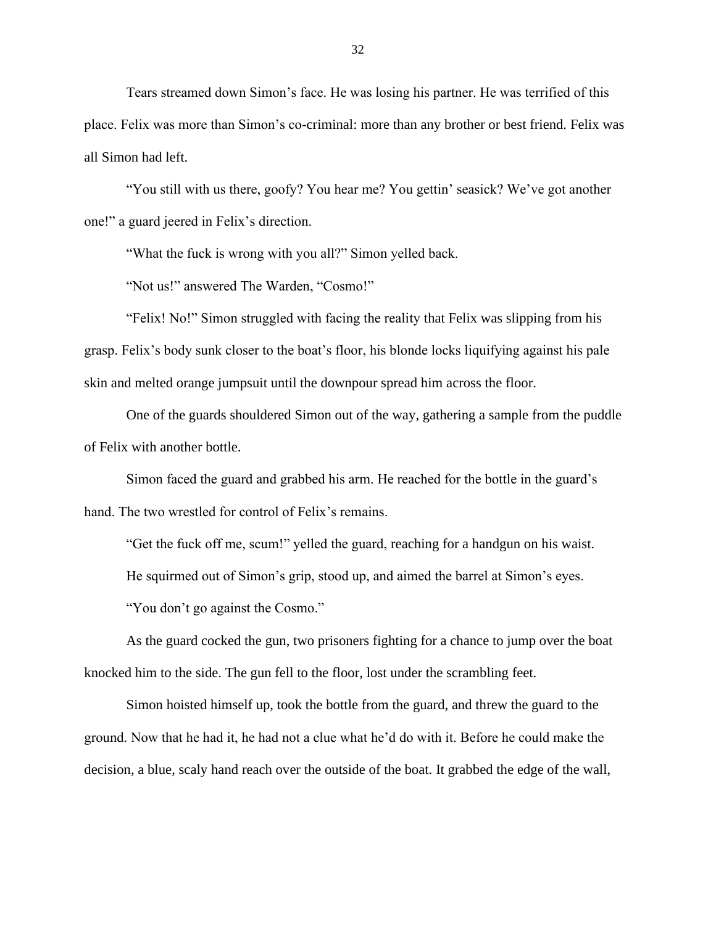Tears streamed down Simon's face. He was losing his partner. He was terrified of this place. Felix was more than Simon's co-criminal: more than any brother or best friend. Felix was all Simon had left.

"You still with us there, goofy? You hear me? You gettin' seasick? We've got another one!" a guard jeered in Felix's direction.

"What the fuck is wrong with you all?" Simon yelled back.

"Not us!" answered The Warden, "Cosmo!"

"Felix! No!" Simon struggled with facing the reality that Felix was slipping from his grasp. Felix's body sunk closer to the boat's floor, his blonde locks liquifying against his pale skin and melted orange jumpsuit until the downpour spread him across the floor.

One of the guards shouldered Simon out of the way, gathering a sample from the puddle of Felix with another bottle.

Simon faced the guard and grabbed his arm. He reached for the bottle in the guard's hand. The two wrestled for control of Felix's remains.

"Get the fuck off me, scum!" yelled the guard, reaching for a handgun on his waist.

He squirmed out of Simon's grip, stood up, and aimed the barrel at Simon's eyes.

"You don't go against the Cosmo."

As the guard cocked the gun, two prisoners fighting for a chance to jump over the boat knocked him to the side. The gun fell to the floor, lost under the scrambling feet.

Simon hoisted himself up, took the bottle from the guard, and threw the guard to the ground. Now that he had it, he had not a clue what he'd do with it. Before he could make the decision, a blue, scaly hand reach over the outside of the boat. It grabbed the edge of the wall,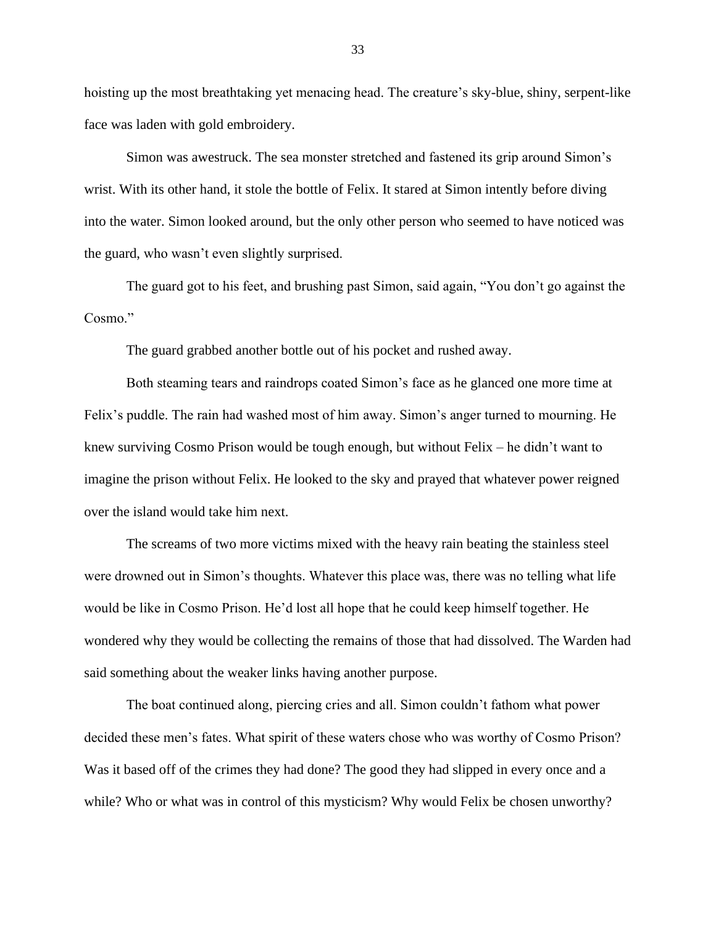hoisting up the most breathtaking yet menacing head. The creature's sky-blue, shiny, serpent-like face was laden with gold embroidery.

Simon was awestruck. The sea monster stretched and fastened its grip around Simon's wrist. With its other hand, it stole the bottle of Felix. It stared at Simon intently before diving into the water. Simon looked around, but the only other person who seemed to have noticed was the guard, who wasn't even slightly surprised.

The guard got to his feet, and brushing past Simon, said again, "You don't go against the Cosmo."

The guard grabbed another bottle out of his pocket and rushed away.

Both steaming tears and raindrops coated Simon's face as he glanced one more time at Felix's puddle. The rain had washed most of him away. Simon's anger turned to mourning. He knew surviving Cosmo Prison would be tough enough, but without Felix – he didn't want to imagine the prison without Felix. He looked to the sky and prayed that whatever power reigned over the island would take him next.

The screams of two more victims mixed with the heavy rain beating the stainless steel were drowned out in Simon's thoughts. Whatever this place was, there was no telling what life would be like in Cosmo Prison. He'd lost all hope that he could keep himself together. He wondered why they would be collecting the remains of those that had dissolved. The Warden had said something about the weaker links having another purpose.

The boat continued along, piercing cries and all. Simon couldn't fathom what power decided these men's fates. What spirit of these waters chose who was worthy of Cosmo Prison? Was it based off of the crimes they had done? The good they had slipped in every once and a while? Who or what was in control of this mysticism? Why would Felix be chosen unworthy?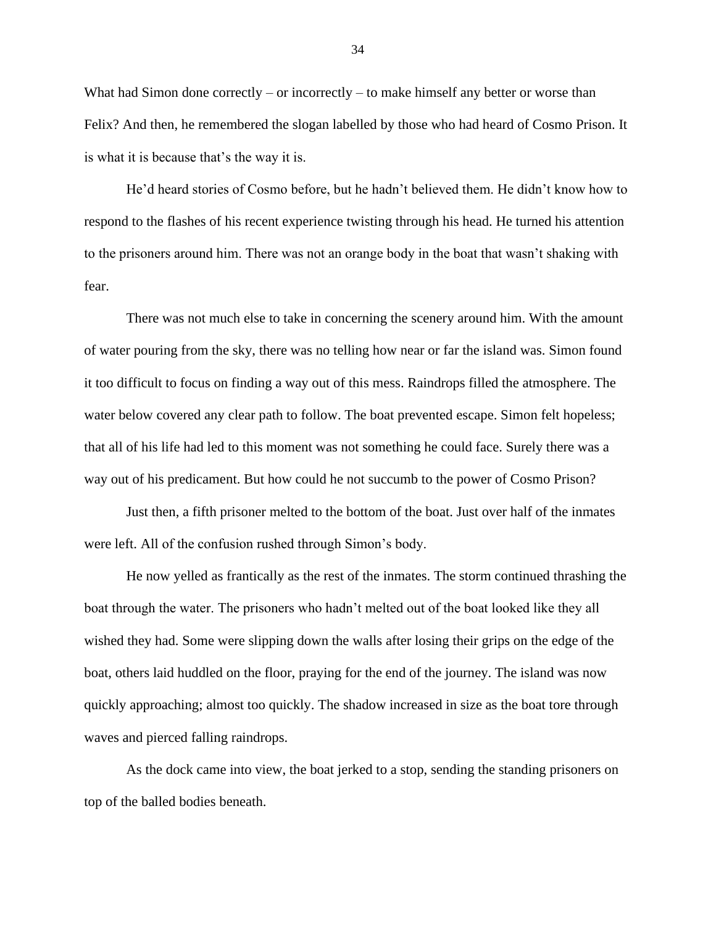What had Simon done correctly – or incorrectly – to make himself any better or worse than Felix? And then, he remembered the slogan labelled by those who had heard of Cosmo Prison. It is what it is because that's the way it is.

He'd heard stories of Cosmo before, but he hadn't believed them. He didn't know how to respond to the flashes of his recent experience twisting through his head. He turned his attention to the prisoners around him. There was not an orange body in the boat that wasn't shaking with fear.

There was not much else to take in concerning the scenery around him. With the amount of water pouring from the sky, there was no telling how near or far the island was. Simon found it too difficult to focus on finding a way out of this mess. Raindrops filled the atmosphere. The water below covered any clear path to follow. The boat prevented escape. Simon felt hopeless; that all of his life had led to this moment was not something he could face. Surely there was a way out of his predicament. But how could he not succumb to the power of Cosmo Prison?

Just then, a fifth prisoner melted to the bottom of the boat. Just over half of the inmates were left. All of the confusion rushed through Simon's body.

He now yelled as frantically as the rest of the inmates. The storm continued thrashing the boat through the water. The prisoners who hadn't melted out of the boat looked like they all wished they had. Some were slipping down the walls after losing their grips on the edge of the boat, others laid huddled on the floor, praying for the end of the journey. The island was now quickly approaching; almost too quickly. The shadow increased in size as the boat tore through waves and pierced falling raindrops.

As the dock came into view, the boat jerked to a stop, sending the standing prisoners on top of the balled bodies beneath.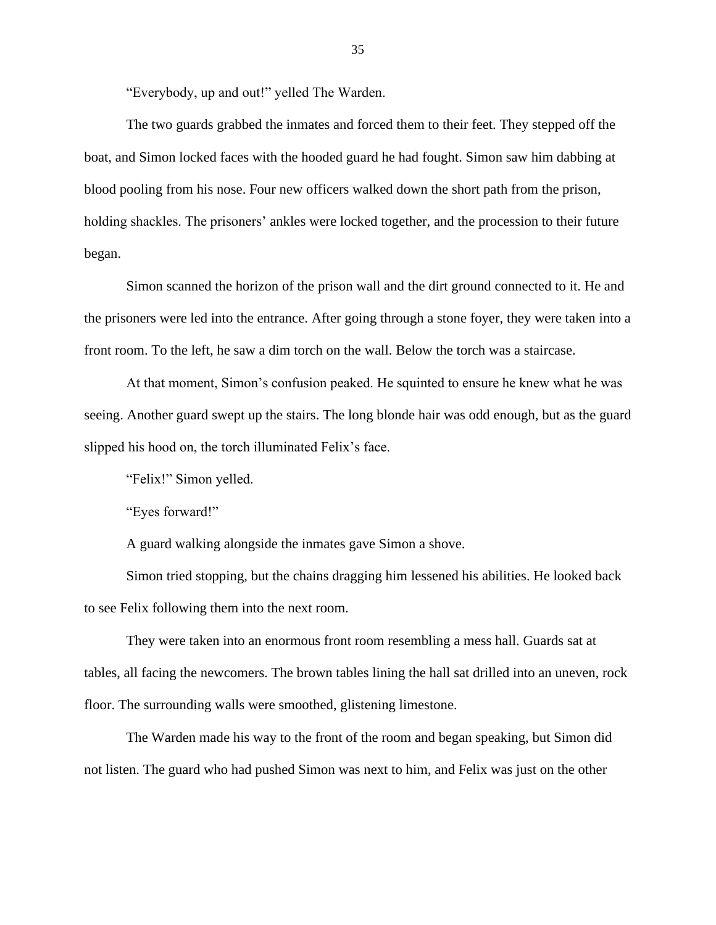"Everybody, up and out!" yelled The Warden.

The two guards grabbed the inmates and forced them to their feet. They stepped off the boat, and Simon locked faces with the hooded guard he had fought. Simon saw him dabbing at blood pooling from his nose. Four new officers walked down the short path from the prison, holding shackles. The prisoners' ankles were locked together, and the procession to their future began.

Simon scanned the horizon of the prison wall and the dirt ground connected to it. He and the prisoners were led into the entrance. After going through a stone foyer, they were taken into a front room. To the left, he saw a dim torch on the wall. Below the torch was a staircase.

At that moment, Simon's confusion peaked. He squinted to ensure he knew what he was seeing. Another guard swept up the stairs. The long blonde hair was odd enough, but as the guard slipped his hood on, the torch illuminated Felix's face.

"Felix!" Simon yelled.

"Eyes forward!"

A guard walking alongside the inmates gave Simon a shove.

Simon tried stopping, but the chains dragging him lessened his abilities. He looked back to see Felix following them into the next room.

They were taken into an enormous front room resembling a mess hall. Guards sat at tables, all facing the newcomers. The brown tables lining the hall sat drilled into an uneven, rock floor. The surrounding walls were smoothed, glistening limestone.

The Warden made his way to the front of the room and began speaking, but Simon did not listen. The guard who had pushed Simon was next to him, and Felix was just on the other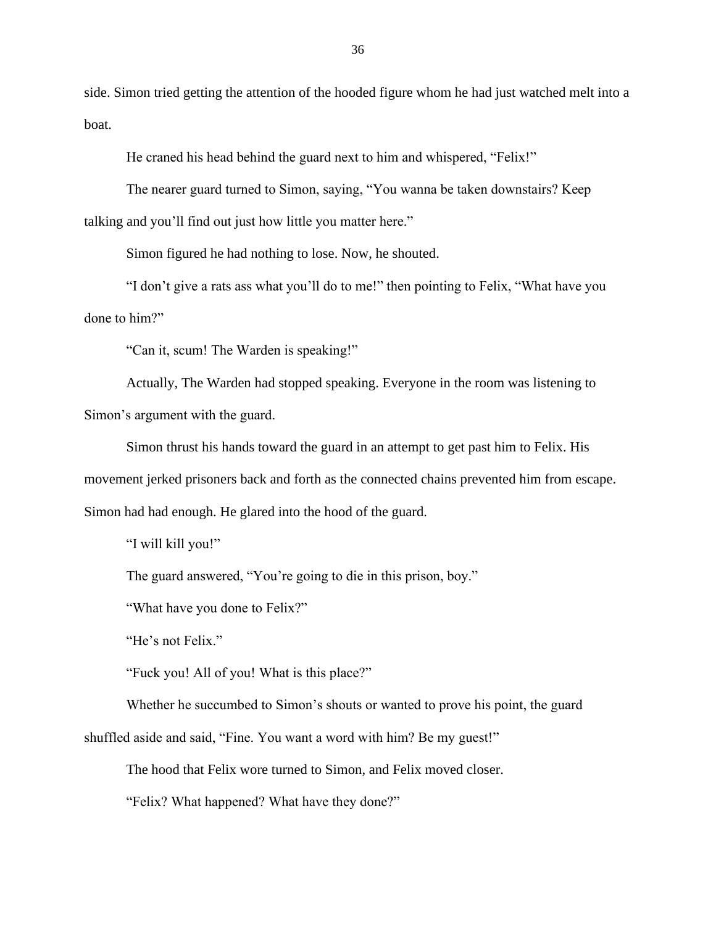side. Simon tried getting the attention of the hooded figure whom he had just watched melt into a boat.

He craned his head behind the guard next to him and whispered, "Felix!"

The nearer guard turned to Simon, saying, "You wanna be taken downstairs? Keep talking and you'll find out just how little you matter here."

Simon figured he had nothing to lose. Now, he shouted.

"I don't give a rats ass what you'll do to me!" then pointing to Felix, "What have you done to him?"

"Can it, scum! The Warden is speaking!"

Actually, The Warden had stopped speaking. Everyone in the room was listening to Simon's argument with the guard.

Simon thrust his hands toward the guard in an attempt to get past him to Felix. His movement jerked prisoners back and forth as the connected chains prevented him from escape. Simon had had enough. He glared into the hood of the guard.

"I will kill you!"

The guard answered, "You're going to die in this prison, boy."

"What have you done to Felix?"

"He's not Felix."

"Fuck you! All of you! What is this place?"

Whether he succumbed to Simon's shouts or wanted to prove his point, the guard

shuffled aside and said, "Fine. You want a word with him? Be my guest!"

The hood that Felix wore turned to Simon, and Felix moved closer.

"Felix? What happened? What have they done?"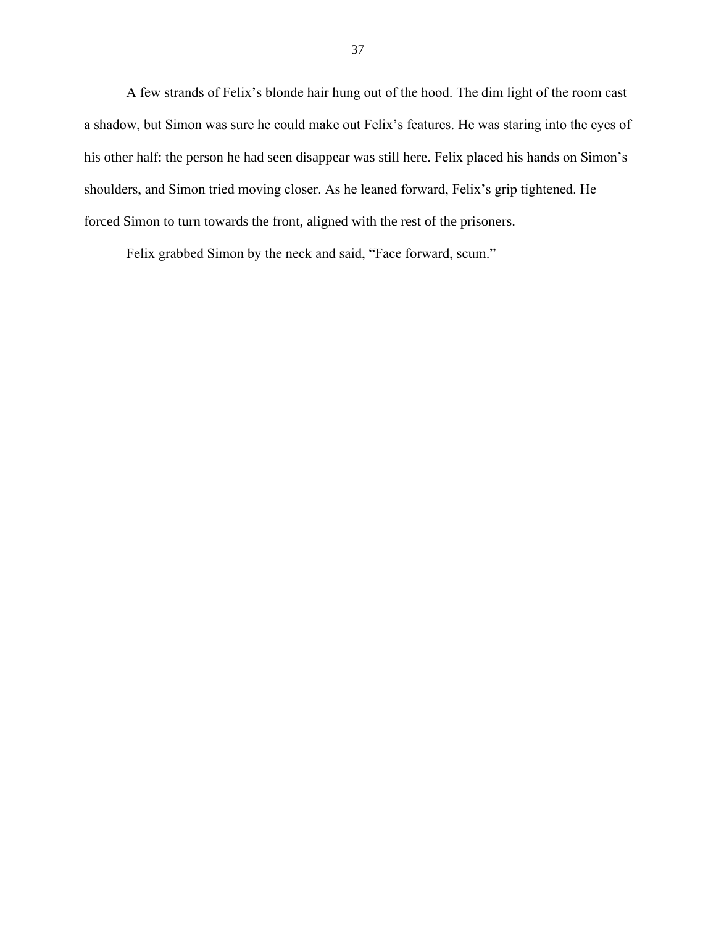A few strands of Felix's blonde hair hung out of the hood. The dim light of the room cast a shadow, but Simon was sure he could make out Felix's features. He was staring into the eyes of his other half: the person he had seen disappear was still here. Felix placed his hands on Simon's shoulders, and Simon tried moving closer. As he leaned forward, Felix's grip tightened. He forced Simon to turn towards the front, aligned with the rest of the prisoners.

Felix grabbed Simon by the neck and said, "Face forward, scum."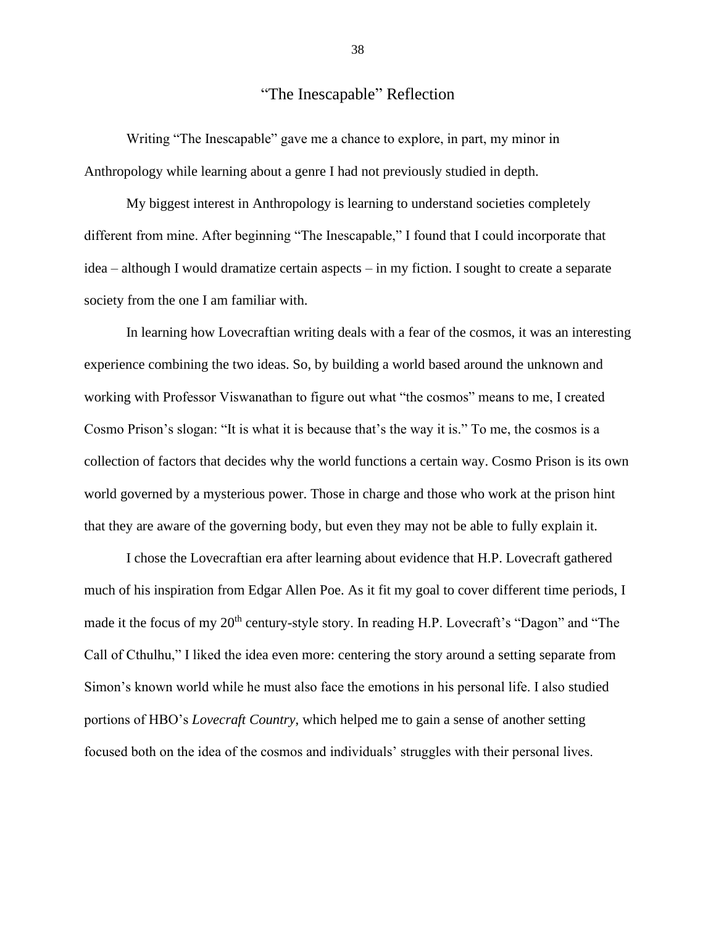## "The Inescapable" Reflection

Writing "The Inescapable" gave me a chance to explore, in part, my minor in Anthropology while learning about a genre I had not previously studied in depth.

My biggest interest in Anthropology is learning to understand societies completely different from mine. After beginning "The Inescapable," I found that I could incorporate that idea – although I would dramatize certain aspects – in my fiction. I sought to create a separate society from the one I am familiar with.

In learning how Lovecraftian writing deals with a fear of the cosmos, it was an interesting experience combining the two ideas. So, by building a world based around the unknown and working with Professor Viswanathan to figure out what "the cosmos" means to me, I created Cosmo Prison's slogan: "It is what it is because that's the way it is." To me, the cosmos is a collection of factors that decides why the world functions a certain way. Cosmo Prison is its own world governed by a mysterious power. Those in charge and those who work at the prison hint that they are aware of the governing body, but even they may not be able to fully explain it.

I chose the Lovecraftian era after learning about evidence that H.P. Lovecraft gathered much of his inspiration from Edgar Allen Poe. As it fit my goal to cover different time periods, I made it the focus of my 20<sup>th</sup> century-style story. In reading H.P. Lovecraft's "Dagon" and "The Call of Cthulhu," I liked the idea even more: centering the story around a setting separate from Simon's known world while he must also face the emotions in his personal life. I also studied portions of HBO's *Lovecraft Country*, which helped me to gain a sense of another setting focused both on the idea of the cosmos and individuals' struggles with their personal lives.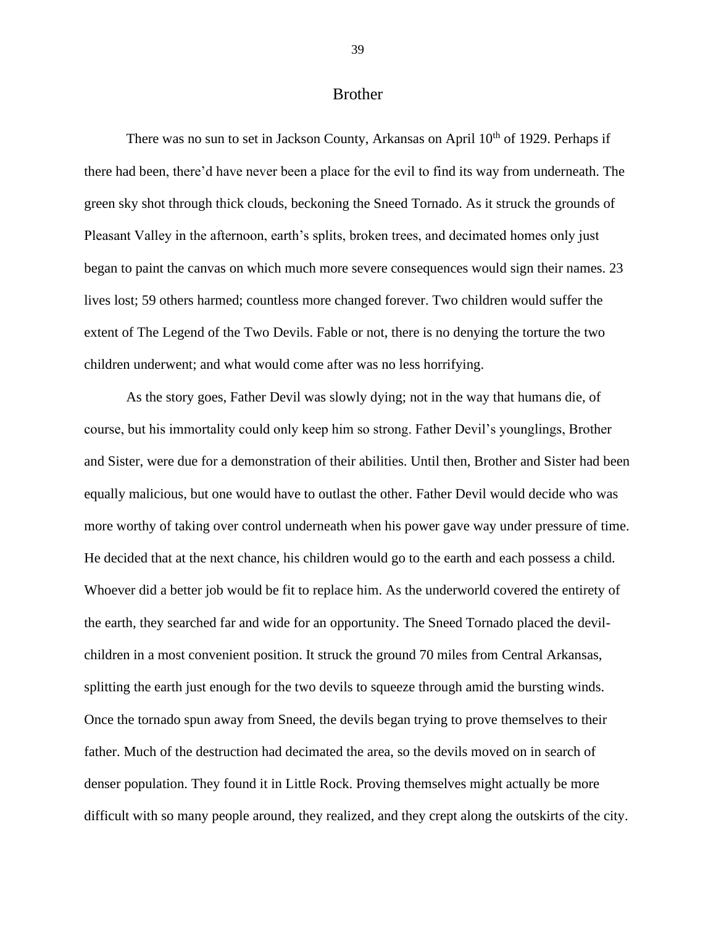## Brother

There was no sun to set in Jackson County, Arkansas on April  $10<sup>th</sup>$  of 1929. Perhaps if there had been, there'd have never been a place for the evil to find its way from underneath. The green sky shot through thick clouds, beckoning the Sneed Tornado. As it struck the grounds of Pleasant Valley in the afternoon, earth's splits, broken trees, and decimated homes only just began to paint the canvas on which much more severe consequences would sign their names. 23 lives lost; 59 others harmed; countless more changed forever. Two children would suffer the extent of The Legend of the Two Devils. Fable or not, there is no denying the torture the two children underwent; and what would come after was no less horrifying.

As the story goes, Father Devil was slowly dying; not in the way that humans die, of course, but his immortality could only keep him so strong. Father Devil's younglings, Brother and Sister, were due for a demonstration of their abilities. Until then, Brother and Sister had been equally malicious, but one would have to outlast the other. Father Devil would decide who was more worthy of taking over control underneath when his power gave way under pressure of time. He decided that at the next chance, his children would go to the earth and each possess a child. Whoever did a better job would be fit to replace him. As the underworld covered the entirety of the earth, they searched far and wide for an opportunity. The Sneed Tornado placed the devilchildren in a most convenient position. It struck the ground 70 miles from Central Arkansas, splitting the earth just enough for the two devils to squeeze through amid the bursting winds. Once the tornado spun away from Sneed, the devils began trying to prove themselves to their father. Much of the destruction had decimated the area, so the devils moved on in search of denser population. They found it in Little Rock. Proving themselves might actually be more difficult with so many people around, they realized, and they crept along the outskirts of the city.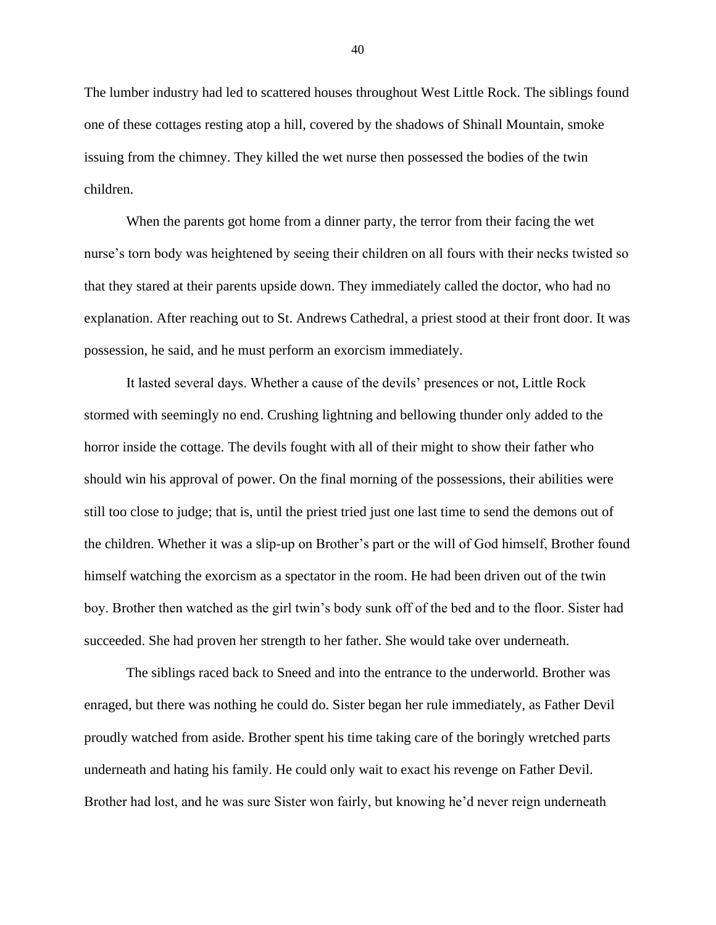The lumber industry had led to scattered houses throughout West Little Rock. The siblings found one of these cottages resting atop a hill, covered by the shadows of Shinall Mountain, smoke issuing from the chimney. They killed the wet nurse then possessed the bodies of the twin children.

When the parents got home from a dinner party, the terror from their facing the wet nurse's torn body was heightened by seeing their children on all fours with their necks twisted so that they stared at their parents upside down. They immediately called the doctor, who had no explanation. After reaching out to St. Andrews Cathedral, a priest stood at their front door. It was possession, he said, and he must perform an exorcism immediately.

It lasted several days. Whether a cause of the devils' presences or not, Little Rock stormed with seemingly no end. Crushing lightning and bellowing thunder only added to the horror inside the cottage. The devils fought with all of their might to show their father who should win his approval of power. On the final morning of the possessions, their abilities were still too close to judge; that is, until the priest tried just one last time to send the demons out of the children. Whether it was a slip-up on Brother's part or the will of God himself, Brother found himself watching the exorcism as a spectator in the room. He had been driven out of the twin boy. Brother then watched as the girl twin's body sunk off of the bed and to the floor. Sister had succeeded. She had proven her strength to her father. She would take over underneath.

The siblings raced back to Sneed and into the entrance to the underworld. Brother was enraged, but there was nothing he could do. Sister began her rule immediately, as Father Devil proudly watched from aside. Brother spent his time taking care of the boringly wretched parts underneath and hating his family. He could only wait to exact his revenge on Father Devil. Brother had lost, and he was sure Sister won fairly, but knowing he'd never reign underneath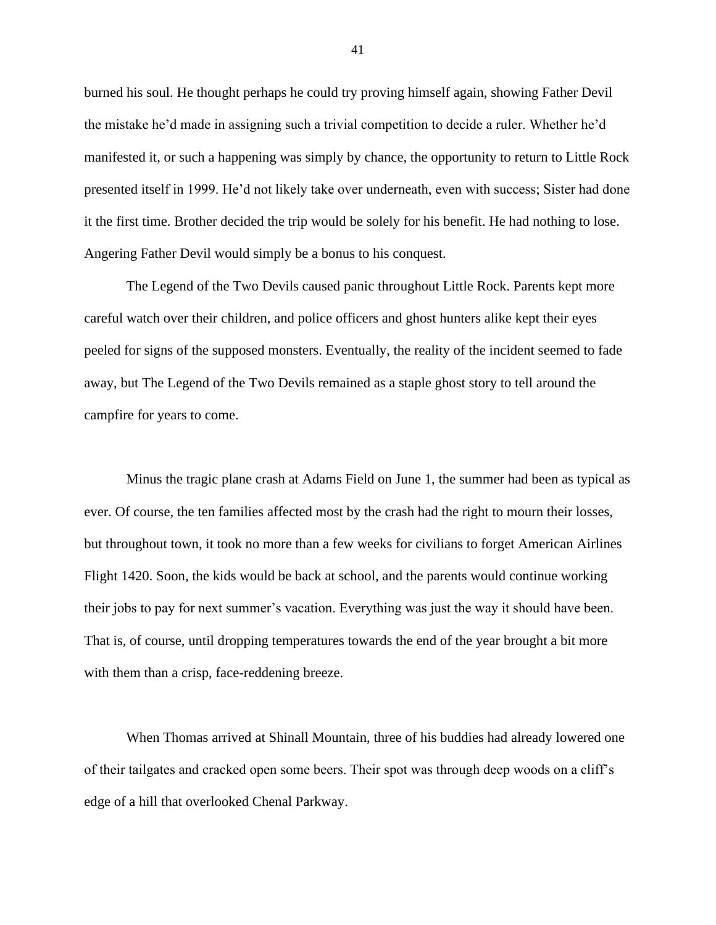burned his soul. He thought perhaps he could try proving himself again, showing Father Devil the mistake he'd made in assigning such a trivial competition to decide a ruler. Whether he'd manifested it, or such a happening was simply by chance, the opportunity to return to Little Rock presented itself in 1999. He'd not likely take over underneath, even with success; Sister had done it the first time. Brother decided the trip would be solely for his benefit. He had nothing to lose. Angering Father Devil would simply be a bonus to his conquest.

The Legend of the Two Devils caused panic throughout Little Rock. Parents kept more careful watch over their children, and police officers and ghost hunters alike kept their eyes peeled for signs of the supposed monsters. Eventually, the reality of the incident seemed to fade away, but The Legend of the Two Devils remained as a staple ghost story to tell around the campfire for years to come.

Minus the tragic plane crash at Adams Field on June 1, the summer had been as typical as ever. Of course, the ten families affected most by the crash had the right to mourn their losses, but throughout town, it took no more than a few weeks for civilians to forget American Airlines Flight 1420. Soon, the kids would be back at school, and the parents would continue working their jobs to pay for next summer's vacation. Everything was just the way it should have been. That is, of course, until dropping temperatures towards the end of the year brought a bit more with them than a crisp, face-reddening breeze.

When Thomas arrived at Shinall Mountain, three of his buddies had already lowered one of their tailgates and cracked open some beers. Their spot was through deep woods on a cliff's edge of a hill that overlooked Chenal Parkway.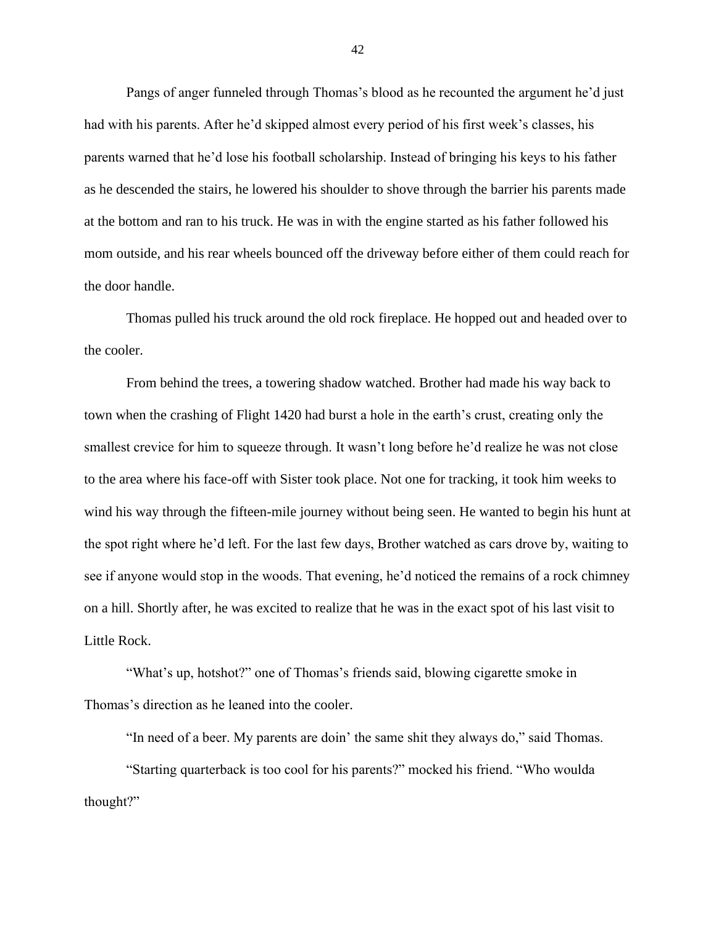Pangs of anger funneled through Thomas's blood as he recounted the argument he'd just had with his parents. After he'd skipped almost every period of his first week's classes, his parents warned that he'd lose his football scholarship. Instead of bringing his keys to his father as he descended the stairs, he lowered his shoulder to shove through the barrier his parents made at the bottom and ran to his truck. He was in with the engine started as his father followed his mom outside, and his rear wheels bounced off the driveway before either of them could reach for the door handle.

Thomas pulled his truck around the old rock fireplace. He hopped out and headed over to the cooler.

From behind the trees, a towering shadow watched. Brother had made his way back to town when the crashing of Flight 1420 had burst a hole in the earth's crust, creating only the smallest crevice for him to squeeze through. It wasn't long before he'd realize he was not close to the area where his face-off with Sister took place. Not one for tracking, it took him weeks to wind his way through the fifteen-mile journey without being seen. He wanted to begin his hunt at the spot right where he'd left. For the last few days, Brother watched as cars drove by, waiting to see if anyone would stop in the woods. That evening, he'd noticed the remains of a rock chimney on a hill. Shortly after, he was excited to realize that he was in the exact spot of his last visit to Little Rock.

"What's up, hotshot?" one of Thomas's friends said, blowing cigarette smoke in Thomas's direction as he leaned into the cooler.

"In need of a beer. My parents are doin' the same shit they always do," said Thomas.

"Starting quarterback is too cool for his parents?" mocked his friend. "Who woulda thought?"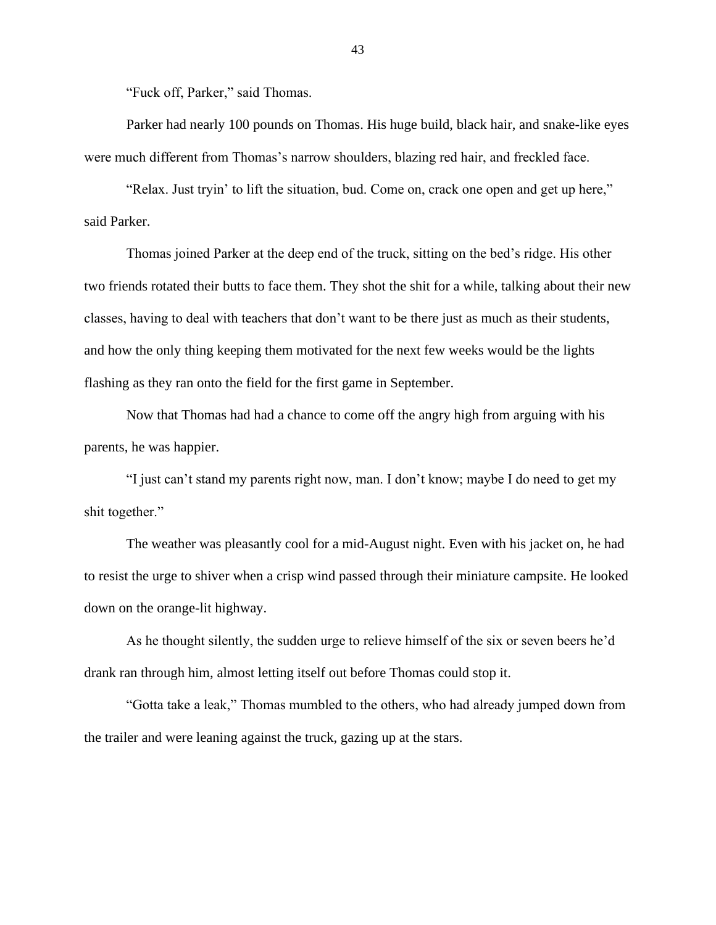"Fuck off, Parker," said Thomas.

Parker had nearly 100 pounds on Thomas. His huge build, black hair, and snake-like eyes were much different from Thomas's narrow shoulders, blazing red hair, and freckled face.

"Relax. Just tryin' to lift the situation, bud. Come on, crack one open and get up here," said Parker.

Thomas joined Parker at the deep end of the truck, sitting on the bed's ridge. His other two friends rotated their butts to face them. They shot the shit for a while, talking about their new classes, having to deal with teachers that don't want to be there just as much as their students, and how the only thing keeping them motivated for the next few weeks would be the lights flashing as they ran onto the field for the first game in September.

Now that Thomas had had a chance to come off the angry high from arguing with his parents, he was happier.

"I just can't stand my parents right now, man. I don't know; maybe I do need to get my shit together."

The weather was pleasantly cool for a mid-August night. Even with his jacket on, he had to resist the urge to shiver when a crisp wind passed through their miniature campsite. He looked down on the orange-lit highway.

As he thought silently, the sudden urge to relieve himself of the six or seven beers he'd drank ran through him, almost letting itself out before Thomas could stop it.

"Gotta take a leak," Thomas mumbled to the others, who had already jumped down from the trailer and were leaning against the truck, gazing up at the stars.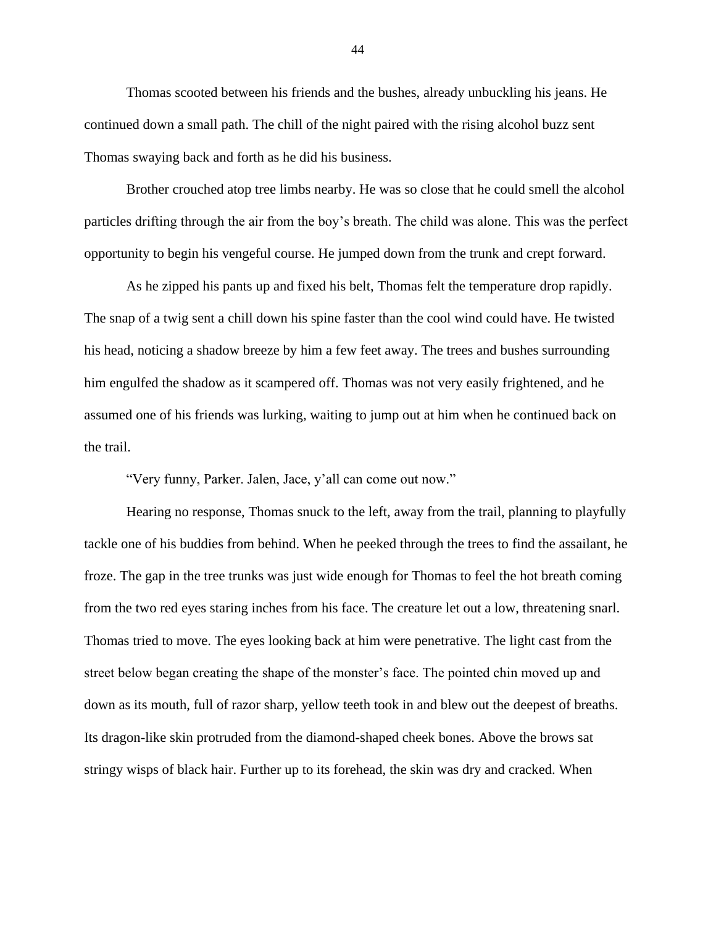Thomas scooted between his friends and the bushes, already unbuckling his jeans. He continued down a small path. The chill of the night paired with the rising alcohol buzz sent Thomas swaying back and forth as he did his business.

Brother crouched atop tree limbs nearby. He was so close that he could smell the alcohol particles drifting through the air from the boy's breath. The child was alone. This was the perfect opportunity to begin his vengeful course. He jumped down from the trunk and crept forward.

As he zipped his pants up and fixed his belt, Thomas felt the temperature drop rapidly. The snap of a twig sent a chill down his spine faster than the cool wind could have. He twisted his head, noticing a shadow breeze by him a few feet away. The trees and bushes surrounding him engulfed the shadow as it scampered off. Thomas was not very easily frightened, and he assumed one of his friends was lurking, waiting to jump out at him when he continued back on the trail.

"Very funny, Parker. Jalen, Jace, y'all can come out now."

Hearing no response, Thomas snuck to the left, away from the trail, planning to playfully tackle one of his buddies from behind. When he peeked through the trees to find the assailant, he froze. The gap in the tree trunks was just wide enough for Thomas to feel the hot breath coming from the two red eyes staring inches from his face. The creature let out a low, threatening snarl. Thomas tried to move. The eyes looking back at him were penetrative. The light cast from the street below began creating the shape of the monster's face. The pointed chin moved up and down as its mouth, full of razor sharp, yellow teeth took in and blew out the deepest of breaths. Its dragon-like skin protruded from the diamond-shaped cheek bones. Above the brows sat stringy wisps of black hair. Further up to its forehead, the skin was dry and cracked. When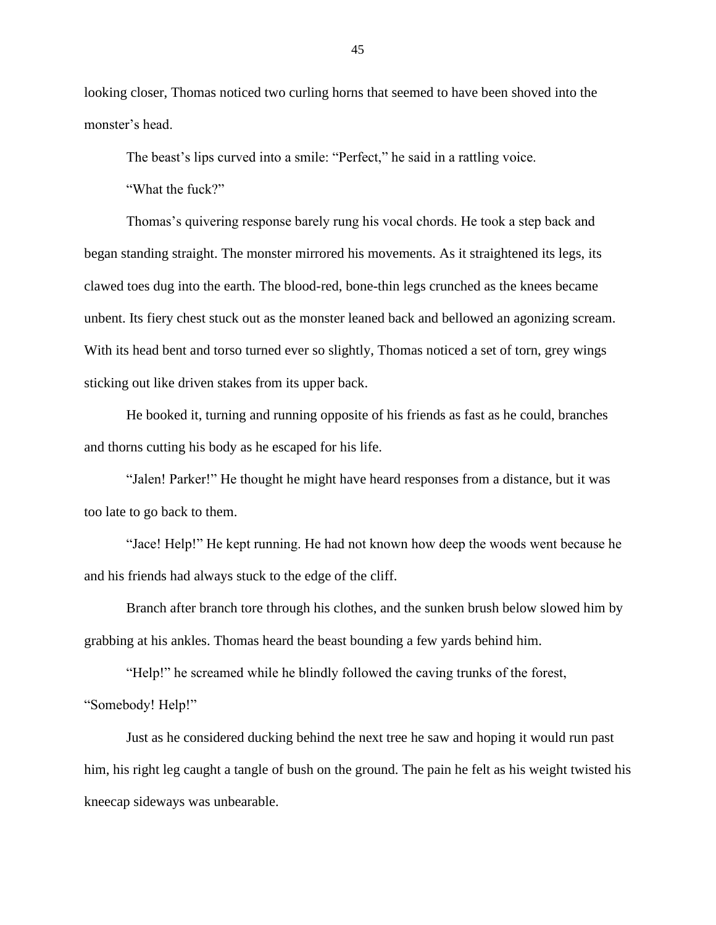looking closer, Thomas noticed two curling horns that seemed to have been shoved into the monster's head.

The beast's lips curved into a smile: "Perfect," he said in a rattling voice.

"What the fuck?"

Thomas's quivering response barely rung his vocal chords. He took a step back and began standing straight. The monster mirrored his movements. As it straightened its legs, its clawed toes dug into the earth. The blood-red, bone-thin legs crunched as the knees became unbent. Its fiery chest stuck out as the monster leaned back and bellowed an agonizing scream. With its head bent and torso turned ever so slightly, Thomas noticed a set of torn, grey wings sticking out like driven stakes from its upper back.

He booked it, turning and running opposite of his friends as fast as he could, branches and thorns cutting his body as he escaped for his life.

"Jalen! Parker!" He thought he might have heard responses from a distance, but it was too late to go back to them.

"Jace! Help!" He kept running. He had not known how deep the woods went because he and his friends had always stuck to the edge of the cliff.

Branch after branch tore through his clothes, and the sunken brush below slowed him by grabbing at his ankles. Thomas heard the beast bounding a few yards behind him.

"Help!" he screamed while he blindly followed the caving trunks of the forest, "Somebody! Help!"

Just as he considered ducking behind the next tree he saw and hoping it would run past him, his right leg caught a tangle of bush on the ground. The pain he felt as his weight twisted his kneecap sideways was unbearable.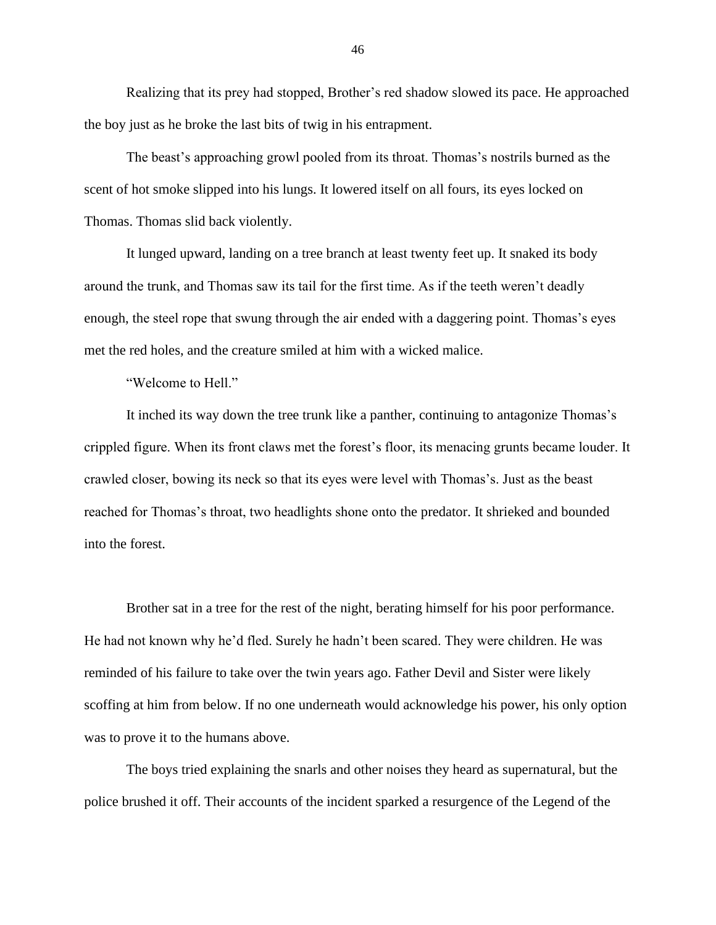Realizing that its prey had stopped, Brother's red shadow slowed its pace. He approached the boy just as he broke the last bits of twig in his entrapment.

The beast's approaching growl pooled from its throat. Thomas's nostrils burned as the scent of hot smoke slipped into his lungs. It lowered itself on all fours, its eyes locked on Thomas. Thomas slid back violently.

It lunged upward, landing on a tree branch at least twenty feet up. It snaked its body around the trunk, and Thomas saw its tail for the first time. As if the teeth weren't deadly enough, the steel rope that swung through the air ended with a daggering point. Thomas's eyes met the red holes, and the creature smiled at him with a wicked malice.

"Welcome to Hell."

It inched its way down the tree trunk like a panther, continuing to antagonize Thomas's crippled figure. When its front claws met the forest's floor, its menacing grunts became louder. It crawled closer, bowing its neck so that its eyes were level with Thomas's. Just as the beast reached for Thomas's throat, two headlights shone onto the predator. It shrieked and bounded into the forest.

Brother sat in a tree for the rest of the night, berating himself for his poor performance. He had not known why he'd fled. Surely he hadn't been scared. They were children. He was reminded of his failure to take over the twin years ago. Father Devil and Sister were likely scoffing at him from below. If no one underneath would acknowledge his power, his only option was to prove it to the humans above.

The boys tried explaining the snarls and other noises they heard as supernatural, but the police brushed it off. Their accounts of the incident sparked a resurgence of the Legend of the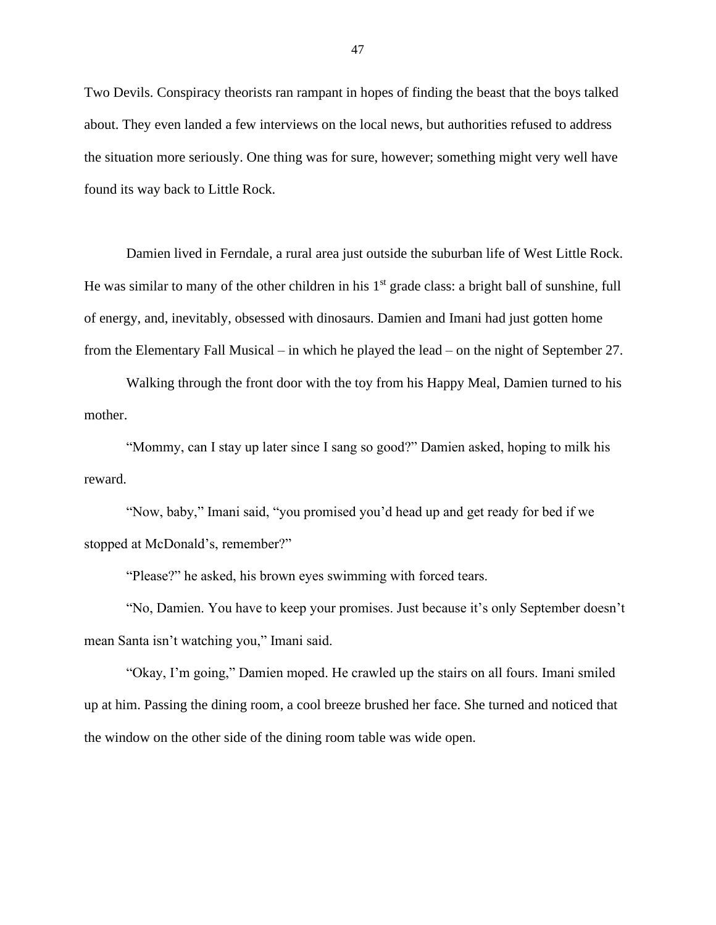Two Devils. Conspiracy theorists ran rampant in hopes of finding the beast that the boys talked about. They even landed a few interviews on the local news, but authorities refused to address the situation more seriously. One thing was for sure, however; something might very well have found its way back to Little Rock.

Damien lived in Ferndale, a rural area just outside the suburban life of West Little Rock. He was similar to many of the other children in his  $1<sup>st</sup>$  grade class: a bright ball of sunshine, full of energy, and, inevitably, obsessed with dinosaurs. Damien and Imani had just gotten home from the Elementary Fall Musical – in which he played the lead – on the night of September 27.

Walking through the front door with the toy from his Happy Meal, Damien turned to his mother.

"Mommy, can I stay up later since I sang so good?" Damien asked, hoping to milk his reward.

"Now, baby," Imani said, "you promised you'd head up and get ready for bed if we stopped at McDonald's, remember?"

"Please?" he asked, his brown eyes swimming with forced tears.

"No, Damien. You have to keep your promises. Just because it's only September doesn't mean Santa isn't watching you," Imani said.

"Okay, I'm going," Damien moped. He crawled up the stairs on all fours. Imani smiled up at him. Passing the dining room, a cool breeze brushed her face. She turned and noticed that the window on the other side of the dining room table was wide open.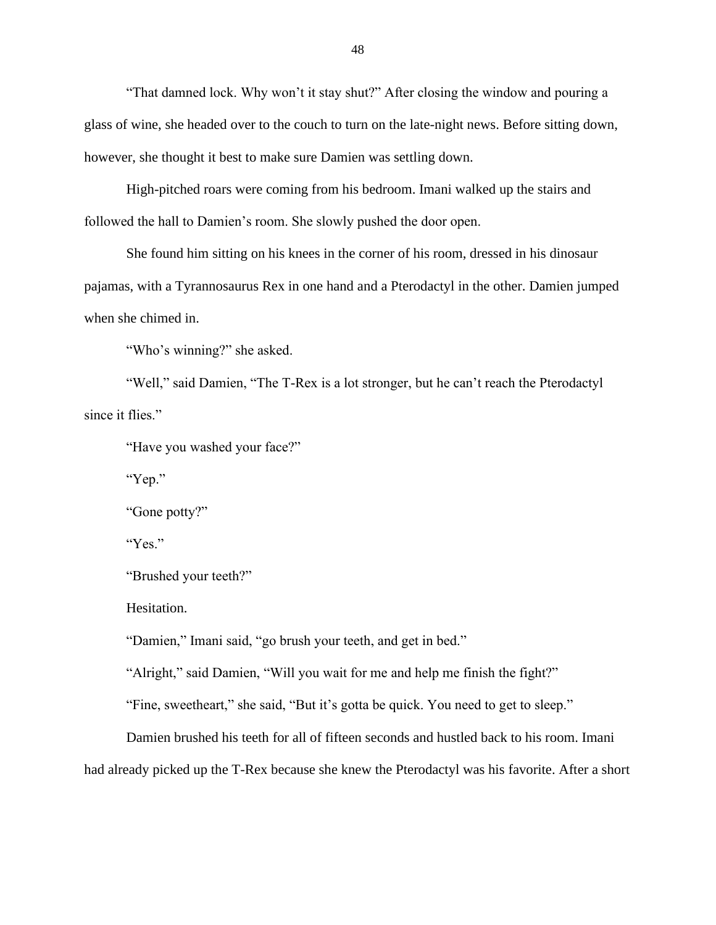"That damned lock. Why won't it stay shut?" After closing the window and pouring a glass of wine, she headed over to the couch to turn on the late-night news. Before sitting down, however, she thought it best to make sure Damien was settling down.

High-pitched roars were coming from his bedroom. Imani walked up the stairs and followed the hall to Damien's room. She slowly pushed the door open.

She found him sitting on his knees in the corner of his room, dressed in his dinosaur pajamas, with a Tyrannosaurus Rex in one hand and a Pterodactyl in the other. Damien jumped when she chimed in.

"Who's winning?" she asked.

"Well," said Damien, "The T-Rex is a lot stronger, but he can't reach the Pterodactyl since it flies."

"Have you washed your face?"

"Yep."

"Gone potty?"

"Yes."

"Brushed your teeth?"

Hesitation.

"Damien," Imani said, "go brush your teeth, and get in bed."

"Alright," said Damien, "Will you wait for me and help me finish the fight?"

"Fine, sweetheart," she said, "But it's gotta be quick. You need to get to sleep."

Damien brushed his teeth for all of fifteen seconds and hustled back to his room. Imani had already picked up the T-Rex because she knew the Pterodactyl was his favorite. After a short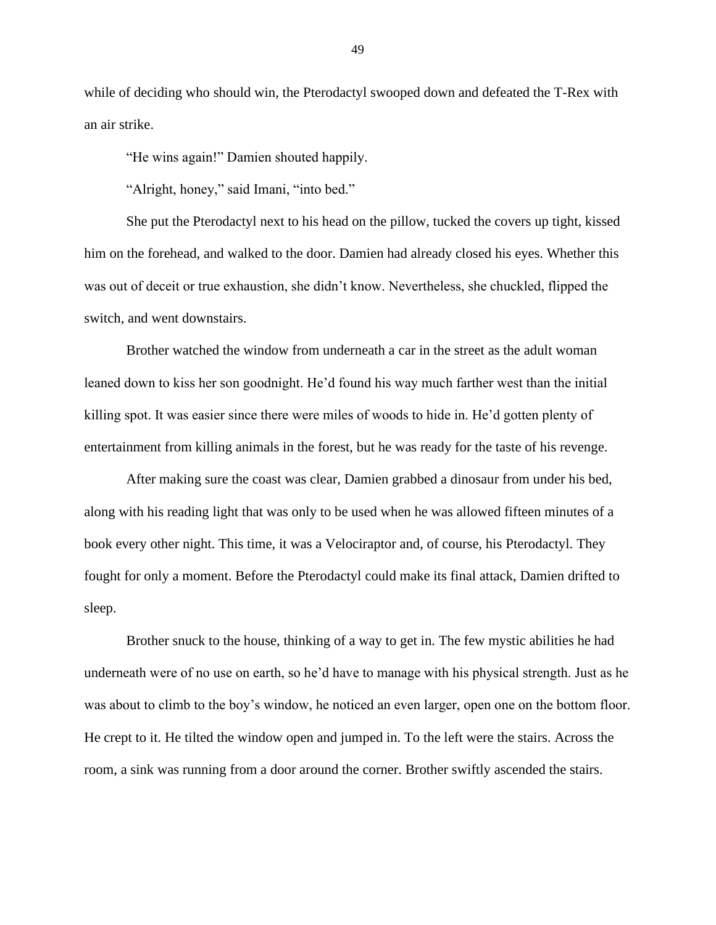while of deciding who should win, the Pterodactyl swooped down and defeated the T-Rex with an air strike.

"He wins again!" Damien shouted happily.

"Alright, honey," said Imani, "into bed."

She put the Pterodactyl next to his head on the pillow, tucked the covers up tight, kissed him on the forehead, and walked to the door. Damien had already closed his eyes. Whether this was out of deceit or true exhaustion, she didn't know. Nevertheless, she chuckled, flipped the switch, and went downstairs.

Brother watched the window from underneath a car in the street as the adult woman leaned down to kiss her son goodnight. He'd found his way much farther west than the initial killing spot. It was easier since there were miles of woods to hide in. He'd gotten plenty of entertainment from killing animals in the forest, but he was ready for the taste of his revenge.

After making sure the coast was clear, Damien grabbed a dinosaur from under his bed, along with his reading light that was only to be used when he was allowed fifteen minutes of a book every other night. This time, it was a Velociraptor and, of course, his Pterodactyl. They fought for only a moment. Before the Pterodactyl could make its final attack, Damien drifted to sleep.

Brother snuck to the house, thinking of a way to get in. The few mystic abilities he had underneath were of no use on earth, so he'd have to manage with his physical strength. Just as he was about to climb to the boy's window, he noticed an even larger, open one on the bottom floor. He crept to it. He tilted the window open and jumped in. To the left were the stairs. Across the room, a sink was running from a door around the corner. Brother swiftly ascended the stairs.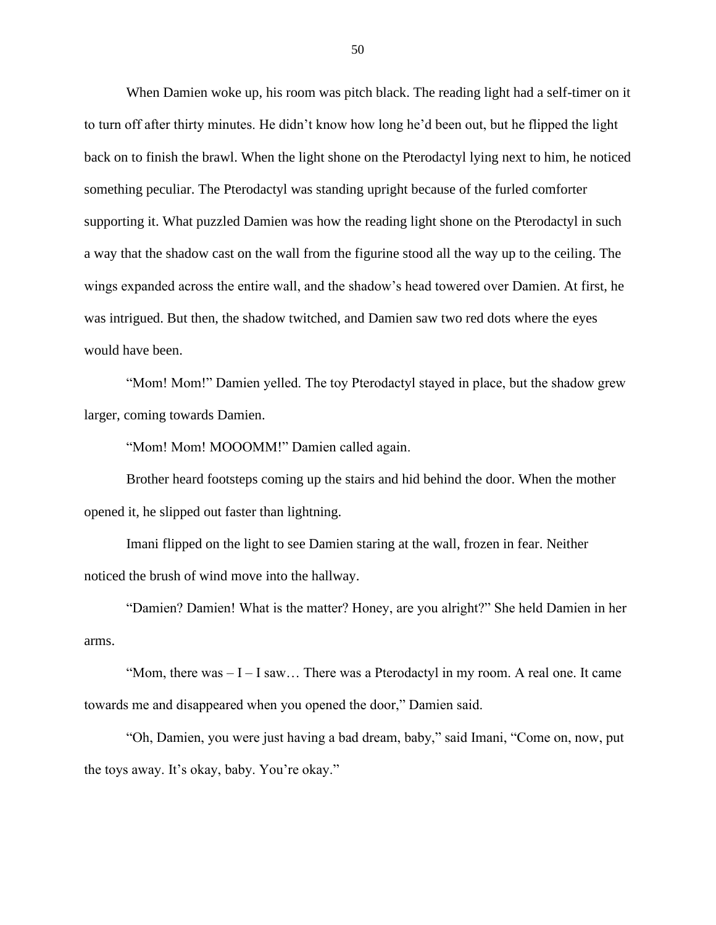When Damien woke up, his room was pitch black. The reading light had a self-timer on it to turn off after thirty minutes. He didn't know how long he'd been out, but he flipped the light back on to finish the brawl. When the light shone on the Pterodactyl lying next to him, he noticed something peculiar. The Pterodactyl was standing upright because of the furled comforter supporting it. What puzzled Damien was how the reading light shone on the Pterodactyl in such a way that the shadow cast on the wall from the figurine stood all the way up to the ceiling. The wings expanded across the entire wall, and the shadow's head towered over Damien. At first, he was intrigued. But then, the shadow twitched, and Damien saw two red dots where the eyes would have been.

"Mom! Mom!" Damien yelled. The toy Pterodactyl stayed in place, but the shadow grew larger, coming towards Damien.

"Mom! Mom! MOOOMM!" Damien called again.

Brother heard footsteps coming up the stairs and hid behind the door. When the mother opened it, he slipped out faster than lightning.

Imani flipped on the light to see Damien staring at the wall, frozen in fear. Neither noticed the brush of wind move into the hallway.

"Damien? Damien! What is the matter? Honey, are you alright?" She held Damien in her arms.

"Mom, there was  $-I-I$  saw... There was a Pterodactyl in my room. A real one. It came towards me and disappeared when you opened the door," Damien said.

"Oh, Damien, you were just having a bad dream, baby," said Imani, "Come on, now, put the toys away. It's okay, baby. You're okay."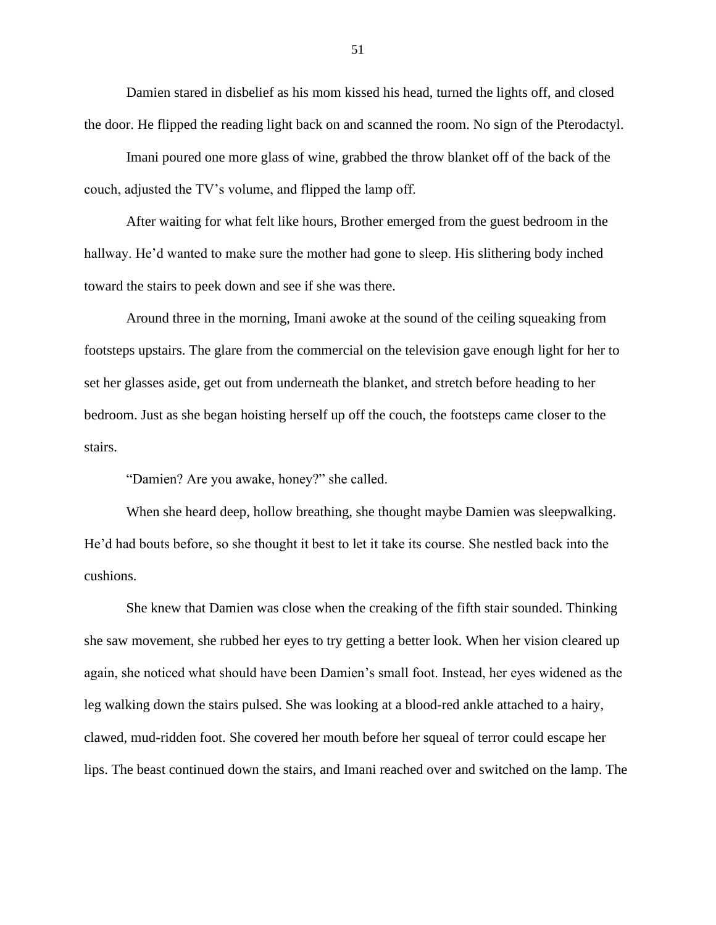Damien stared in disbelief as his mom kissed his head, turned the lights off, and closed the door. He flipped the reading light back on and scanned the room. No sign of the Pterodactyl.

Imani poured one more glass of wine, grabbed the throw blanket off of the back of the couch, adjusted the TV's volume, and flipped the lamp off.

After waiting for what felt like hours, Brother emerged from the guest bedroom in the hallway. He'd wanted to make sure the mother had gone to sleep. His slithering body inched toward the stairs to peek down and see if she was there.

Around three in the morning, Imani awoke at the sound of the ceiling squeaking from footsteps upstairs. The glare from the commercial on the television gave enough light for her to set her glasses aside, get out from underneath the blanket, and stretch before heading to her bedroom. Just as she began hoisting herself up off the couch, the footsteps came closer to the stairs.

"Damien? Are you awake, honey?" she called.

When she heard deep, hollow breathing, she thought maybe Damien was sleepwalking. He'd had bouts before, so she thought it best to let it take its course. She nestled back into the cushions.

She knew that Damien was close when the creaking of the fifth stair sounded. Thinking she saw movement, she rubbed her eyes to try getting a better look. When her vision cleared up again, she noticed what should have been Damien's small foot. Instead, her eyes widened as the leg walking down the stairs pulsed. She was looking at a blood-red ankle attached to a hairy, clawed, mud-ridden foot. She covered her mouth before her squeal of terror could escape her lips. The beast continued down the stairs, and Imani reached over and switched on the lamp. The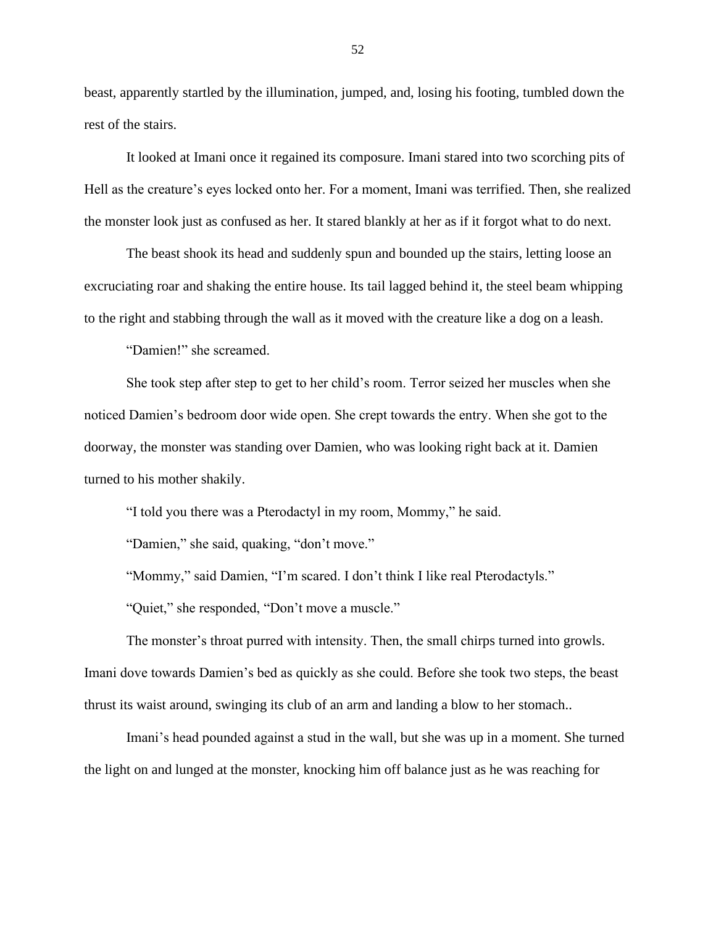beast, apparently startled by the illumination, jumped, and, losing his footing, tumbled down the rest of the stairs.

It looked at Imani once it regained its composure. Imani stared into two scorching pits of Hell as the creature's eyes locked onto her. For a moment, Imani was terrified. Then, she realized the monster look just as confused as her. It stared blankly at her as if it forgot what to do next.

The beast shook its head and suddenly spun and bounded up the stairs, letting loose an excruciating roar and shaking the entire house. Its tail lagged behind it, the steel beam whipping to the right and stabbing through the wall as it moved with the creature like a dog on a leash.

"Damien!" she screamed.

She took step after step to get to her child's room. Terror seized her muscles when she noticed Damien's bedroom door wide open. She crept towards the entry. When she got to the doorway, the monster was standing over Damien, who was looking right back at it. Damien turned to his mother shakily.

"I told you there was a Pterodactyl in my room, Mommy," he said.

"Damien," she said, quaking, "don't move."

"Mommy," said Damien, "I'm scared. I don't think I like real Pterodactyls."

"Quiet," she responded, "Don't move a muscle."

The monster's throat purred with intensity. Then, the small chirps turned into growls. Imani dove towards Damien's bed as quickly as she could. Before she took two steps, the beast thrust its waist around, swinging its club of an arm and landing a blow to her stomach..

Imani's head pounded against a stud in the wall, but she was up in a moment. She turned the light on and lunged at the monster, knocking him off balance just as he was reaching for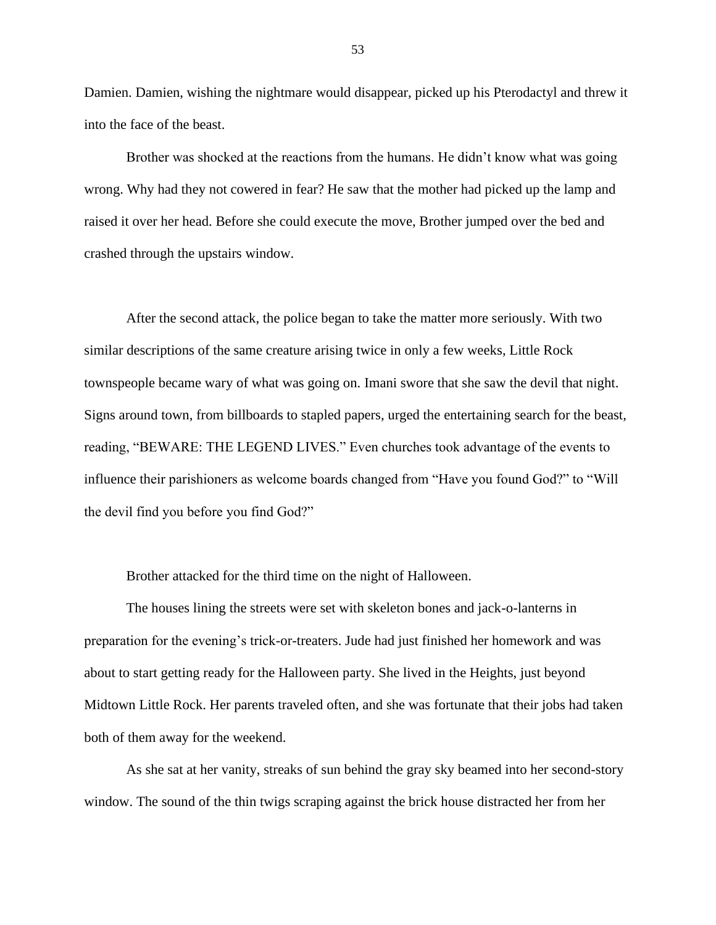Damien. Damien, wishing the nightmare would disappear, picked up his Pterodactyl and threw it into the face of the beast.

Brother was shocked at the reactions from the humans. He didn't know what was going wrong. Why had they not cowered in fear? He saw that the mother had picked up the lamp and raised it over her head. Before she could execute the move, Brother jumped over the bed and crashed through the upstairs window.

After the second attack, the police began to take the matter more seriously. With two similar descriptions of the same creature arising twice in only a few weeks, Little Rock townspeople became wary of what was going on. Imani swore that she saw the devil that night. Signs around town, from billboards to stapled papers, urged the entertaining search for the beast, reading, "BEWARE: THE LEGEND LIVES." Even churches took advantage of the events to influence their parishioners as welcome boards changed from "Have you found God?" to "Will the devil find you before you find God?"

Brother attacked for the third time on the night of Halloween.

The houses lining the streets were set with skeleton bones and jack-o-lanterns in preparation for the evening's trick-or-treaters. Jude had just finished her homework and was about to start getting ready for the Halloween party. She lived in the Heights, just beyond Midtown Little Rock. Her parents traveled often, and she was fortunate that their jobs had taken both of them away for the weekend.

As she sat at her vanity, streaks of sun behind the gray sky beamed into her second-story window. The sound of the thin twigs scraping against the brick house distracted her from her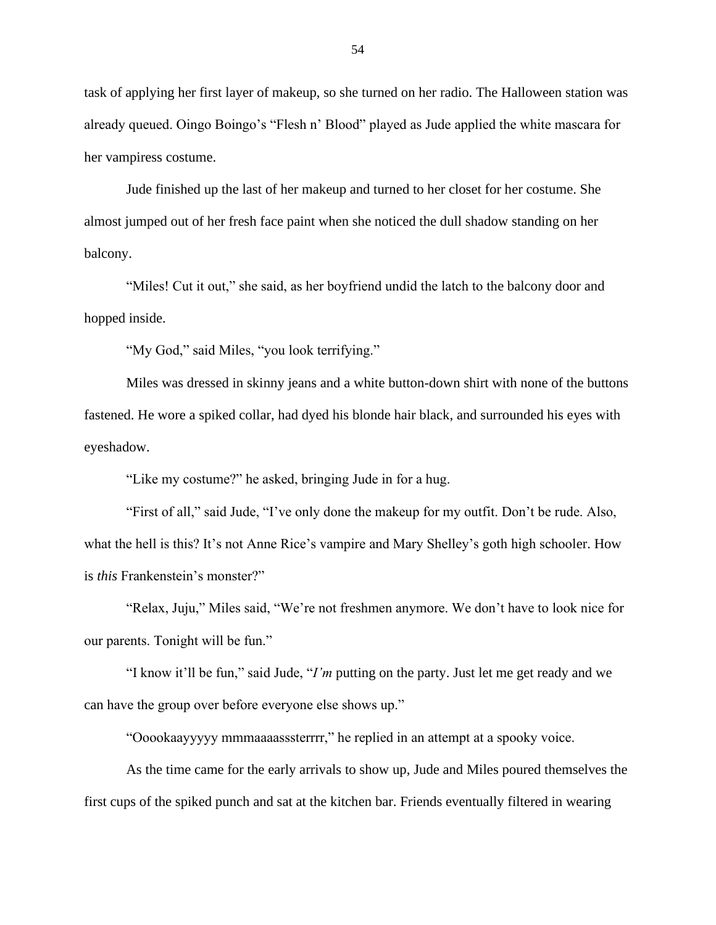task of applying her first layer of makeup, so she turned on her radio. The Halloween station was already queued. Oingo Boingo's "Flesh n' Blood" played as Jude applied the white mascara for her vampiress costume.

Jude finished up the last of her makeup and turned to her closet for her costume. She almost jumped out of her fresh face paint when she noticed the dull shadow standing on her balcony.

"Miles! Cut it out," she said, as her boyfriend undid the latch to the balcony door and hopped inside.

"My God," said Miles, "you look terrifying."

Miles was dressed in skinny jeans and a white button-down shirt with none of the buttons fastened. He wore a spiked collar, had dyed his blonde hair black, and surrounded his eyes with eyeshadow.

"Like my costume?" he asked, bringing Jude in for a hug.

"First of all," said Jude, "I've only done the makeup for my outfit. Don't be rude. Also, what the hell is this? It's not Anne Rice's vampire and Mary Shelley's goth high schooler. How is *this* Frankenstein's monster?"

"Relax, Juju," Miles said, "We're not freshmen anymore. We don't have to look nice for our parents. Tonight will be fun."

"I know it'll be fun," said Jude, "*I'm* putting on the party. Just let me get ready and we can have the group over before everyone else shows up."

"Ooookaayyyyy mmmaaaasssterrrr," he replied in an attempt at a spooky voice.

As the time came for the early arrivals to show up, Jude and Miles poured themselves the first cups of the spiked punch and sat at the kitchen bar. Friends eventually filtered in wearing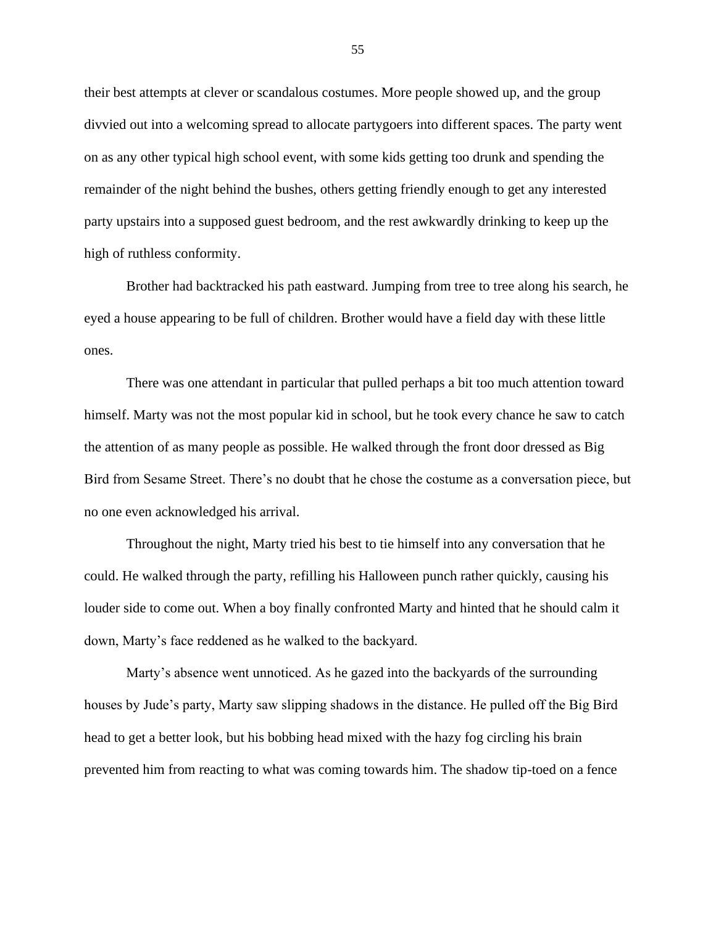their best attempts at clever or scandalous costumes. More people showed up, and the group divvied out into a welcoming spread to allocate partygoers into different spaces. The party went on as any other typical high school event, with some kids getting too drunk and spending the remainder of the night behind the bushes, others getting friendly enough to get any interested party upstairs into a supposed guest bedroom, and the rest awkwardly drinking to keep up the high of ruthless conformity.

Brother had backtracked his path eastward. Jumping from tree to tree along his search, he eyed a house appearing to be full of children. Brother would have a field day with these little ones.

There was one attendant in particular that pulled perhaps a bit too much attention toward himself. Marty was not the most popular kid in school, but he took every chance he saw to catch the attention of as many people as possible. He walked through the front door dressed as Big Bird from Sesame Street. There's no doubt that he chose the costume as a conversation piece, but no one even acknowledged his arrival.

Throughout the night, Marty tried his best to tie himself into any conversation that he could. He walked through the party, refilling his Halloween punch rather quickly, causing his louder side to come out. When a boy finally confronted Marty and hinted that he should calm it down, Marty's face reddened as he walked to the backyard.

Marty's absence went unnoticed. As he gazed into the backyards of the surrounding houses by Jude's party, Marty saw slipping shadows in the distance. He pulled off the Big Bird head to get a better look, but his bobbing head mixed with the hazy fog circling his brain prevented him from reacting to what was coming towards him. The shadow tip-toed on a fence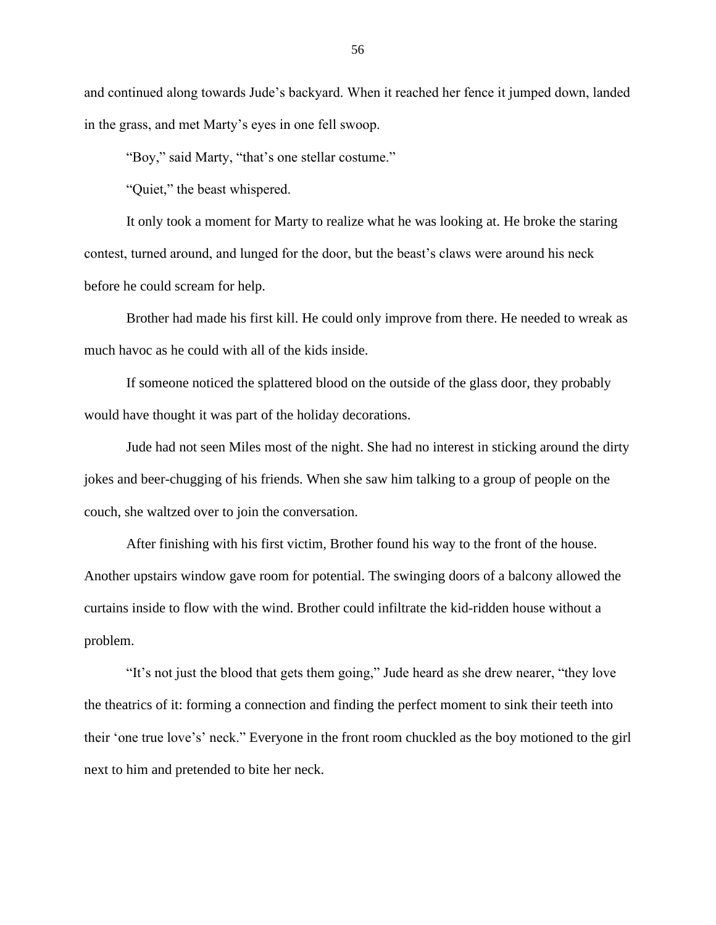and continued along towards Jude's backyard. When it reached her fence it jumped down, landed in the grass, and met Marty's eyes in one fell swoop.

"Boy," said Marty, "that's one stellar costume."

"Quiet," the beast whispered.

It only took a moment for Marty to realize what he was looking at. He broke the staring contest, turned around, and lunged for the door, but the beast's claws were around his neck before he could scream for help.

Brother had made his first kill. He could only improve from there. He needed to wreak as much havoc as he could with all of the kids inside.

If someone noticed the splattered blood on the outside of the glass door, they probably would have thought it was part of the holiday decorations.

Jude had not seen Miles most of the night. She had no interest in sticking around the dirty jokes and beer-chugging of his friends. When she saw him talking to a group of people on the couch, she waltzed over to join the conversation.

After finishing with his first victim, Brother found his way to the front of the house. Another upstairs window gave room for potential. The swinging doors of a balcony allowed the curtains inside to flow with the wind. Brother could infiltrate the kid-ridden house without a problem.

"It's not just the blood that gets them going," Jude heard as she drew nearer, "they love the theatrics of it: forming a connection and finding the perfect moment to sink their teeth into their 'one true love's' neck." Everyone in the front room chuckled as the boy motioned to the girl next to him and pretended to bite her neck.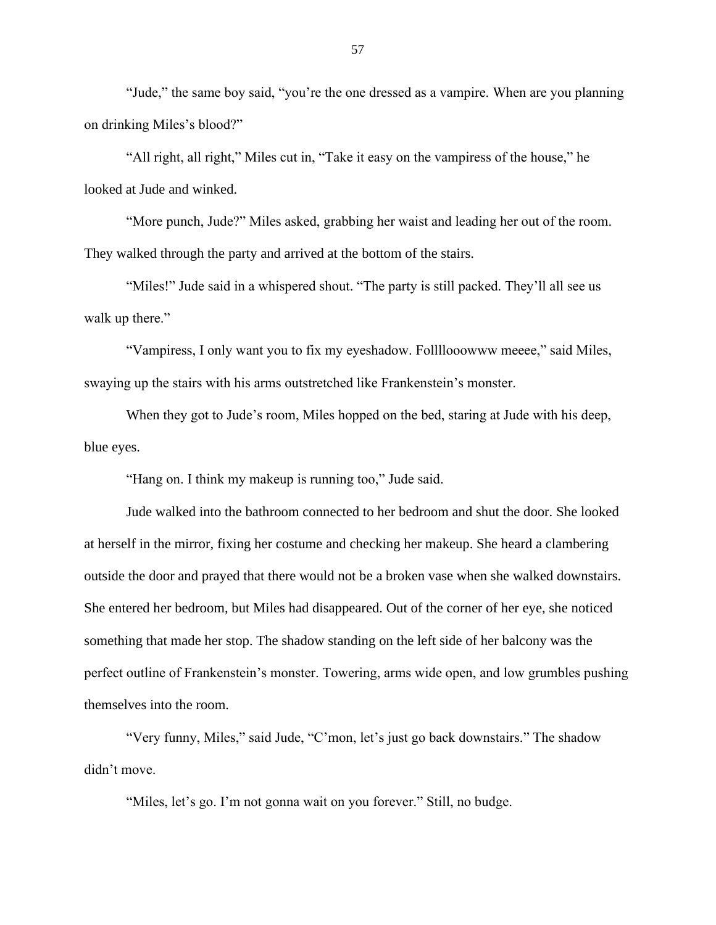"Jude," the same boy said, "you're the one dressed as a vampire. When are you planning on drinking Miles's blood?"

"All right, all right," Miles cut in, "Take it easy on the vampiress of the house," he looked at Jude and winked.

"More punch, Jude?" Miles asked, grabbing her waist and leading her out of the room. They walked through the party and arrived at the bottom of the stairs.

"Miles!" Jude said in a whispered shout. "The party is still packed. They'll all see us walk up there."

"Vampiress, I only want you to fix my eyeshadow. Follllooowww meeee," said Miles, swaying up the stairs with his arms outstretched like Frankenstein's monster.

When they got to Jude's room, Miles hopped on the bed, staring at Jude with his deep, blue eyes.

"Hang on. I think my makeup is running too," Jude said.

Jude walked into the bathroom connected to her bedroom and shut the door. She looked at herself in the mirror, fixing her costume and checking her makeup. She heard a clambering outside the door and prayed that there would not be a broken vase when she walked downstairs. She entered her bedroom, but Miles had disappeared. Out of the corner of her eye, she noticed something that made her stop. The shadow standing on the left side of her balcony was the perfect outline of Frankenstein's monster. Towering, arms wide open, and low grumbles pushing themselves into the room.

"Very funny, Miles," said Jude, "C'mon, let's just go back downstairs." The shadow didn't move.

"Miles, let's go. I'm not gonna wait on you forever." Still, no budge.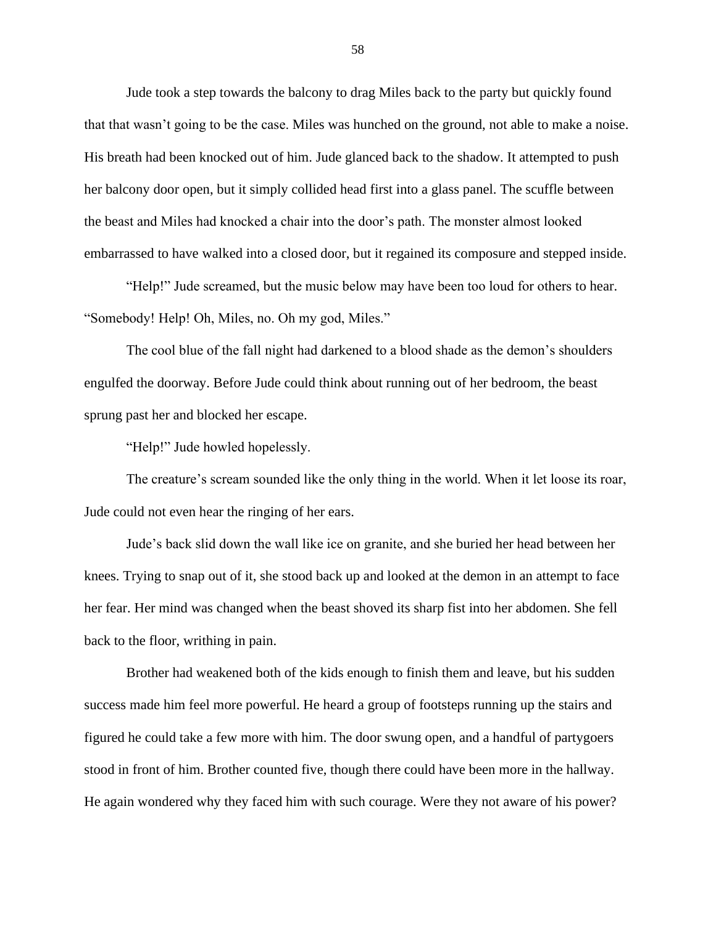Jude took a step towards the balcony to drag Miles back to the party but quickly found that that wasn't going to be the case. Miles was hunched on the ground, not able to make a noise. His breath had been knocked out of him. Jude glanced back to the shadow. It attempted to push her balcony door open, but it simply collided head first into a glass panel. The scuffle between the beast and Miles had knocked a chair into the door's path. The monster almost looked embarrassed to have walked into a closed door, but it regained its composure and stepped inside.

"Help!" Jude screamed, but the music below may have been too loud for others to hear. "Somebody! Help! Oh, Miles, no. Oh my god, Miles."

The cool blue of the fall night had darkened to a blood shade as the demon's shoulders engulfed the doorway. Before Jude could think about running out of her bedroom, the beast sprung past her and blocked her escape.

"Help!" Jude howled hopelessly.

The creature's scream sounded like the only thing in the world. When it let loose its roar, Jude could not even hear the ringing of her ears.

Jude's back slid down the wall like ice on granite, and she buried her head between her knees. Trying to snap out of it, she stood back up and looked at the demon in an attempt to face her fear. Her mind was changed when the beast shoved its sharp fist into her abdomen. She fell back to the floor, writhing in pain.

Brother had weakened both of the kids enough to finish them and leave, but his sudden success made him feel more powerful. He heard a group of footsteps running up the stairs and figured he could take a few more with him. The door swung open, and a handful of partygoers stood in front of him. Brother counted five, though there could have been more in the hallway. He again wondered why they faced him with such courage. Were they not aware of his power?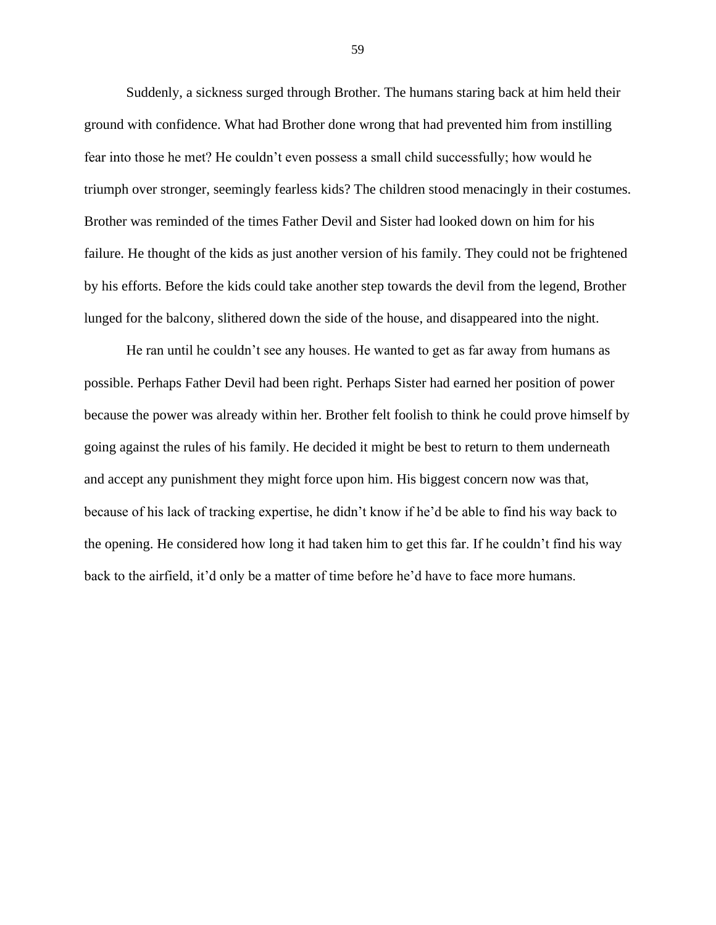Suddenly, a sickness surged through Brother. The humans staring back at him held their ground with confidence. What had Brother done wrong that had prevented him from instilling fear into those he met? He couldn't even possess a small child successfully; how would he triumph over stronger, seemingly fearless kids? The children stood menacingly in their costumes. Brother was reminded of the times Father Devil and Sister had looked down on him for his failure. He thought of the kids as just another version of his family. They could not be frightened by his efforts. Before the kids could take another step towards the devil from the legend, Brother lunged for the balcony, slithered down the side of the house, and disappeared into the night.

He ran until he couldn't see any houses. He wanted to get as far away from humans as possible. Perhaps Father Devil had been right. Perhaps Sister had earned her position of power because the power was already within her. Brother felt foolish to think he could prove himself by going against the rules of his family. He decided it might be best to return to them underneath and accept any punishment they might force upon him. His biggest concern now was that, because of his lack of tracking expertise, he didn't know if he'd be able to find his way back to the opening. He considered how long it had taken him to get this far. If he couldn't find his way back to the airfield, it'd only be a matter of time before he'd have to face more humans.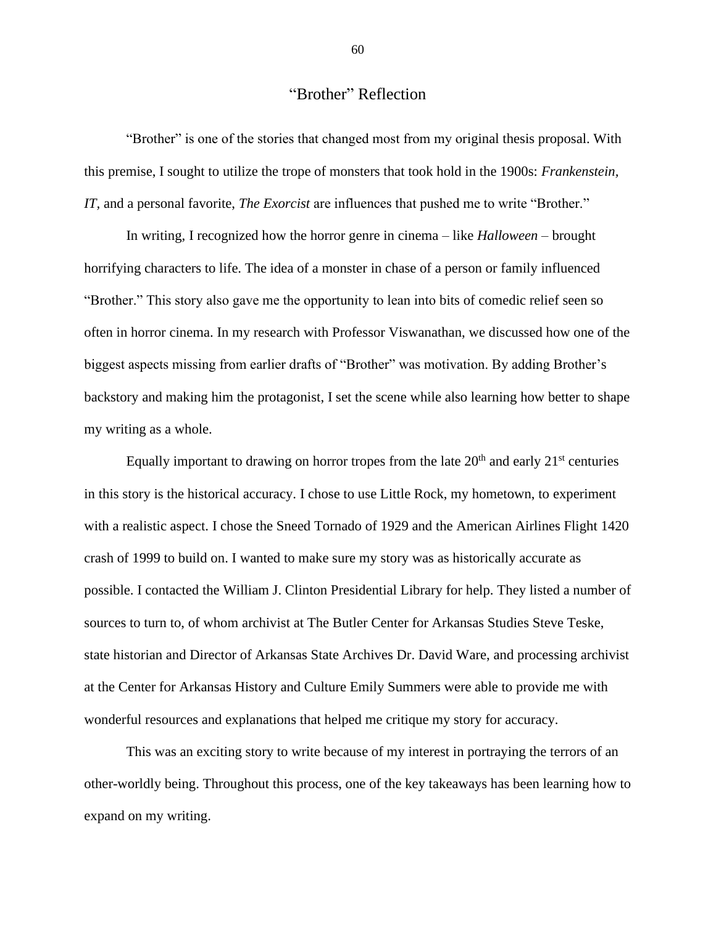## "Brother" Reflection

"Brother" is one of the stories that changed most from my original thesis proposal. With this premise, I sought to utilize the trope of monsters that took hold in the 1900s: *Frankenstein, IT,* and a personal favorite, *The Exorcist* are influences that pushed me to write "Brother."

In writing, I recognized how the horror genre in cinema – like *Halloween* – brought horrifying characters to life. The idea of a monster in chase of a person or family influenced "Brother." This story also gave me the opportunity to lean into bits of comedic relief seen so often in horror cinema. In my research with Professor Viswanathan, we discussed how one of the biggest aspects missing from earlier drafts of "Brother" was motivation. By adding Brother's backstory and making him the protagonist, I set the scene while also learning how better to shape my writing as a whole.

Equally important to drawing on horror tropes from the late  $20<sup>th</sup>$  and early  $21<sup>st</sup>$  centuries in this story is the historical accuracy. I chose to use Little Rock, my hometown, to experiment with a realistic aspect. I chose the Sneed Tornado of 1929 and the American Airlines Flight 1420 crash of 1999 to build on. I wanted to make sure my story was as historically accurate as possible. I contacted the William J. Clinton Presidential Library for help. They listed a number of sources to turn to, of whom archivist at The Butler Center for Arkansas Studies Steve Teske, state historian and Director of Arkansas State Archives Dr. David Ware, and processing archivist at the Center for Arkansas History and Culture Emily Summers were able to provide me with wonderful resources and explanations that helped me critique my story for accuracy.

This was an exciting story to write because of my interest in portraying the terrors of an other-worldly being. Throughout this process, one of the key takeaways has been learning how to expand on my writing.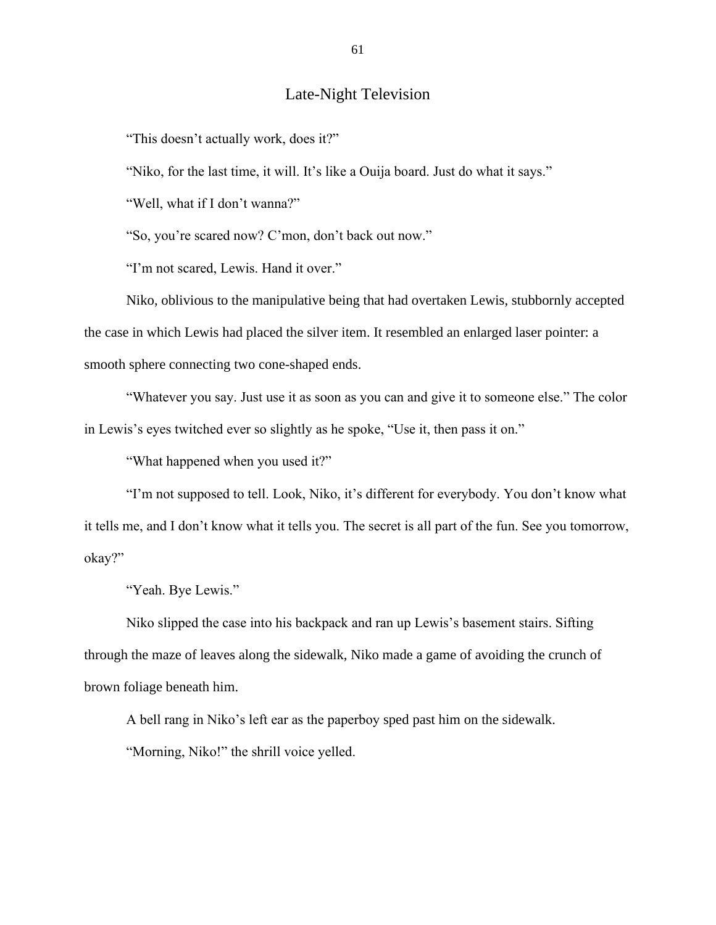## Late-Night Television

"This doesn't actually work, does it?"

"Niko, for the last time, it will. It's like a Ouija board. Just do what it says."

"Well, what if I don't wanna?"

"So, you're scared now? C'mon, don't back out now."

"I'm not scared, Lewis. Hand it over."

Niko, oblivious to the manipulative being that had overtaken Lewis, stubbornly accepted the case in which Lewis had placed the silver item. It resembled an enlarged laser pointer: a smooth sphere connecting two cone-shaped ends.

"Whatever you say. Just use it as soon as you can and give it to someone else." The color in Lewis's eyes twitched ever so slightly as he spoke, "Use it, then pass it on."

"What happened when you used it?"

"I'm not supposed to tell. Look, Niko, it's different for everybody. You don't know what it tells me, and I don't know what it tells you. The secret is all part of the fun. See you tomorrow, okay?"

"Yeah. Bye Lewis."

Niko slipped the case into his backpack and ran up Lewis's basement stairs. Sifting through the maze of leaves along the sidewalk, Niko made a game of avoiding the crunch of brown foliage beneath him.

A bell rang in Niko's left ear as the paperboy sped past him on the sidewalk.

"Morning, Niko!" the shrill voice yelled.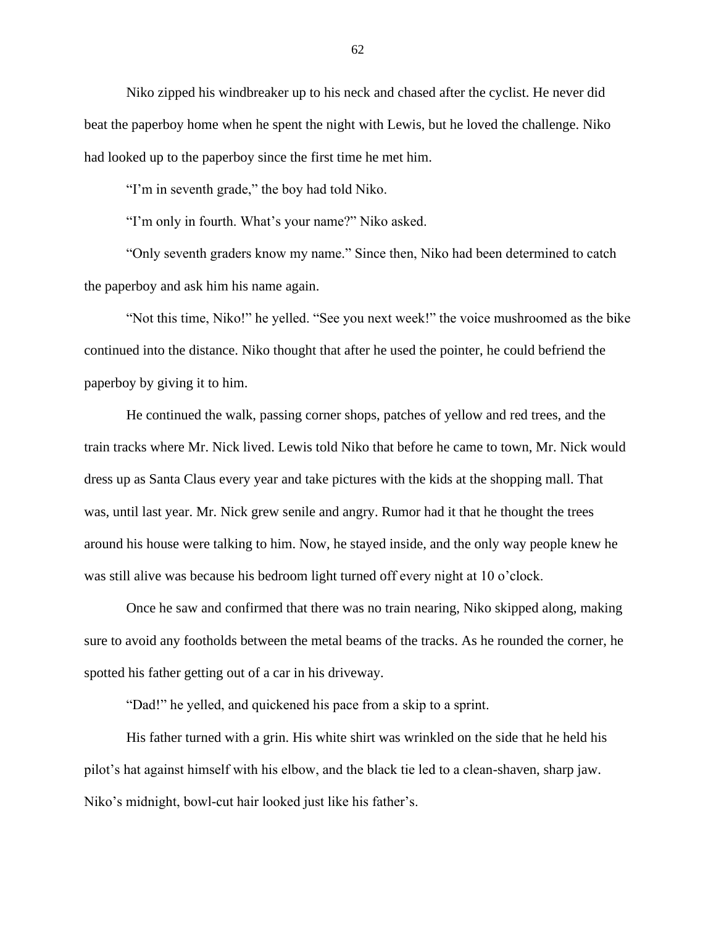Niko zipped his windbreaker up to his neck and chased after the cyclist. He never did beat the paperboy home when he spent the night with Lewis, but he loved the challenge. Niko had looked up to the paperboy since the first time he met him.

"I'm in seventh grade," the boy had told Niko.

"I'm only in fourth. What's your name?" Niko asked.

"Only seventh graders know my name." Since then, Niko had been determined to catch the paperboy and ask him his name again.

"Not this time, Niko!" he yelled. "See you next week!" the voice mushroomed as the bike continued into the distance. Niko thought that after he used the pointer, he could befriend the paperboy by giving it to him.

He continued the walk, passing corner shops, patches of yellow and red trees, and the train tracks where Mr. Nick lived. Lewis told Niko that before he came to town, Mr. Nick would dress up as Santa Claus every year and take pictures with the kids at the shopping mall. That was, until last year. Mr. Nick grew senile and angry. Rumor had it that he thought the trees around his house were talking to him. Now, he stayed inside, and the only way people knew he was still alive was because his bedroom light turned off every night at 10 o'clock.

Once he saw and confirmed that there was no train nearing, Niko skipped along, making sure to avoid any footholds between the metal beams of the tracks. As he rounded the corner, he spotted his father getting out of a car in his driveway.

"Dad!" he yelled, and quickened his pace from a skip to a sprint.

His father turned with a grin. His white shirt was wrinkled on the side that he held his pilot's hat against himself with his elbow, and the black tie led to a clean-shaven, sharp jaw. Niko's midnight, bowl-cut hair looked just like his father's.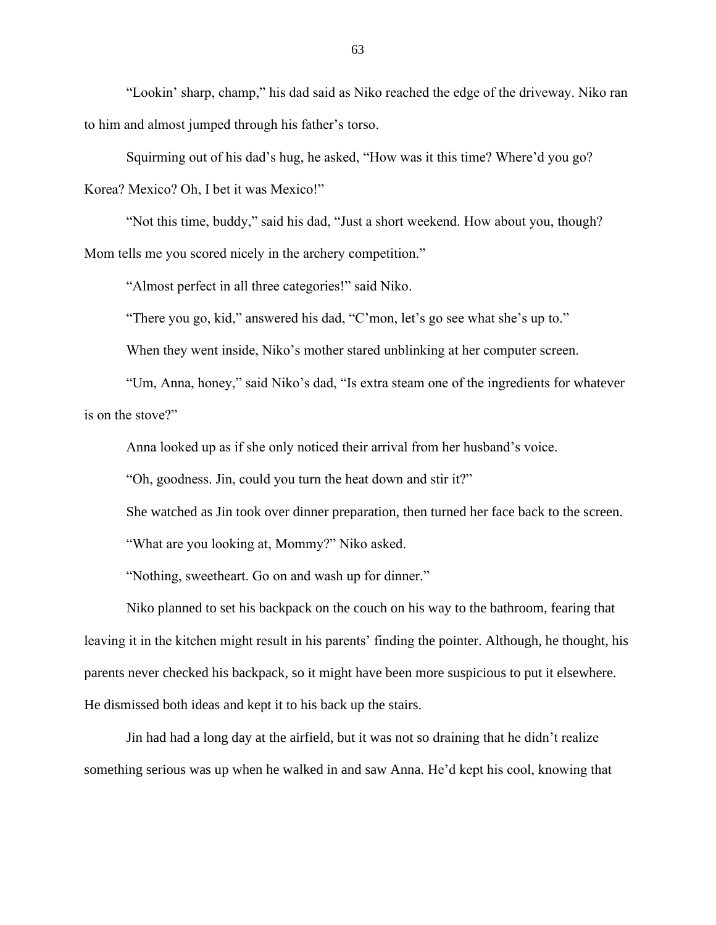"Lookin' sharp, champ," his dad said as Niko reached the edge of the driveway. Niko ran to him and almost jumped through his father's torso.

Squirming out of his dad's hug, he asked, "How was it this time? Where'd you go? Korea? Mexico? Oh, I bet it was Mexico!"

"Not this time, buddy," said his dad, "Just a short weekend. How about you, though? Mom tells me you scored nicely in the archery competition."

"Almost perfect in all three categories!" said Niko.

"There you go, kid," answered his dad, "C'mon, let's go see what she's up to."

When they went inside, Niko's mother stared unblinking at her computer screen.

"Um, Anna, honey," said Niko's dad, "Is extra steam one of the ingredients for whatever is on the stove?"

Anna looked up as if she only noticed their arrival from her husband's voice.

"Oh, goodness. Jin, could you turn the heat down and stir it?"

She watched as Jin took over dinner preparation, then turned her face back to the screen.

"What are you looking at, Mommy?" Niko asked.

"Nothing, sweetheart. Go on and wash up for dinner."

Niko planned to set his backpack on the couch on his way to the bathroom, fearing that leaving it in the kitchen might result in his parents' finding the pointer. Although, he thought, his parents never checked his backpack, so it might have been more suspicious to put it elsewhere. He dismissed both ideas and kept it to his back up the stairs.

Jin had had a long day at the airfield, but it was not so draining that he didn't realize something serious was up when he walked in and saw Anna. He'd kept his cool, knowing that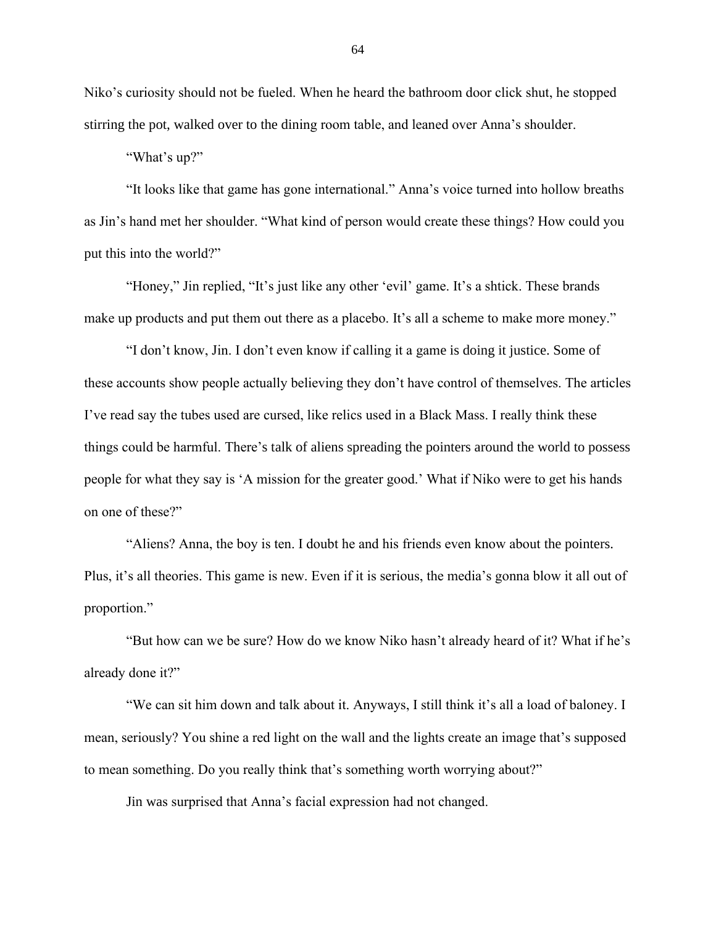Niko's curiosity should not be fueled. When he heard the bathroom door click shut, he stopped stirring the pot, walked over to the dining room table, and leaned over Anna's shoulder.

"What's up?"

"It looks like that game has gone international." Anna's voice turned into hollow breaths as Jin's hand met her shoulder. "What kind of person would create these things? How could you put this into the world?"

"Honey," Jin replied, "It's just like any other 'evil' game. It's a shtick. These brands make up products and put them out there as a placebo. It's all a scheme to make more money."

"I don't know, Jin. I don't even know if calling it a game is doing it justice. Some of these accounts show people actually believing they don't have control of themselves. The articles I've read say the tubes used are cursed, like relics used in a Black Mass. I really think these things could be harmful. There's talk of aliens spreading the pointers around the world to possess people for what they say is 'A mission for the greater good.' What if Niko were to get his hands on one of these?"

"Aliens? Anna, the boy is ten. I doubt he and his friends even know about the pointers. Plus, it's all theories. This game is new. Even if it is serious, the media's gonna blow it all out of proportion."

"But how can we be sure? How do we know Niko hasn't already heard of it? What if he's already done it?"

"We can sit him down and talk about it. Anyways, I still think it's all a load of baloney. I mean, seriously? You shine a red light on the wall and the lights create an image that's supposed to mean something. Do you really think that's something worth worrying about?"

Jin was surprised that Anna's facial expression had not changed.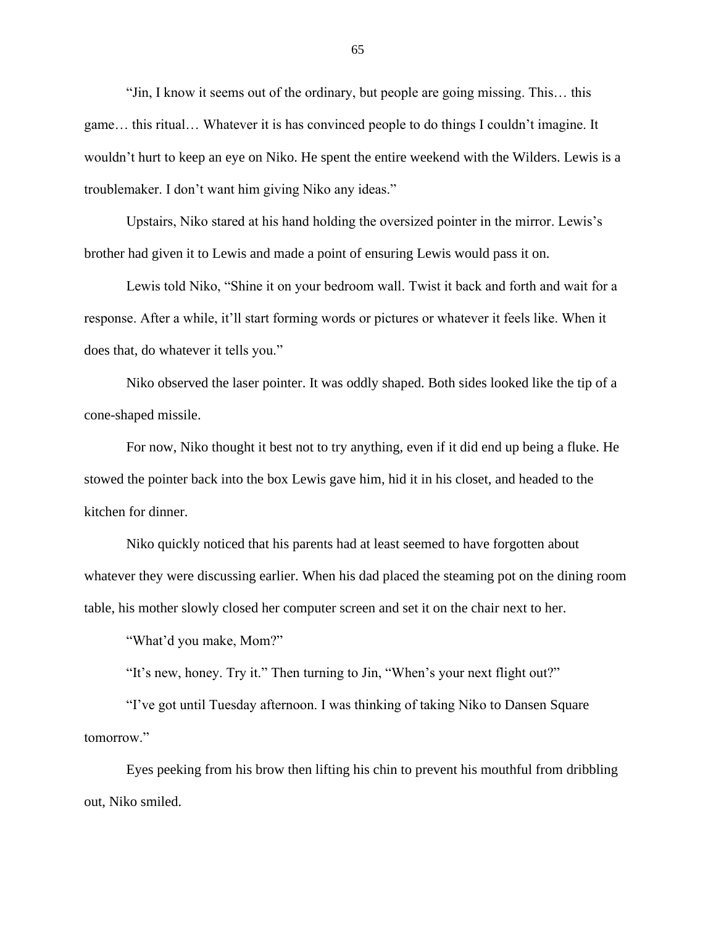"Jin, I know it seems out of the ordinary, but people are going missing. This… this game… this ritual… Whatever it is has convinced people to do things I couldn't imagine. It wouldn't hurt to keep an eye on Niko. He spent the entire weekend with the Wilders. Lewis is a troublemaker. I don't want him giving Niko any ideas."

Upstairs, Niko stared at his hand holding the oversized pointer in the mirror. Lewis's brother had given it to Lewis and made a point of ensuring Lewis would pass it on.

Lewis told Niko, "Shine it on your bedroom wall. Twist it back and forth and wait for a response. After a while, it'll start forming words or pictures or whatever it feels like. When it does that, do whatever it tells you."

Niko observed the laser pointer. It was oddly shaped. Both sides looked like the tip of a cone-shaped missile.

For now, Niko thought it best not to try anything, even if it did end up being a fluke. He stowed the pointer back into the box Lewis gave him, hid it in his closet, and headed to the kitchen for dinner.

Niko quickly noticed that his parents had at least seemed to have forgotten about whatever they were discussing earlier. When his dad placed the steaming pot on the dining room table, his mother slowly closed her computer screen and set it on the chair next to her.

"What'd you make, Mom?"

"It's new, honey. Try it." Then turning to Jin, "When's your next flight out?"

"I've got until Tuesday afternoon. I was thinking of taking Niko to Dansen Square tomorrow."

Eyes peeking from his brow then lifting his chin to prevent his mouthful from dribbling out, Niko smiled.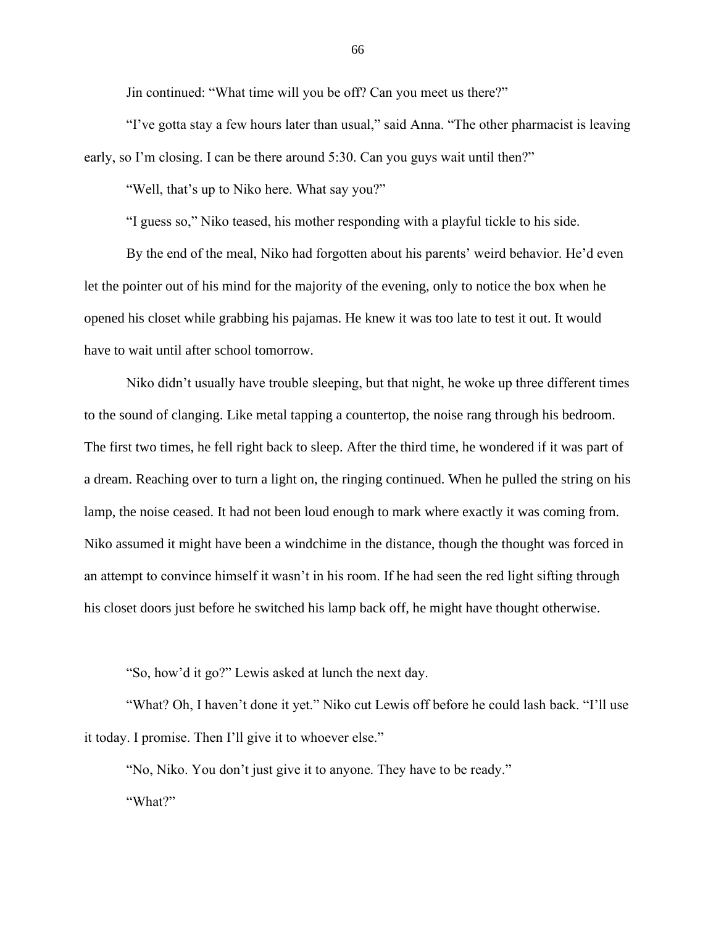Jin continued: "What time will you be off? Can you meet us there?"

"I've gotta stay a few hours later than usual," said Anna. "The other pharmacist is leaving early, so I'm closing. I can be there around 5:30. Can you guys wait until then?"

"Well, that's up to Niko here. What say you?"

"I guess so," Niko teased, his mother responding with a playful tickle to his side.

By the end of the meal, Niko had forgotten about his parents' weird behavior. He'd even let the pointer out of his mind for the majority of the evening, only to notice the box when he opened his closet while grabbing his pajamas. He knew it was too late to test it out. It would have to wait until after school tomorrow.

Niko didn't usually have trouble sleeping, but that night, he woke up three different times to the sound of clanging. Like metal tapping a countertop, the noise rang through his bedroom. The first two times, he fell right back to sleep. After the third time, he wondered if it was part of a dream. Reaching over to turn a light on, the ringing continued. When he pulled the string on his lamp, the noise ceased. It had not been loud enough to mark where exactly it was coming from. Niko assumed it might have been a windchime in the distance, though the thought was forced in an attempt to convince himself it wasn't in his room. If he had seen the red light sifting through his closet doors just before he switched his lamp back off, he might have thought otherwise.

"So, how'd it go?" Lewis asked at lunch the next day.

"What? Oh, I haven't done it yet." Niko cut Lewis off before he could lash back. "I'll use it today. I promise. Then I'll give it to whoever else."

"No, Niko. You don't just give it to anyone. They have to be ready." "What?"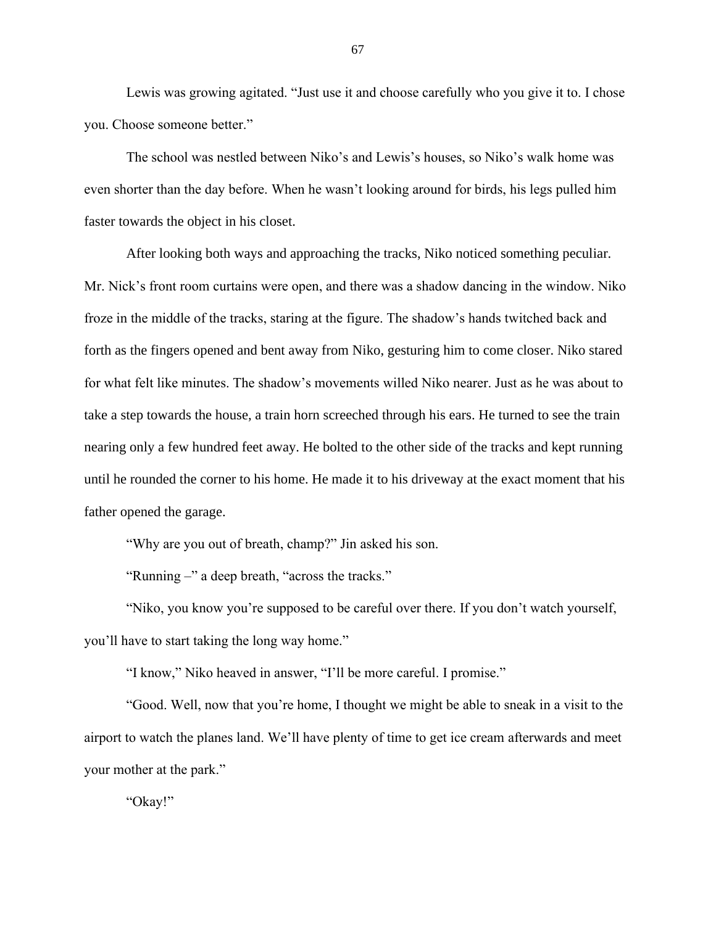Lewis was growing agitated. "Just use it and choose carefully who you give it to. I chose you. Choose someone better."

The school was nestled between Niko's and Lewis's houses, so Niko's walk home was even shorter than the day before. When he wasn't looking around for birds, his legs pulled him faster towards the object in his closet.

After looking both ways and approaching the tracks, Niko noticed something peculiar. Mr. Nick's front room curtains were open, and there was a shadow dancing in the window. Niko froze in the middle of the tracks, staring at the figure. The shadow's hands twitched back and forth as the fingers opened and bent away from Niko, gesturing him to come closer. Niko stared for what felt like minutes. The shadow's movements willed Niko nearer. Just as he was about to take a step towards the house, a train horn screeched through his ears. He turned to see the train nearing only a few hundred feet away. He bolted to the other side of the tracks and kept running until he rounded the corner to his home. He made it to his driveway at the exact moment that his father opened the garage.

"Why are you out of breath, champ?" Jin asked his son.

"Running –" a deep breath, "across the tracks."

"Niko, you know you're supposed to be careful over there. If you don't watch yourself, you'll have to start taking the long way home."

"I know," Niko heaved in answer, "I'll be more careful. I promise."

"Good. Well, now that you're home, I thought we might be able to sneak in a visit to the airport to watch the planes land. We'll have plenty of time to get ice cream afterwards and meet your mother at the park."

"Okay!"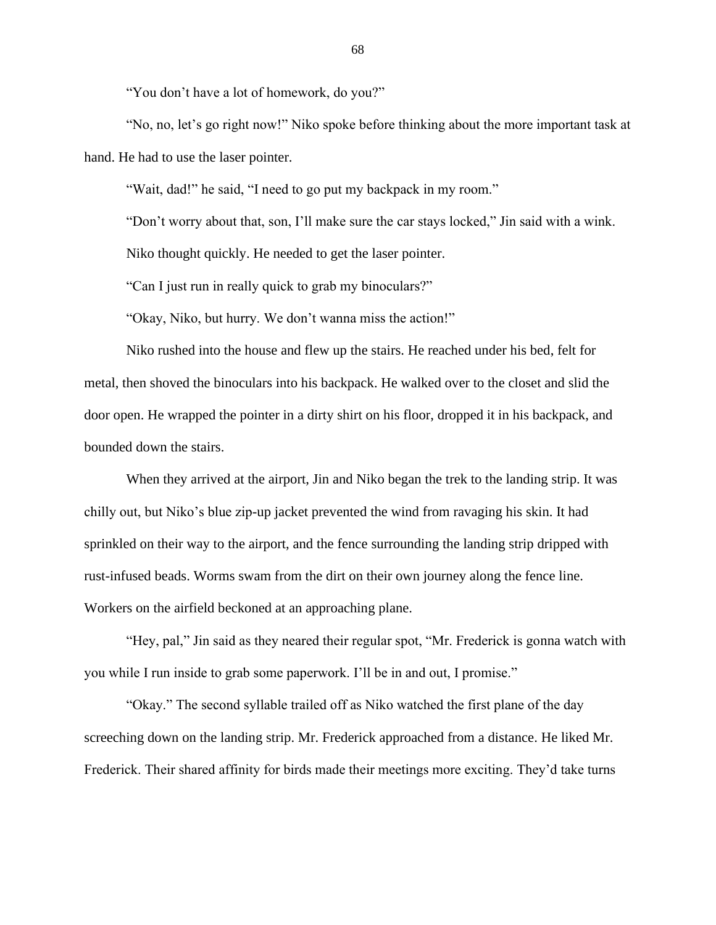"You don't have a lot of homework, do you?"

"No, no, let's go right now!" Niko spoke before thinking about the more important task at hand. He had to use the laser pointer.

"Wait, dad!" he said, "I need to go put my backpack in my room."

"Don't worry about that, son, I'll make sure the car stays locked," Jin said with a wink.

Niko thought quickly. He needed to get the laser pointer.

"Can I just run in really quick to grab my binoculars?"

"Okay, Niko, but hurry. We don't wanna miss the action!"

Niko rushed into the house and flew up the stairs. He reached under his bed, felt for metal, then shoved the binoculars into his backpack. He walked over to the closet and slid the door open. He wrapped the pointer in a dirty shirt on his floor, dropped it in his backpack, and bounded down the stairs.

When they arrived at the airport, Jin and Niko began the trek to the landing strip. It was chilly out, but Niko's blue zip-up jacket prevented the wind from ravaging his skin. It had sprinkled on their way to the airport, and the fence surrounding the landing strip dripped with rust-infused beads. Worms swam from the dirt on their own journey along the fence line. Workers on the airfield beckoned at an approaching plane.

"Hey, pal," Jin said as they neared their regular spot, "Mr. Frederick is gonna watch with you while I run inside to grab some paperwork. I'll be in and out, I promise."

"Okay." The second syllable trailed off as Niko watched the first plane of the day screeching down on the landing strip. Mr. Frederick approached from a distance. He liked Mr. Frederick. Their shared affinity for birds made their meetings more exciting. They'd take turns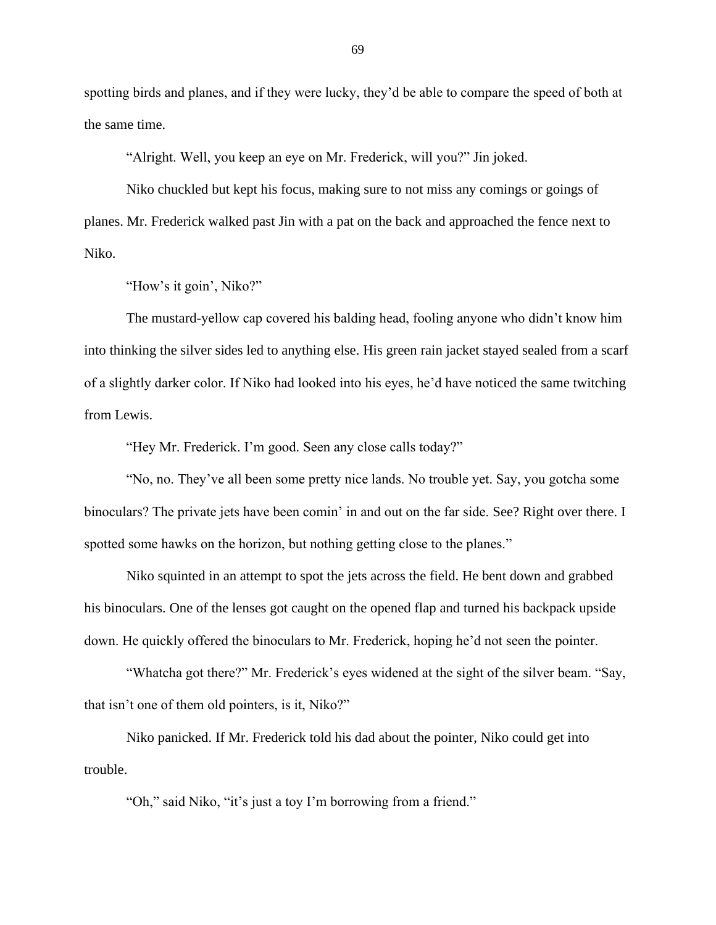spotting birds and planes, and if they were lucky, they'd be able to compare the speed of both at the same time.

"Alright. Well, you keep an eye on Mr. Frederick, will you?" Jin joked.

Niko chuckled but kept his focus, making sure to not miss any comings or goings of planes. Mr. Frederick walked past Jin with a pat on the back and approached the fence next to Niko.

"How's it goin', Niko?"

The mustard-yellow cap covered his balding head, fooling anyone who didn't know him into thinking the silver sides led to anything else. His green rain jacket stayed sealed from a scarf of a slightly darker color. If Niko had looked into his eyes, he'd have noticed the same twitching from Lewis.

"Hey Mr. Frederick. I'm good. Seen any close calls today?"

"No, no. They've all been some pretty nice lands. No trouble yet. Say, you gotcha some binoculars? The private jets have been comin' in and out on the far side. See? Right over there. I spotted some hawks on the horizon, but nothing getting close to the planes."

Niko squinted in an attempt to spot the jets across the field. He bent down and grabbed his binoculars. One of the lenses got caught on the opened flap and turned his backpack upside down. He quickly offered the binoculars to Mr. Frederick, hoping he'd not seen the pointer.

"Whatcha got there?" Mr. Frederick's eyes widened at the sight of the silver beam. "Say, that isn't one of them old pointers, is it, Niko?"

Niko panicked. If Mr. Frederick told his dad about the pointer, Niko could get into trouble.

"Oh," said Niko, "it's just a toy I'm borrowing from a friend."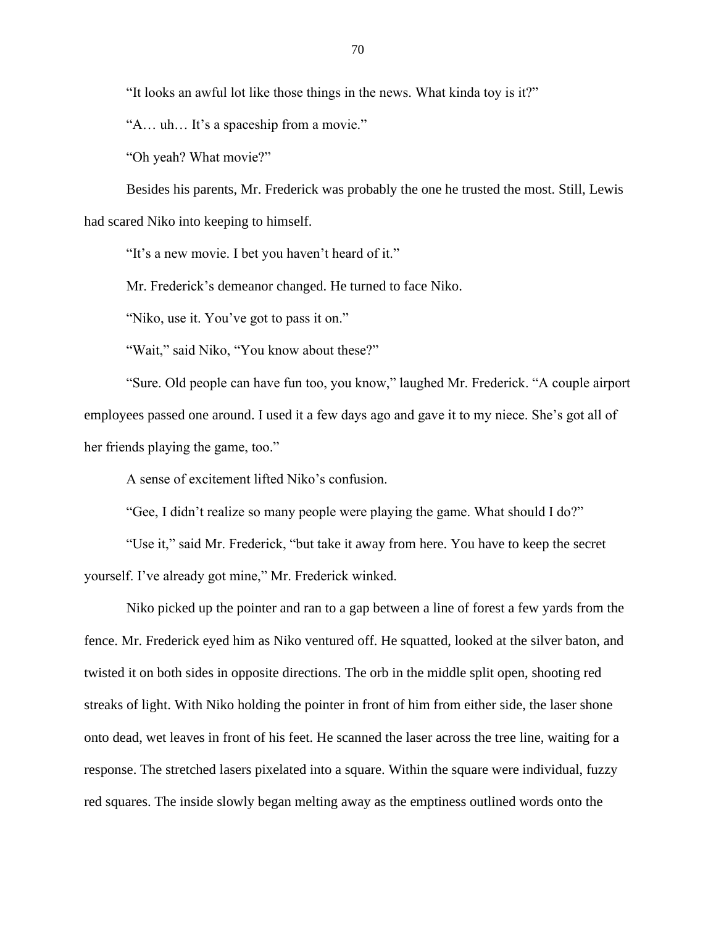"It looks an awful lot like those things in the news. What kinda toy is it?"

"A… uh… It's a spaceship from a movie."

"Oh yeah? What movie?"

Besides his parents, Mr. Frederick was probably the one he trusted the most. Still, Lewis had scared Niko into keeping to himself.

"It's a new movie. I bet you haven't heard of it."

Mr. Frederick's demeanor changed. He turned to face Niko.

"Niko, use it. You've got to pass it on."

"Wait," said Niko, "You know about these?"

"Sure. Old people can have fun too, you know," laughed Mr. Frederick. "A couple airport employees passed one around. I used it a few days ago and gave it to my niece. She's got all of her friends playing the game, too."

A sense of excitement lifted Niko's confusion.

"Gee, I didn't realize so many people were playing the game. What should I do?"

"Use it," said Mr. Frederick, "but take it away from here. You have to keep the secret yourself. I've already got mine," Mr. Frederick winked.

Niko picked up the pointer and ran to a gap between a line of forest a few yards from the fence. Mr. Frederick eyed him as Niko ventured off. He squatted, looked at the silver baton, and twisted it on both sides in opposite directions. The orb in the middle split open, shooting red streaks of light. With Niko holding the pointer in front of him from either side, the laser shone onto dead, wet leaves in front of his feet. He scanned the laser across the tree line, waiting for a response. The stretched lasers pixelated into a square. Within the square were individual, fuzzy red squares. The inside slowly began melting away as the emptiness outlined words onto the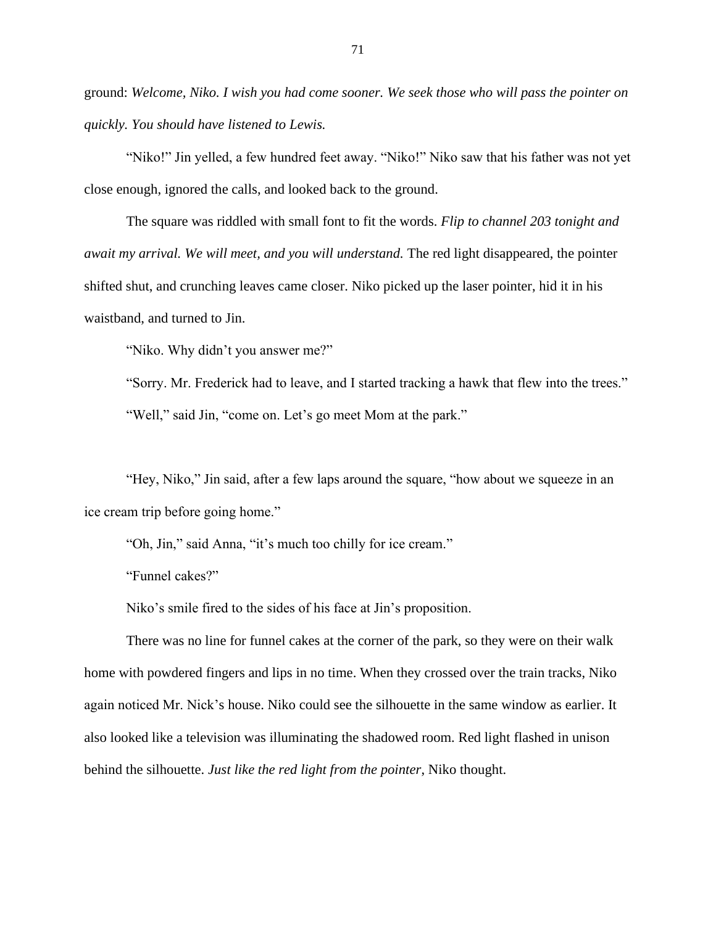ground: *Welcome, Niko. I wish you had come sooner. We seek those who will pass the pointer on quickly. You should have listened to Lewis.*

"Niko!" Jin yelled, a few hundred feet away. "Niko!" Niko saw that his father was not yet close enough, ignored the calls, and looked back to the ground.

The square was riddled with small font to fit the words. *Flip to channel 203 tonight and await my arrival. We will meet, and you will understand.* The red light disappeared, the pointer shifted shut, and crunching leaves came closer. Niko picked up the laser pointer, hid it in his waistband, and turned to Jin.

"Niko. Why didn't you answer me?"

"Sorry. Mr. Frederick had to leave, and I started tracking a hawk that flew into the trees." "Well," said Jin, "come on. Let's go meet Mom at the park."

"Hey, Niko," Jin said, after a few laps around the square, "how about we squeeze in an ice cream trip before going home."

"Oh, Jin," said Anna, "it's much too chilly for ice cream."

"Funnel cakes?"

Niko's smile fired to the sides of his face at Jin's proposition.

There was no line for funnel cakes at the corner of the park, so they were on their walk home with powdered fingers and lips in no time. When they crossed over the train tracks, Niko again noticed Mr. Nick's house. Niko could see the silhouette in the same window as earlier. It also looked like a television was illuminating the shadowed room. Red light flashed in unison behind the silhouette. *Just like the red light from the pointer*, Niko thought.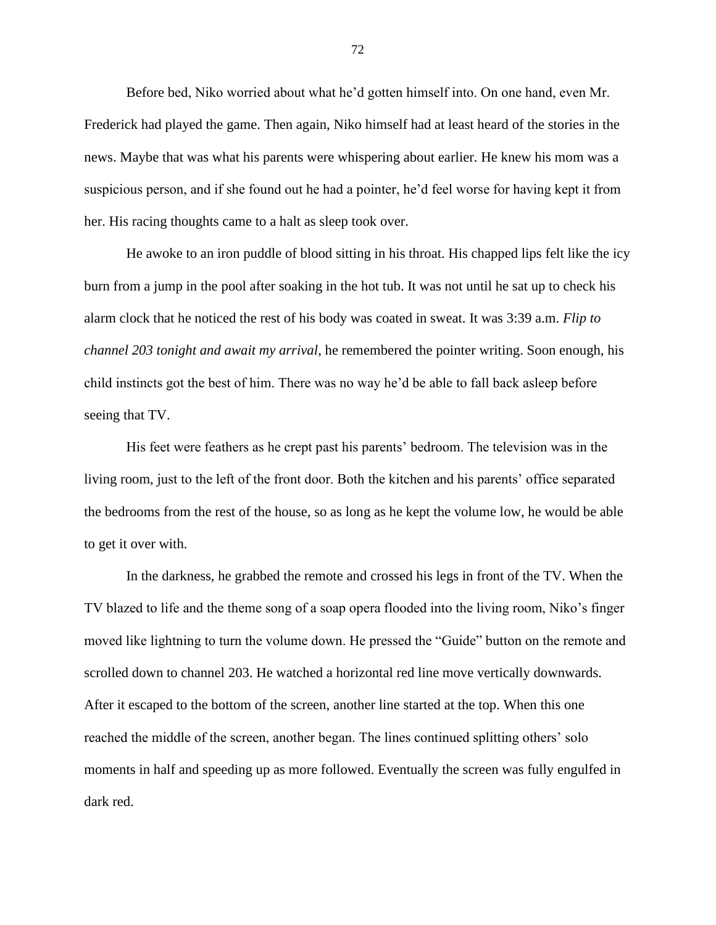Before bed, Niko worried about what he'd gotten himself into. On one hand, even Mr. Frederick had played the game. Then again, Niko himself had at least heard of the stories in the news. Maybe that was what his parents were whispering about earlier. He knew his mom was a suspicious person, and if she found out he had a pointer, he'd feel worse for having kept it from her. His racing thoughts came to a halt as sleep took over.

He awoke to an iron puddle of blood sitting in his throat. His chapped lips felt like the icy burn from a jump in the pool after soaking in the hot tub. It was not until he sat up to check his alarm clock that he noticed the rest of his body was coated in sweat. It was 3:39 a.m. *Flip to channel 203 tonight and await my arrival*, he remembered the pointer writing. Soon enough, his child instincts got the best of him. There was no way he'd be able to fall back asleep before seeing that TV.

His feet were feathers as he crept past his parents' bedroom. The television was in the living room, just to the left of the front door. Both the kitchen and his parents' office separated the bedrooms from the rest of the house, so as long as he kept the volume low, he would be able to get it over with.

In the darkness, he grabbed the remote and crossed his legs in front of the TV. When the TV blazed to life and the theme song of a soap opera flooded into the living room, Niko's finger moved like lightning to turn the volume down. He pressed the "Guide" button on the remote and scrolled down to channel 203. He watched a horizontal red line move vertically downwards. After it escaped to the bottom of the screen, another line started at the top. When this one reached the middle of the screen, another began. The lines continued splitting others' solo moments in half and speeding up as more followed. Eventually the screen was fully engulfed in dark red.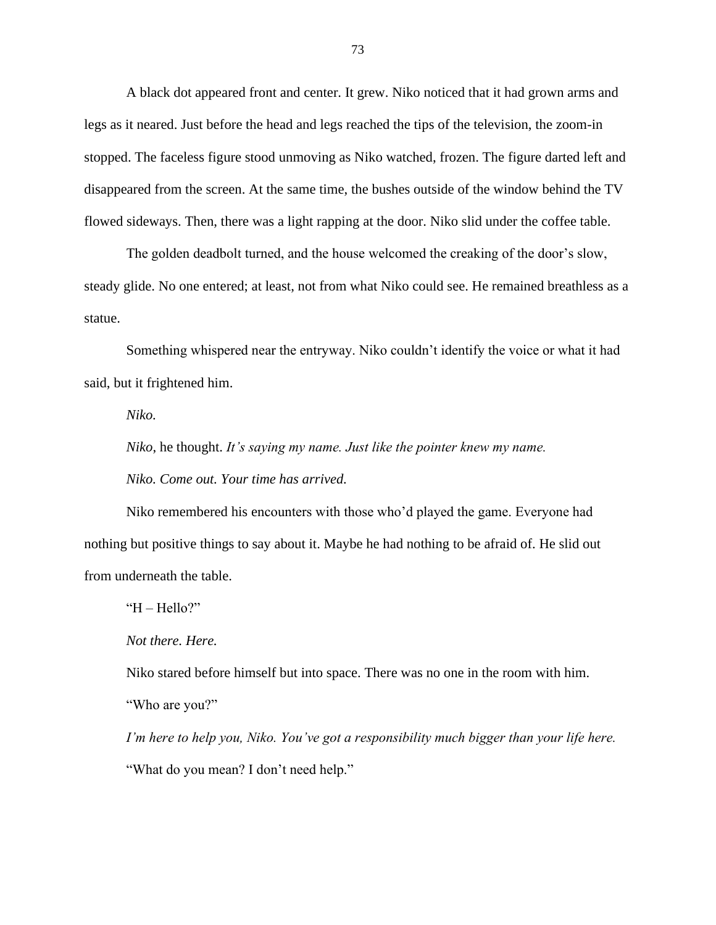A black dot appeared front and center. It grew. Niko noticed that it had grown arms and legs as it neared. Just before the head and legs reached the tips of the television, the zoom-in stopped. The faceless figure stood unmoving as Niko watched, frozen. The figure darted left and disappeared from the screen. At the same time, the bushes outside of the window behind the TV flowed sideways. Then, there was a light rapping at the door. Niko slid under the coffee table.

The golden deadbolt turned, and the house welcomed the creaking of the door's slow, steady glide. No one entered; at least, not from what Niko could see. He remained breathless as a statue.

Something whispered near the entryway. Niko couldn't identify the voice or what it had said, but it frightened him.

*Niko.*

*Niko*, he thought. *It's saying my name. Just like the pointer knew my name.*

*Niko. Come out. Your time has arrived.*

Niko remembered his encounters with those who'd played the game. Everyone had nothing but positive things to say about it. Maybe he had nothing to be afraid of. He slid out from underneath the table.

" $H$  – Hello?"

*Not there. Here.*

Niko stared before himself but into space. There was no one in the room with him.

"Who are you?"

*I'm here to help you, Niko. You've got a responsibility much bigger than your life here.* "What do you mean? I don't need help."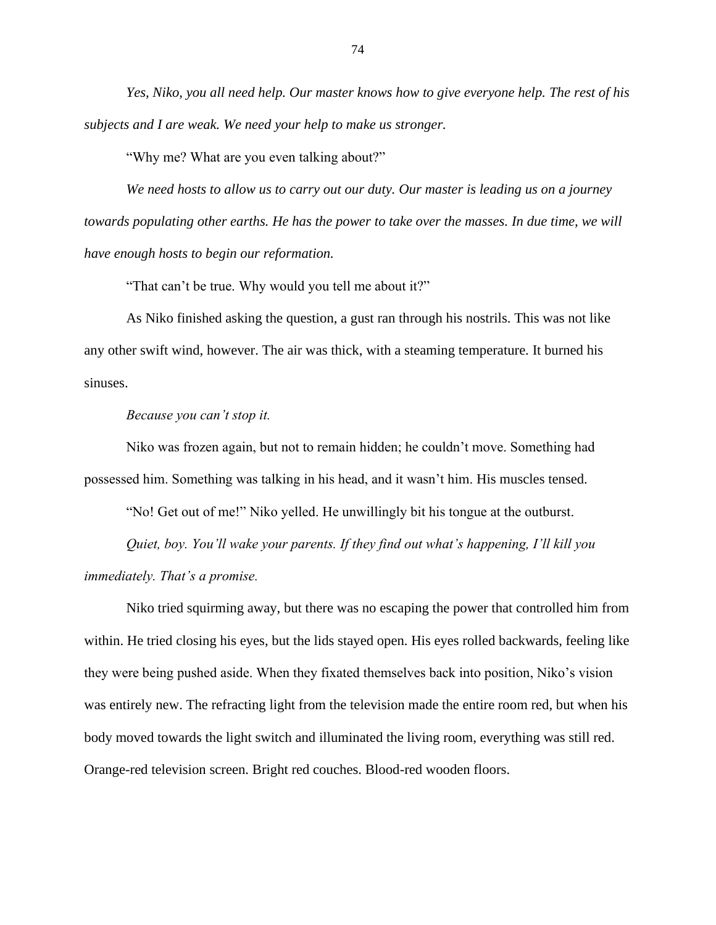*Yes, Niko, you all need help. Our master knows how to give everyone help. The rest of his subjects and I are weak. We need your help to make us stronger.*

"Why me? What are you even talking about?"

*We need hosts to allow us to carry out our duty. Our master is leading us on a journey towards populating other earths. He has the power to take over the masses. In due time, we will have enough hosts to begin our reformation.*

"That can't be true. Why would you tell me about it?"

As Niko finished asking the question, a gust ran through his nostrils. This was not like any other swift wind, however. The air was thick, with a steaming temperature. It burned his sinuses.

## *Because you can't stop it.*

Niko was frozen again, but not to remain hidden; he couldn't move. Something had possessed him. Something was talking in his head, and it wasn't him. His muscles tensed.

"No! Get out of me!" Niko yelled. He unwillingly bit his tongue at the outburst.

*Quiet, boy. You'll wake your parents. If they find out what's happening, I'll kill you immediately. That's a promise.*

Niko tried squirming away, but there was no escaping the power that controlled him from within. He tried closing his eyes, but the lids stayed open. His eyes rolled backwards, feeling like they were being pushed aside. When they fixated themselves back into position, Niko's vision was entirely new. The refracting light from the television made the entire room red, but when his body moved towards the light switch and illuminated the living room, everything was still red. Orange-red television screen. Bright red couches. Blood-red wooden floors.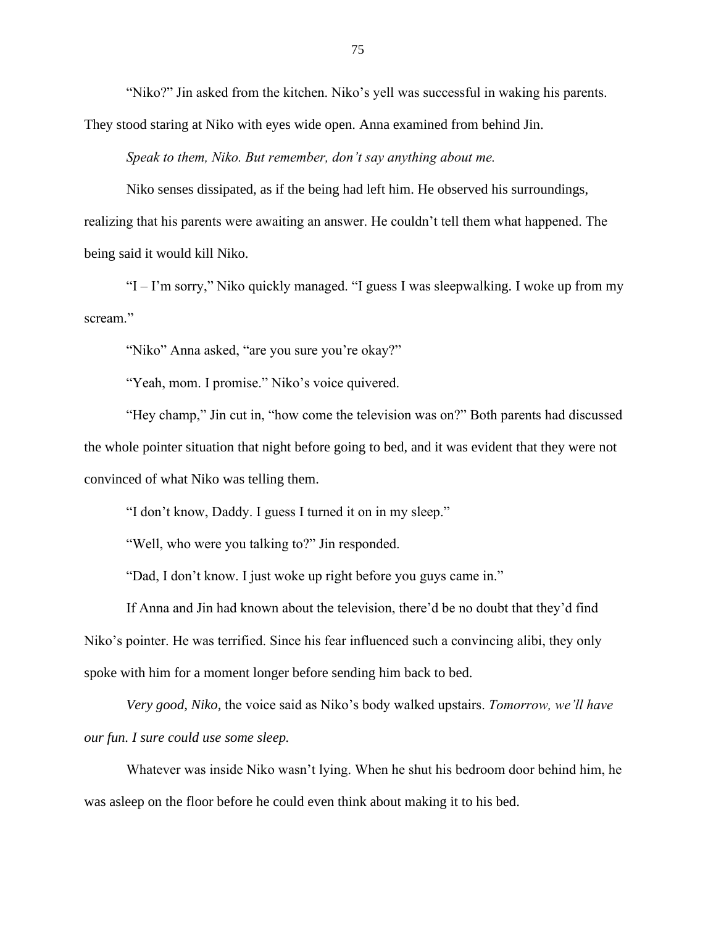"Niko?" Jin asked from the kitchen. Niko's yell was successful in waking his parents. They stood staring at Niko with eyes wide open. Anna examined from behind Jin.

*Speak to them, Niko. But remember, don't say anything about me.*

Niko senses dissipated, as if the being had left him. He observed his surroundings, realizing that his parents were awaiting an answer. He couldn't tell them what happened. The being said it would kill Niko.

"I – I'm sorry," Niko quickly managed. "I guess I was sleepwalking. I woke up from my scream."

"Niko" Anna asked, "are you sure you're okay?"

"Yeah, mom. I promise." Niko's voice quivered.

"Hey champ," Jin cut in, "how come the television was on?" Both parents had discussed the whole pointer situation that night before going to bed, and it was evident that they were not convinced of what Niko was telling them.

"I don't know, Daddy. I guess I turned it on in my sleep."

"Well, who were you talking to?" Jin responded.

"Dad, I don't know. I just woke up right before you guys came in."

If Anna and Jin had known about the television, there'd be no doubt that they'd find Niko's pointer. He was terrified. Since his fear influenced such a convincing alibi, they only spoke with him for a moment longer before sending him back to bed.

*Very good, Niko,* the voice said as Niko's body walked upstairs. *Tomorrow, we'll have our fun. I sure could use some sleep.* 

Whatever was inside Niko wasn't lying. When he shut his bedroom door behind him, he was asleep on the floor before he could even think about making it to his bed.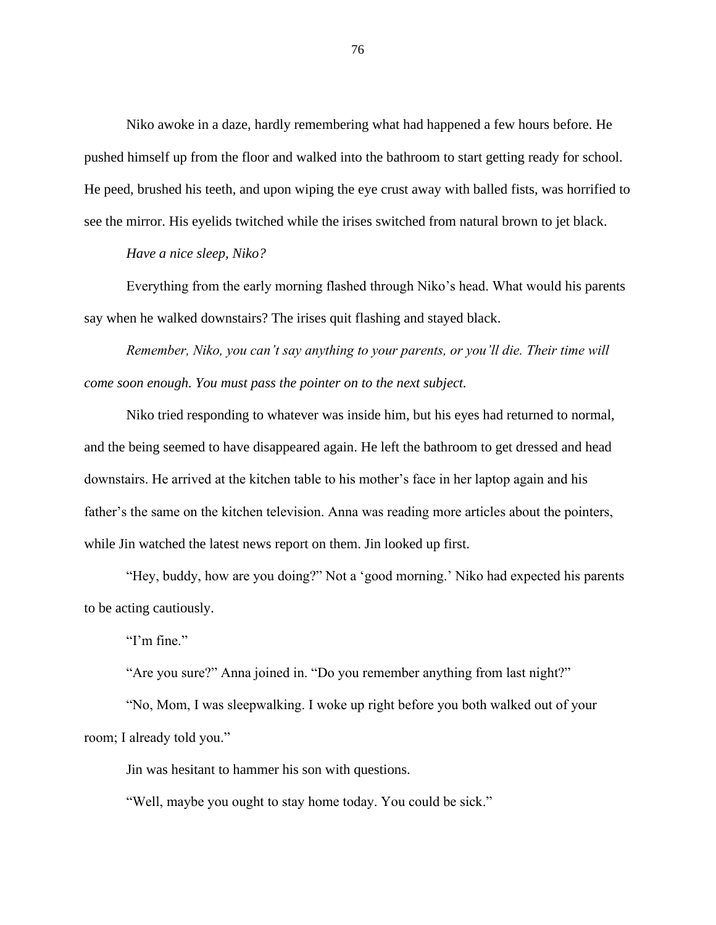Niko awoke in a daze, hardly remembering what had happened a few hours before. He pushed himself up from the floor and walked into the bathroom to start getting ready for school. He peed, brushed his teeth, and upon wiping the eye crust away with balled fists, was horrified to see the mirror. His eyelids twitched while the irises switched from natural brown to jet black.

*Have a nice sleep, Niko?*

Everything from the early morning flashed through Niko's head. What would his parents say when he walked downstairs? The irises quit flashing and stayed black.

*Remember, Niko, you can't say anything to your parents, or you'll die. Their time will come soon enough. You must pass the pointer on to the next subject.*

Niko tried responding to whatever was inside him, but his eyes had returned to normal, and the being seemed to have disappeared again. He left the bathroom to get dressed and head downstairs. He arrived at the kitchen table to his mother's face in her laptop again and his father's the same on the kitchen television. Anna was reading more articles about the pointers, while Jin watched the latest news report on them. Jin looked up first.

"Hey, buddy, how are you doing?" Not a 'good morning.' Niko had expected his parents to be acting cautiously.

"I'm fine."

"Are you sure?" Anna joined in. "Do you remember anything from last night?"

"No, Mom, I was sleepwalking. I woke up right before you both walked out of your room; I already told you."

Jin was hesitant to hammer his son with questions.

"Well, maybe you ought to stay home today. You could be sick."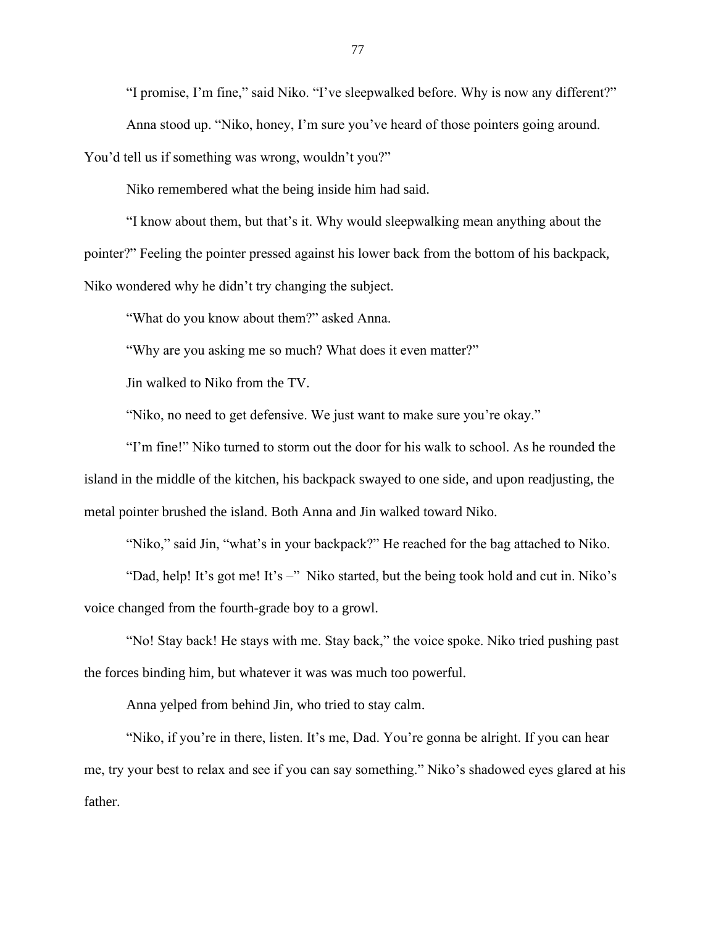"I promise, I'm fine," said Niko. "I've sleepwalked before. Why is now any different?"

Anna stood up. "Niko, honey, I'm sure you've heard of those pointers going around.

You'd tell us if something was wrong, wouldn't you?"

Niko remembered what the being inside him had said.

"I know about them, but that's it. Why would sleepwalking mean anything about the pointer?" Feeling the pointer pressed against his lower back from the bottom of his backpack, Niko wondered why he didn't try changing the subject.

"What do you know about them?" asked Anna.

"Why are you asking me so much? What does it even matter?"

Jin walked to Niko from the TV.

"Niko, no need to get defensive. We just want to make sure you're okay."

"I'm fine!" Niko turned to storm out the door for his walk to school. As he rounded the island in the middle of the kitchen, his backpack swayed to one side, and upon readjusting, the metal pointer brushed the island. Both Anna and Jin walked toward Niko.

"Niko," said Jin, "what's in your backpack?" He reached for the bag attached to Niko.

"Dad, help! It's got me! It's –" Niko started, but the being took hold and cut in. Niko's voice changed from the fourth-grade boy to a growl.

"No! Stay back! He stays with me. Stay back," the voice spoke. Niko tried pushing past the forces binding him, but whatever it was was much too powerful.

Anna yelped from behind Jin, who tried to stay calm.

"Niko, if you're in there, listen. It's me, Dad. You're gonna be alright. If you can hear me, try your best to relax and see if you can say something." Niko's shadowed eyes glared at his father.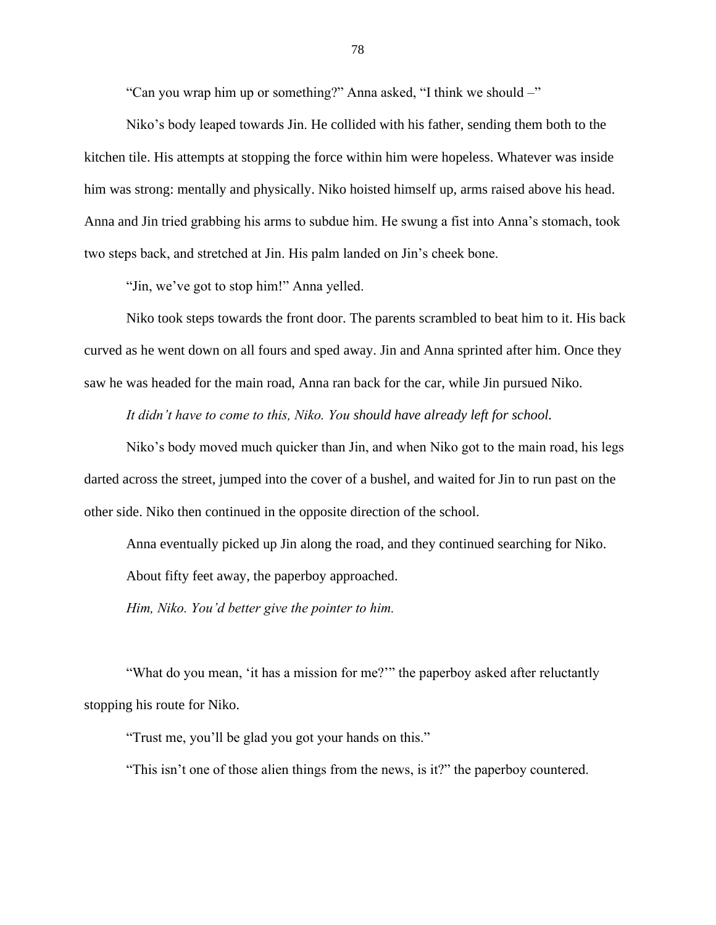"Can you wrap him up or something?" Anna asked, "I think we should –"

Niko's body leaped towards Jin. He collided with his father, sending them both to the kitchen tile. His attempts at stopping the force within him were hopeless. Whatever was inside him was strong: mentally and physically. Niko hoisted himself up, arms raised above his head. Anna and Jin tried grabbing his arms to subdue him. He swung a fist into Anna's stomach, took two steps back, and stretched at Jin. His palm landed on Jin's cheek bone.

"Jin, we've got to stop him!" Anna yelled.

Niko took steps towards the front door. The parents scrambled to beat him to it. His back curved as he went down on all fours and sped away. Jin and Anna sprinted after him. Once they saw he was headed for the main road, Anna ran back for the car, while Jin pursued Niko.

*It didn't have to come to this, Niko. You should have already left for school.* 

Niko's body moved much quicker than Jin, and when Niko got to the main road, his legs darted across the street, jumped into the cover of a bushel, and waited for Jin to run past on the other side. Niko then continued in the opposite direction of the school.

Anna eventually picked up Jin along the road, and they continued searching for Niko.

About fifty feet away, the paperboy approached.

*Him, Niko. You'd better give the pointer to him.*

"What do you mean, 'it has a mission for me?'" the paperboy asked after reluctantly stopping his route for Niko.

"Trust me, you'll be glad you got your hands on this."

"This isn't one of those alien things from the news, is it?" the paperboy countered.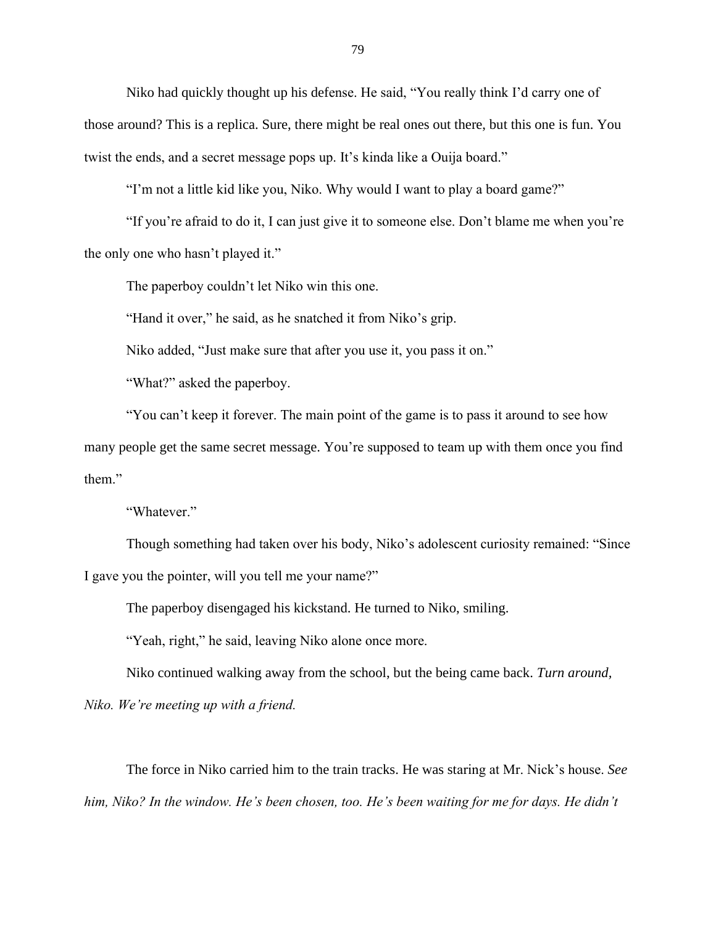Niko had quickly thought up his defense. He said, "You really think I'd carry one of those around? This is a replica. Sure, there might be real ones out there, but this one is fun. You twist the ends, and a secret message pops up. It's kinda like a Ouija board."

"I'm not a little kid like you, Niko. Why would I want to play a board game?"

"If you're afraid to do it, I can just give it to someone else. Don't blame me when you're the only one who hasn't played it."

The paperboy couldn't let Niko win this one.

"Hand it over," he said, as he snatched it from Niko's grip.

Niko added, "Just make sure that after you use it, you pass it on."

"What?" asked the paperboy.

"You can't keep it forever. The main point of the game is to pass it around to see how many people get the same secret message. You're supposed to team up with them once you find them."

"Whatever."

Though something had taken over his body, Niko's adolescent curiosity remained: "Since I gave you the pointer, will you tell me your name?"

The paperboy disengaged his kickstand. He turned to Niko, smiling.

"Yeah, right," he said, leaving Niko alone once more.

Niko continued walking away from the school, but the being came back. *Turn around,* 

*Niko. We're meeting up with a friend.*

The force in Niko carried him to the train tracks. He was staring at Mr. Nick's house. *See him, Niko? In the window. He's been chosen, too. He's been waiting for me for days. He didn't*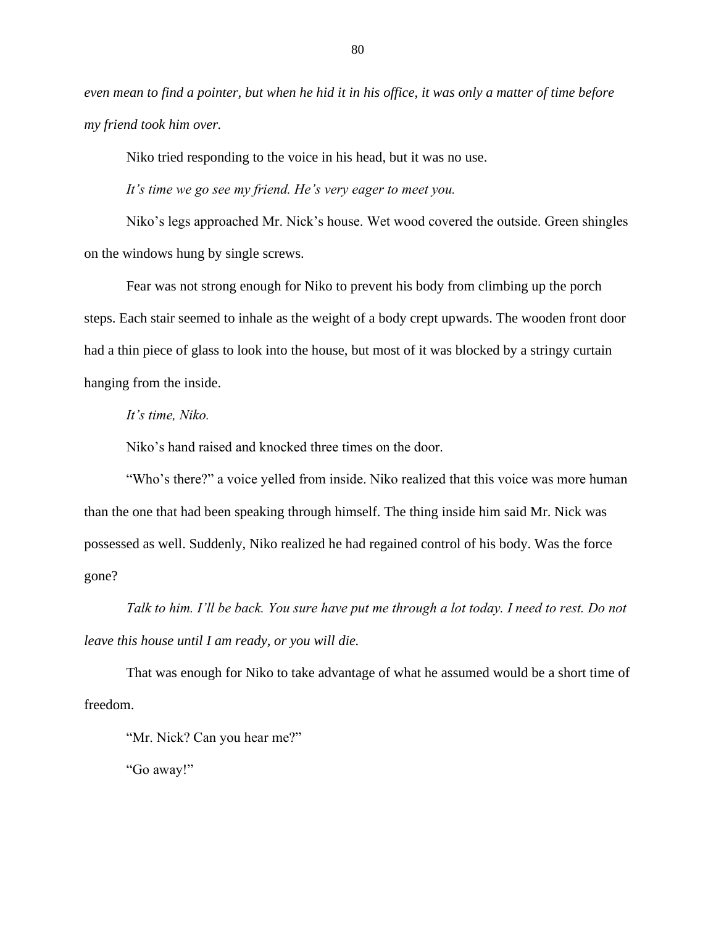*even mean to find a pointer, but when he hid it in his office, it was only a matter of time before my friend took him over.*

Niko tried responding to the voice in his head, but it was no use.

*It's time we go see my friend. He's very eager to meet you.* 

Niko's legs approached Mr. Nick's house. Wet wood covered the outside. Green shingles on the windows hung by single screws.

Fear was not strong enough for Niko to prevent his body from climbing up the porch steps. Each stair seemed to inhale as the weight of a body crept upwards. The wooden front door had a thin piece of glass to look into the house, but most of it was blocked by a stringy curtain hanging from the inside.

## *It's time, Niko.*

Niko's hand raised and knocked three times on the door.

"Who's there?" a voice yelled from inside. Niko realized that this voice was more human than the one that had been speaking through himself. The thing inside him said Mr. Nick was possessed as well. Suddenly, Niko realized he had regained control of his body. Was the force gone?

*Talk to him. I'll be back. You sure have put me through a lot today. I need to rest. Do not leave this house until I am ready, or you will die.*

That was enough for Niko to take advantage of what he assumed would be a short time of freedom.

"Mr. Nick? Can you hear me?"

"Go away!"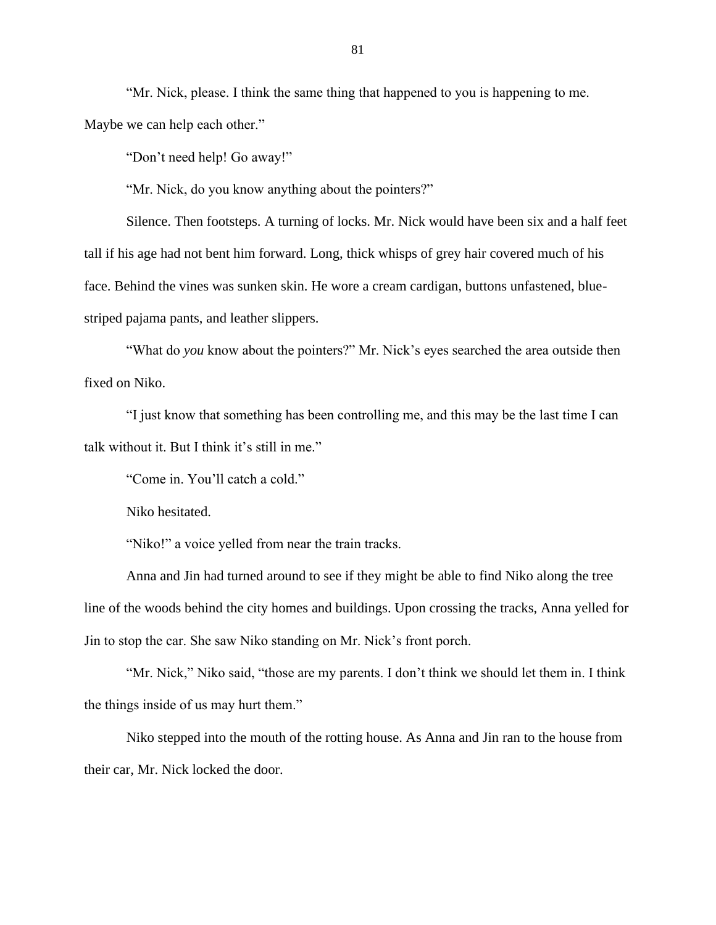"Mr. Nick, please. I think the same thing that happened to you is happening to me. Maybe we can help each other."

"Don't need help! Go away!"

"Mr. Nick, do you know anything about the pointers?"

Silence. Then footsteps. A turning of locks. Mr. Nick would have been six and a half feet tall if his age had not bent him forward. Long, thick whisps of grey hair covered much of his face. Behind the vines was sunken skin. He wore a cream cardigan, buttons unfastened, bluestriped pajama pants, and leather slippers.

"What do *you* know about the pointers?" Mr. Nick's eyes searched the area outside then fixed on Niko.

"I just know that something has been controlling me, and this may be the last time I can talk without it. But I think it's still in me."

"Come in. You'll catch a cold."

Niko hesitated.

"Niko!" a voice yelled from near the train tracks.

Anna and Jin had turned around to see if they might be able to find Niko along the tree line of the woods behind the city homes and buildings. Upon crossing the tracks, Anna yelled for Jin to stop the car. She saw Niko standing on Mr. Nick's front porch.

"Mr. Nick," Niko said, "those are my parents. I don't think we should let them in. I think the things inside of us may hurt them."

Niko stepped into the mouth of the rotting house. As Anna and Jin ran to the house from their car, Mr. Nick locked the door.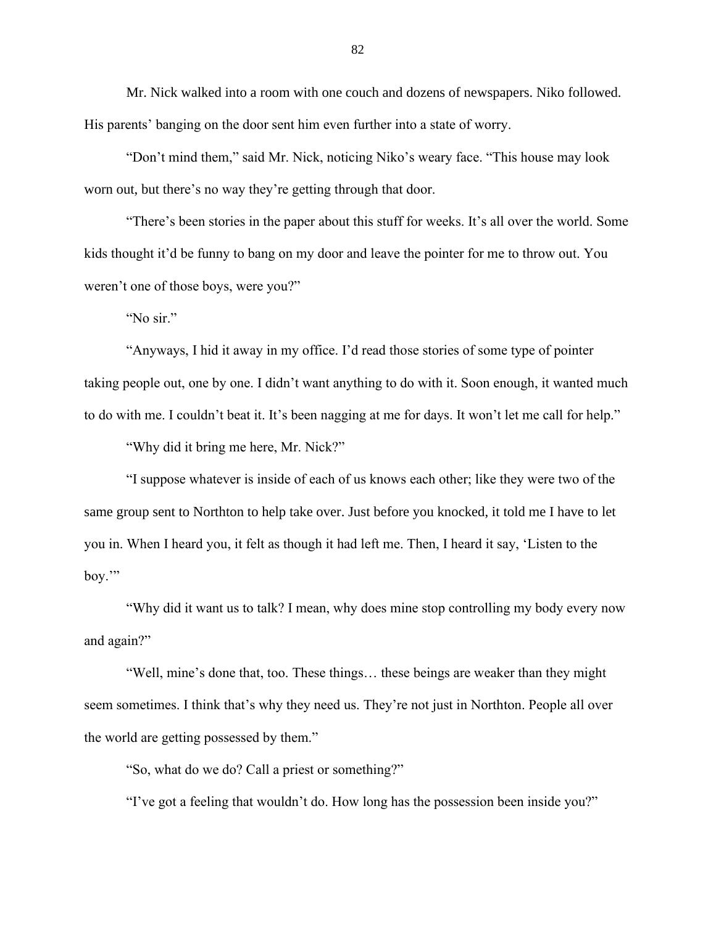Mr. Nick walked into a room with one couch and dozens of newspapers. Niko followed. His parents' banging on the door sent him even further into a state of worry.

"Don't mind them," said Mr. Nick, noticing Niko's weary face. "This house may look worn out, but there's no way they're getting through that door.

"There's been stories in the paper about this stuff for weeks. It's all over the world. Some kids thought it'd be funny to bang on my door and leave the pointer for me to throw out. You weren't one of those boys, were you?"

"No sir."

"Anyways, I hid it away in my office. I'd read those stories of some type of pointer taking people out, one by one. I didn't want anything to do with it. Soon enough, it wanted much to do with me. I couldn't beat it. It's been nagging at me for days. It won't let me call for help."

"Why did it bring me here, Mr. Nick?"

"I suppose whatever is inside of each of us knows each other; like they were two of the same group sent to Northton to help take over. Just before you knocked, it told me I have to let you in. When I heard you, it felt as though it had left me. Then, I heard it say, 'Listen to the boy.'"

"Why did it want us to talk? I mean, why does mine stop controlling my body every now and again?"

"Well, mine's done that, too. These things… these beings are weaker than they might seem sometimes. I think that's why they need us. They're not just in Northton. People all over the world are getting possessed by them."

"So, what do we do? Call a priest or something?"

"I've got a feeling that wouldn't do. How long has the possession been inside you?"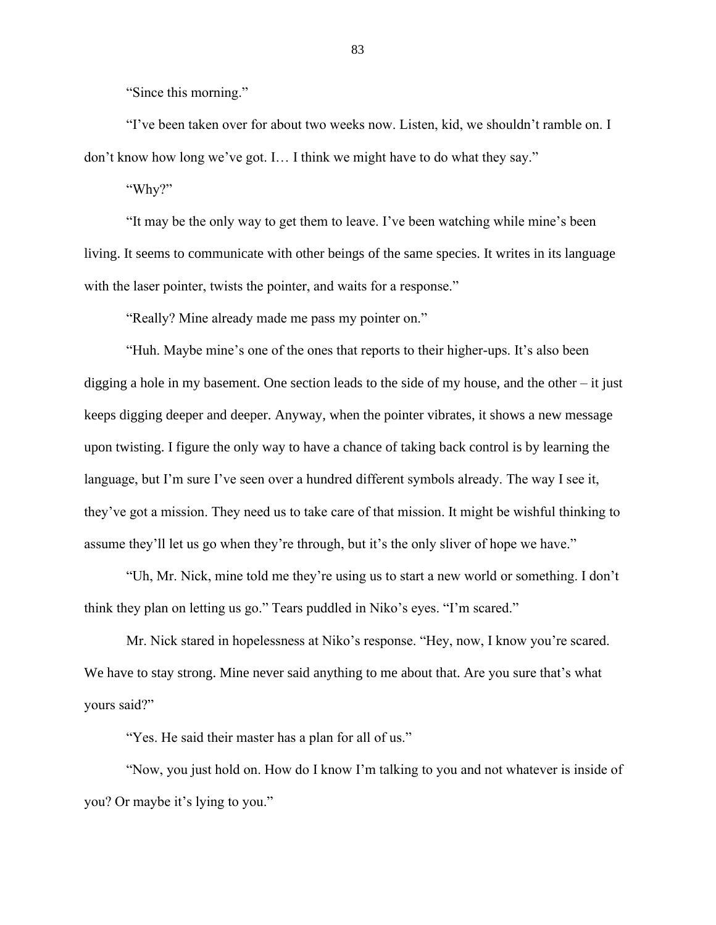"Since this morning."

"I've been taken over for about two weeks now. Listen, kid, we shouldn't ramble on. I don't know how long we've got. I… I think we might have to do what they say."

"Why?"

"It may be the only way to get them to leave. I've been watching while mine's been living. It seems to communicate with other beings of the same species. It writes in its language with the laser pointer, twists the pointer, and waits for a response."

"Really? Mine already made me pass my pointer on."

"Huh. Maybe mine's one of the ones that reports to their higher-ups. It's also been digging a hole in my basement. One section leads to the side of my house, and the other – it just keeps digging deeper and deeper. Anyway, when the pointer vibrates, it shows a new message upon twisting. I figure the only way to have a chance of taking back control is by learning the language, but I'm sure I've seen over a hundred different symbols already. The way I see it, they've got a mission. They need us to take care of that mission. It might be wishful thinking to assume they'll let us go when they're through, but it's the only sliver of hope we have."

"Uh, Mr. Nick, mine told me they're using us to start a new world or something. I don't think they plan on letting us go." Tears puddled in Niko's eyes. "I'm scared."

Mr. Nick stared in hopelessness at Niko's response. "Hey, now, I know you're scared. We have to stay strong. Mine never said anything to me about that. Are you sure that's what yours said?"

"Yes. He said their master has a plan for all of us."

"Now, you just hold on. How do I know I'm talking to you and not whatever is inside of you? Or maybe it's lying to you."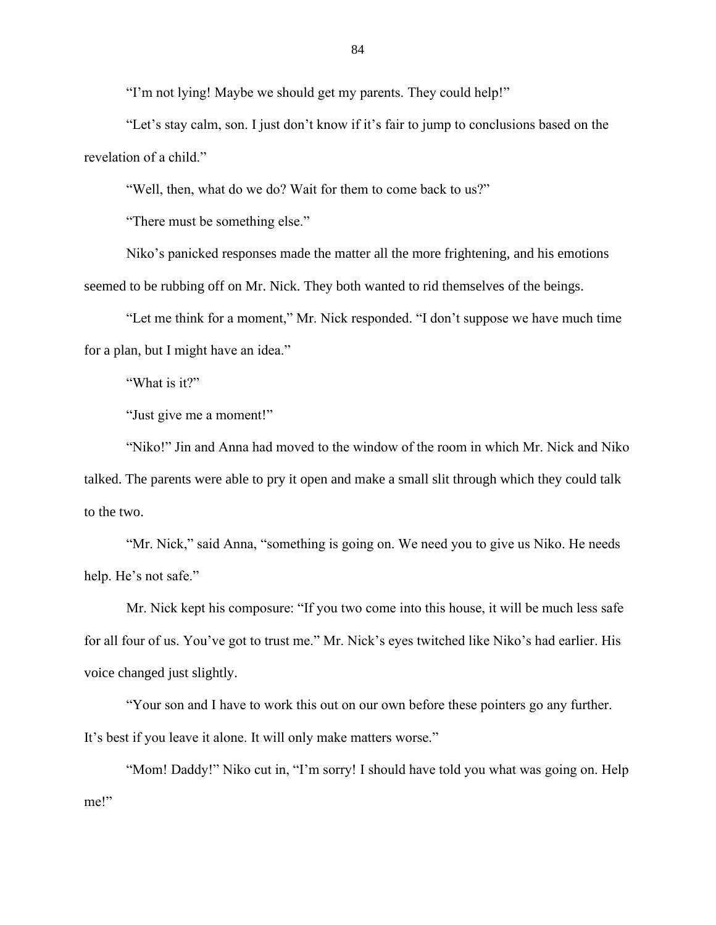"I'm not lying! Maybe we should get my parents. They could help!"

"Let's stay calm, son. I just don't know if it's fair to jump to conclusions based on the revelation of a child."

"Well, then, what do we do? Wait for them to come back to us?"

"There must be something else."

Niko's panicked responses made the matter all the more frightening, and his emotions seemed to be rubbing off on Mr. Nick. They both wanted to rid themselves of the beings.

"Let me think for a moment," Mr. Nick responded. "I don't suppose we have much time for a plan, but I might have an idea."

"What is it?"

"Just give me a moment!"

"Niko!" Jin and Anna had moved to the window of the room in which Mr. Nick and Niko talked. The parents were able to pry it open and make a small slit through which they could talk to the two.

"Mr. Nick," said Anna, "something is going on. We need you to give us Niko. He needs help. He's not safe."

Mr. Nick kept his composure: "If you two come into this house, it will be much less safe for all four of us. You've got to trust me." Mr. Nick's eyes twitched like Niko's had earlier. His voice changed just slightly.

"Your son and I have to work this out on our own before these pointers go any further. It's best if you leave it alone. It will only make matters worse."

"Mom! Daddy!" Niko cut in, "I'm sorry! I should have told you what was going on. Help me!"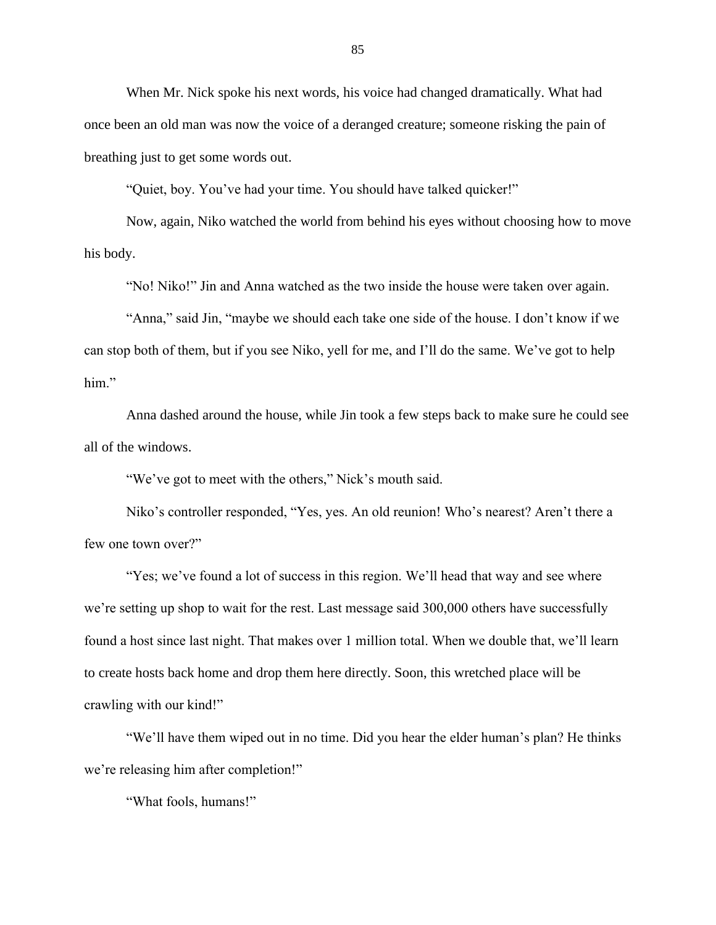When Mr. Nick spoke his next words, his voice had changed dramatically. What had once been an old man was now the voice of a deranged creature; someone risking the pain of breathing just to get some words out.

"Quiet, boy. You've had your time. You should have talked quicker!"

Now, again, Niko watched the world from behind his eyes without choosing how to move his body.

"No! Niko!" Jin and Anna watched as the two inside the house were taken over again.

"Anna," said Jin, "maybe we should each take one side of the house. I don't know if we can stop both of them, but if you see Niko, yell for me, and I'll do the same. We've got to help him."

Anna dashed around the house, while Jin took a few steps back to make sure he could see all of the windows.

"We've got to meet with the others," Nick's mouth said.

Niko's controller responded, "Yes, yes. An old reunion! Who's nearest? Aren't there a few one town over?"

"Yes; we've found a lot of success in this region. We'll head that way and see where we're setting up shop to wait for the rest. Last message said 300,000 others have successfully found a host since last night. That makes over 1 million total. When we double that, we'll learn to create hosts back home and drop them here directly. Soon, this wretched place will be crawling with our kind!"

"We'll have them wiped out in no time. Did you hear the elder human's plan? He thinks we're releasing him after completion!"

"What fools, humans!"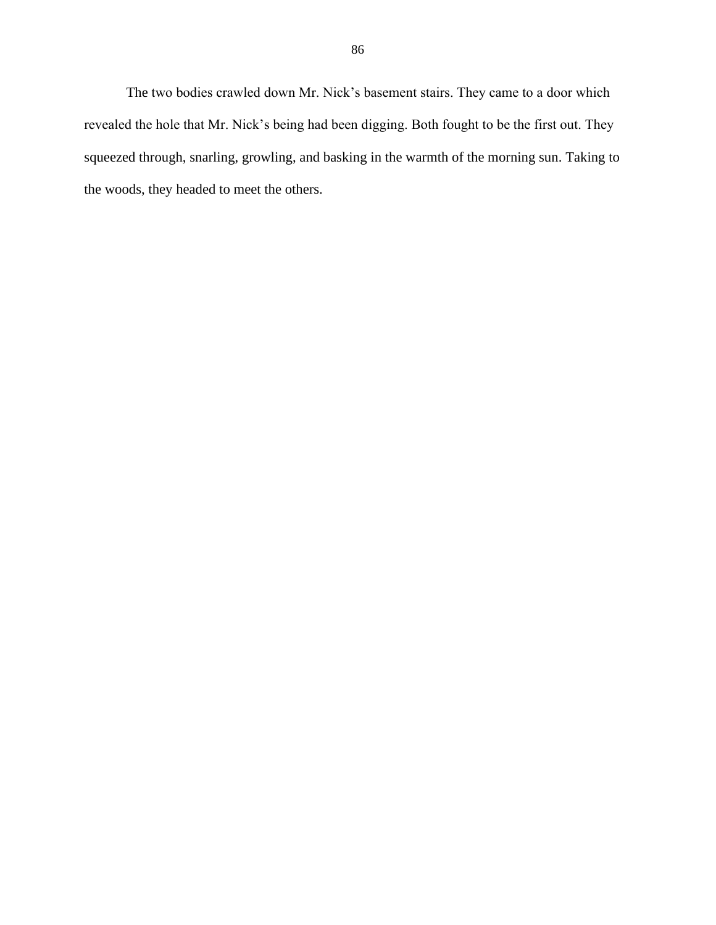The two bodies crawled down Mr. Nick's basement stairs. They came to a door which revealed the hole that Mr. Nick's being had been digging. Both fought to be the first out. They squeezed through, snarling, growling, and basking in the warmth of the morning sun. Taking to the woods, they headed to meet the others.